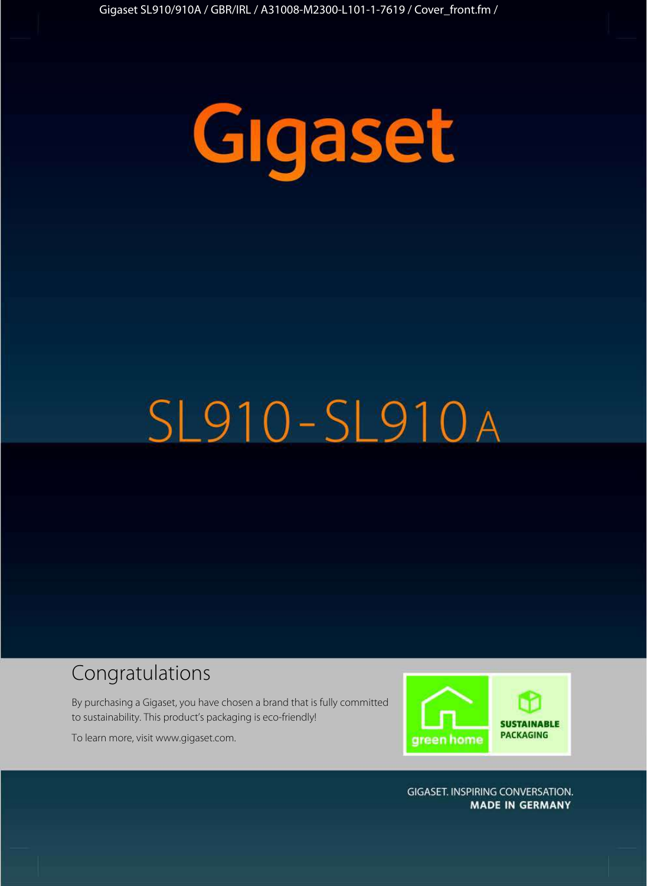

# SL910-SL910A

## Congratulations

By purchasing a Gigaset, you have chosen a brand that is fully committed to sustainability. This product's packaging is eco-friendly!

To learn more, visit www.gigaset.com.



**GIGASET. INSPIRING CONVERSATION. MADE IN GERMANY**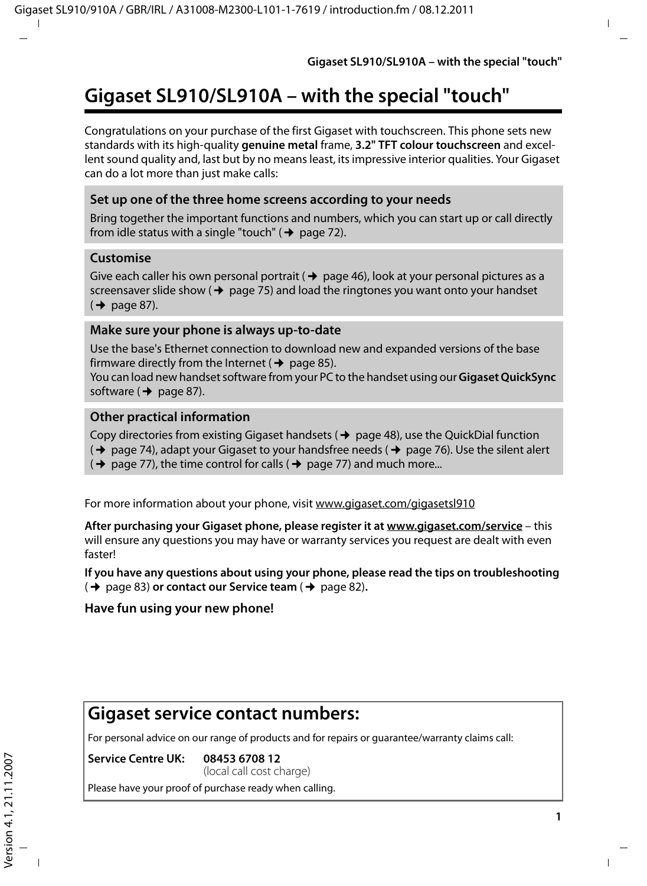## **Gigaset SL910/SL910A – with the special "touch"**

Congratulations on your purchase of the first Gigaset with touchscreen. This phone sets new standards with its high-quality **genuine metal** frame, **3.2" TFT colour touchscreen** and excellent sound quality and, last but by no means least, its impressive interior qualities. Your Gigaset can do a lot more than just make calls:

#### **Set up one of the three home screens according to your needs**

Bring together the important functions and numbers, which you can start up or call directly from idle status with a single "touch" ( $\rightarrow$  page 72).

#### **Customise**

Give each caller his own personal portrait ( $\rightarrow$  page 46), look at your personal pictures as a screensaver slide show ( $\rightarrow$  page 75) and load the ringtones you want onto your handset  $(\rightarrow$  page 87).

#### **Make sure your phone is always up-to-date**

Use the base's Ethernet connection to download new and expanded versions of the base firmware directly from the Internet ( $\rightarrow$  page 85).

You can load new handset software from your PC to the handset using our **Gigaset QuickSync** software  $(\rightarrow$  page 87).

#### **Other practical information**

Copy directories from existing Gigaset handsets ( $\rightarrow$  page 48), use the QuickDial function

- $(\rightarrow$  page 74), adapt your Gigaset to your handsfree needs ( $\rightarrow$  page 76). Use the silent alert
- $(\rightarrow$  page 77), the time control for calls ( $\rightarrow$  page 77) and much more...

For more information about your phone, visit www.gigaset.com/gigasetsl910

**After purchasing your Gigaset phone, please register it at www.gigaset.com/service** – this will ensure any questions you may have or warranty services you request are dealt with even faster!

**If you have any questions about using your phone, please read the tips on troubleshooting**  (→ page 83) **or contact our Service team** (→ page 82).

#### **Have fun using your new phone!**

## **Gigaset service contact numbers:**

For personal advice on our range of products and for repairs or guarantee/warranty claims call:

**Service Centre UK: 08453 6708 12** (local call cost charge)

Please have your proof of purchase ready when calling.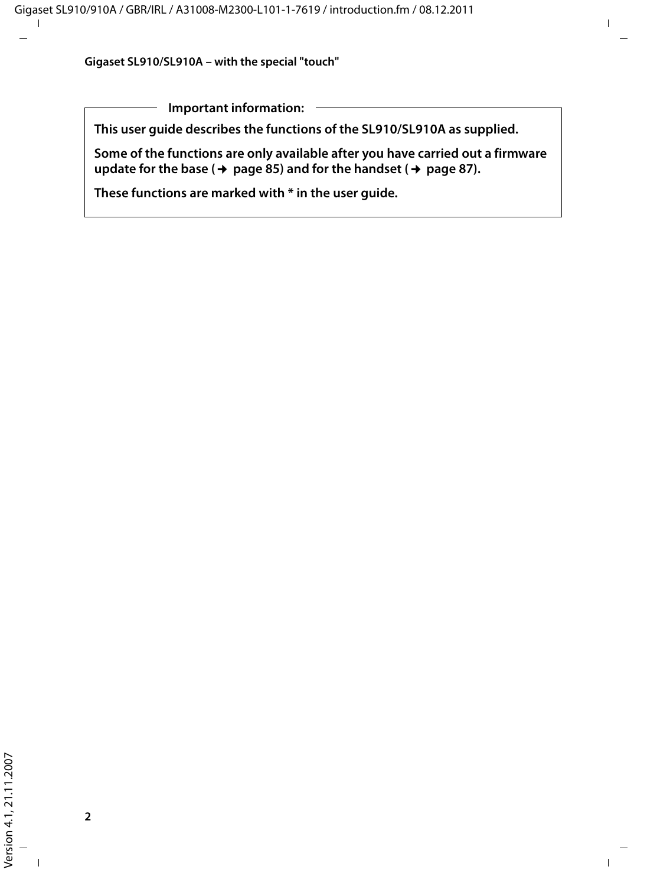**Important information:**

**This user guide describes the functions of the SL910/SL910A as supplied.** 

**Some of the functions are only available after you have carried out a firmware**  update for the base ( $\rightarrow$  page 85) and for the handset ( $\rightarrow$  page 87).

**These functions are marked with \* in the user guide.**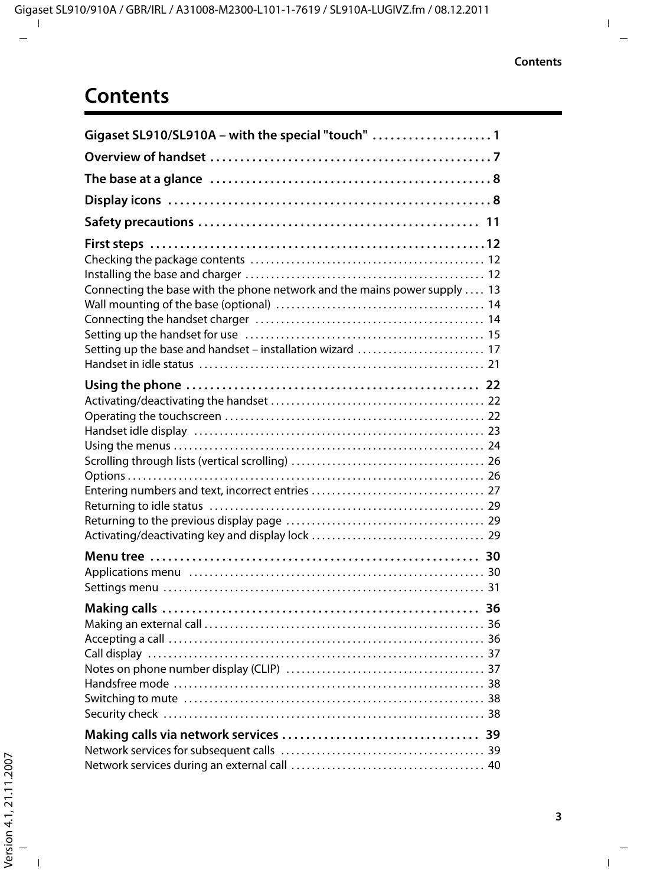## **Contents**

| Gigaset SL910/SL910A - with the special "touch"  1                                                                                     |
|----------------------------------------------------------------------------------------------------------------------------------------|
|                                                                                                                                        |
|                                                                                                                                        |
|                                                                                                                                        |
|                                                                                                                                        |
| Connecting the base with the phone network and the mains power supply  13<br>Setting up the base and handset - installation wizard  17 |
|                                                                                                                                        |
|                                                                                                                                        |
|                                                                                                                                        |
|                                                                                                                                        |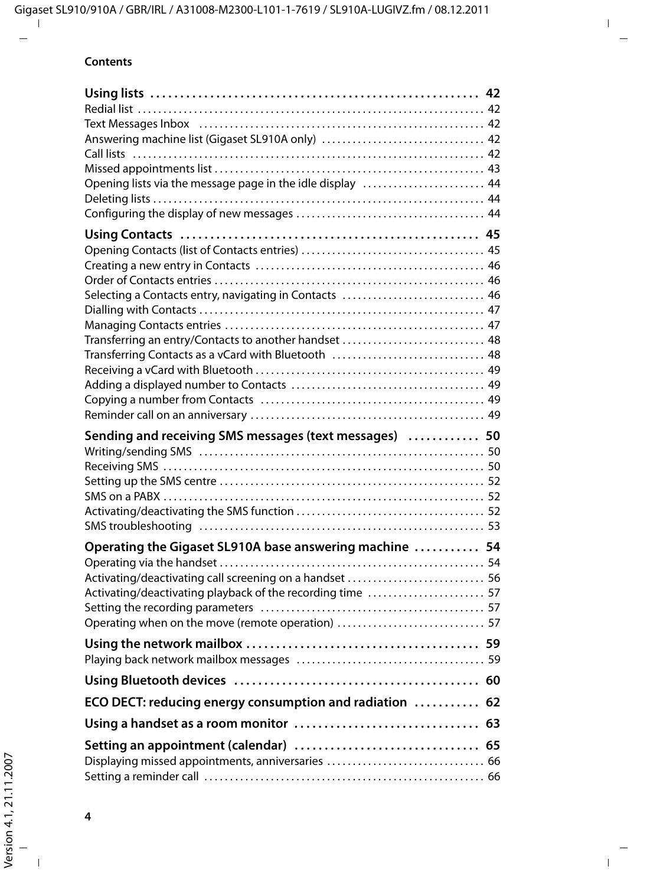#### **Contents**

| Opening lists via the message page in the idle display  44 |  |
|------------------------------------------------------------|--|
|                                                            |  |
|                                                            |  |
|                                                            |  |
|                                                            |  |
|                                                            |  |
|                                                            |  |
| Selecting a Contacts entry, navigating in Contacts  46     |  |
|                                                            |  |
|                                                            |  |
| Transferring Contacts as a vCard with Bluetooth  48        |  |
|                                                            |  |
|                                                            |  |
|                                                            |  |
|                                                            |  |
| Sending and receiving SMS messages (text messages)  50     |  |
|                                                            |  |
|                                                            |  |
|                                                            |  |
|                                                            |  |
|                                                            |  |
|                                                            |  |
| Operating the Gigaset SL910A base answering machine  54    |  |
|                                                            |  |
| Activating/deactivating call screening on a handset  56    |  |
| Activating/deactivating playback of the recording time  57 |  |
| Operating when on the move (remote operation)  57          |  |
|                                                            |  |
|                                                            |  |
|                                                            |  |
| ECO DECT: reducing energy consumption and radiation  62    |  |
|                                                            |  |
|                                                            |  |
| Displaying missed appointments, anniversaries  66          |  |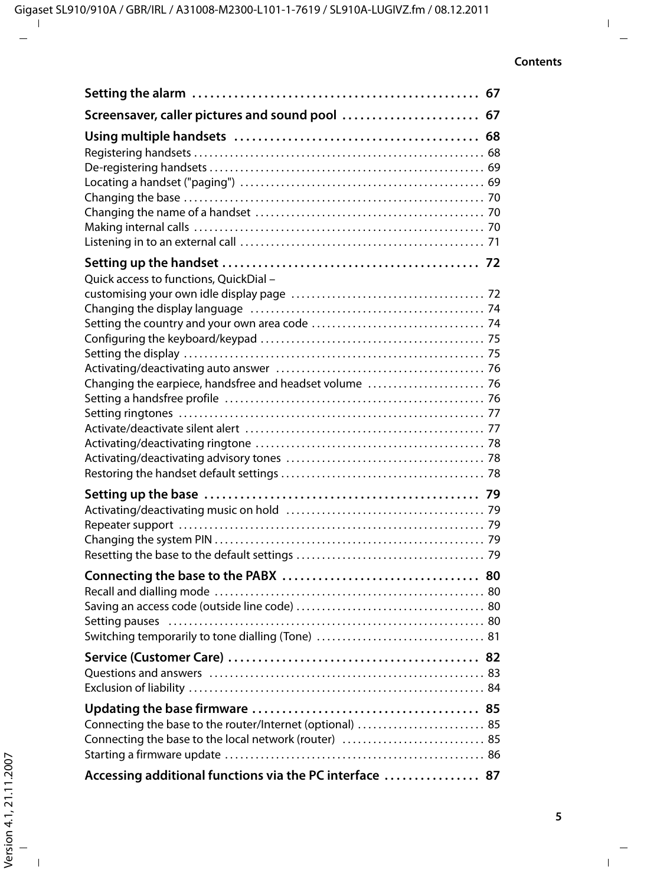| Screensaver, caller pictures and sound pool  67                                                                    |  |
|--------------------------------------------------------------------------------------------------------------------|--|
|                                                                                                                    |  |
| Quick access to functions, QuickDial -<br>Changing the earpiece, handsfree and headset volume  76                  |  |
|                                                                                                                    |  |
|                                                                                                                    |  |
|                                                                                                                    |  |
| Connecting the base to the router/Internet (optional)  85<br>Connecting the base to the local network (router)  85 |  |
| Accessing additional functions via the PC interface  87                                                            |  |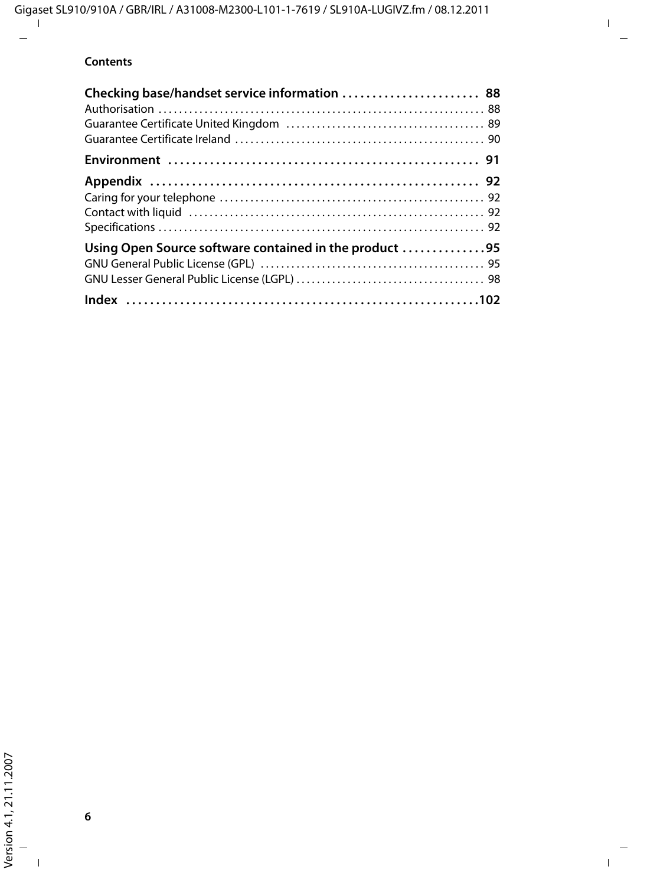#### **Contents**

| Checking base/handset service information  88          |  |
|--------------------------------------------------------|--|
|                                                        |  |
|                                                        |  |
| Using Open Source software contained in the product 95 |  |
|                                                        |  |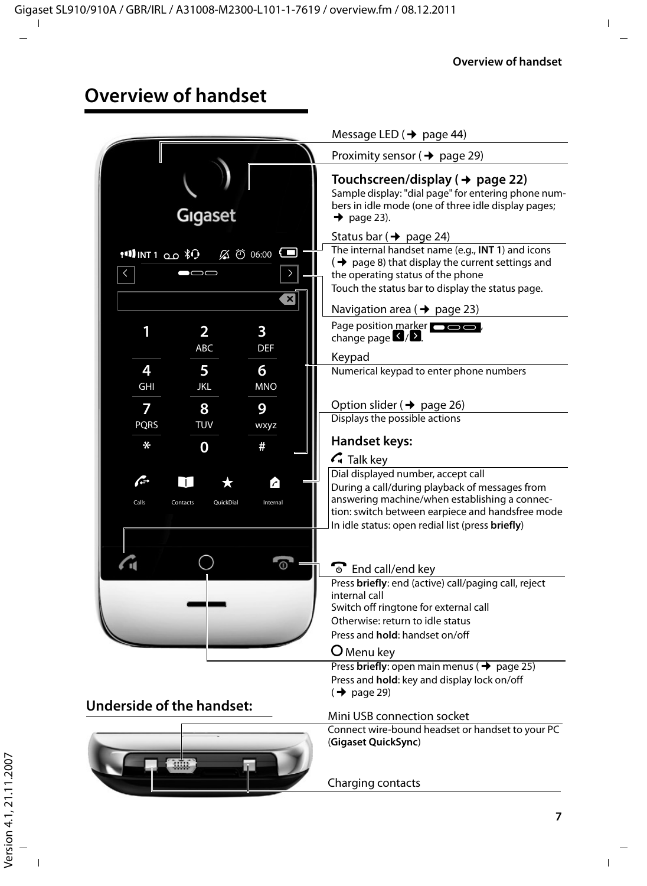## **Overview of handset**

|                                                                                    | Message LED ( $\rightarrow$ page 44)                                                                                                                                                                                                                  |
|------------------------------------------------------------------------------------|-------------------------------------------------------------------------------------------------------------------------------------------------------------------------------------------------------------------------------------------------------|
|                                                                                    | Proximity sensor ( $\rightarrow$ page 29)                                                                                                                                                                                                             |
| Gigaset                                                                            | Touchscreen/display ( $\rightarrow$ page 22)<br>Sample display: "dial page" for entering phone num-<br>bers in idle mode (one of three idle display pages;<br>$\rightarrow$ page 23).                                                                 |
|                                                                                    | Status bar ( $\rightarrow$ page 24)                                                                                                                                                                                                                   |
| $19$ INT1 0.0 $\sqrt[3]{1}$<br>$\%$ $\circ$ 06:00 $\blacksquare$<br>$\langle$<br>× | The internal handset name (e.g., INT 1) and icons<br>$\rightarrow$ page 8) that display the current settings and<br>the operating status of the phone<br>Touch the status bar to display the status page.<br>Navigation area ( $\rightarrow$ page 23) |
| 1<br>2<br>3<br>ABC<br><b>DEF</b>                                                   | Page position marker <b>comes</b><br>change page $\Box/\Box$ .                                                                                                                                                                                        |
|                                                                                    | Keypad                                                                                                                                                                                                                                                |
| 4<br>5<br>6<br>GHI<br><b>JKL</b><br><b>MNO</b>                                     | Numerical keypad to enter phone numbers<br>Option slider ( $\rightarrow$ page 26)                                                                                                                                                                     |
| 7<br>8<br>9                                                                        | Displays the possible actions                                                                                                                                                                                                                         |
| TUV<br><b>PQRS</b><br>wxyz                                                         |                                                                                                                                                                                                                                                       |
| ∗<br>0<br>#                                                                        | <b>Handset keys:</b><br>$\mathcal{L}_{\mathsf{I}}$ Talk key                                                                                                                                                                                           |
| æ.<br>$\Box$<br>Calls<br>Internal<br>Contacts<br>OuickDial                         | Dial displayed number, accept call<br>During a call/during playback of messages from<br>answering machine/when establishing a connec-<br>tion: switch between earpiece and handsfree mode<br>In idle status: open redial list (press briefly)         |
|                                                                                    | <b>T</b> End call/end key<br>Press briefly: end (active) call/paging call, reject<br>internal call<br>Switch off ringtone for external call<br>Otherwise: return to idle status<br>Press and hold: handset on/off<br><b>O</b> Menu key                |
|                                                                                    | Press briefly: open main menus ( $\rightarrow$ page 25)<br>Press and hold: key and display lock on/off<br>$(\rightarrow$ page 29)                                                                                                                     |
| <b>Underside of the handset:</b>                                                   | Mini USB connection socket                                                                                                                                                                                                                            |
|                                                                                    | Connect wire-bound headset or handset to your PC<br>(Gigaset QuickSync)                                                                                                                                                                               |
|                                                                                    | Charging contacts                                                                                                                                                                                                                                     |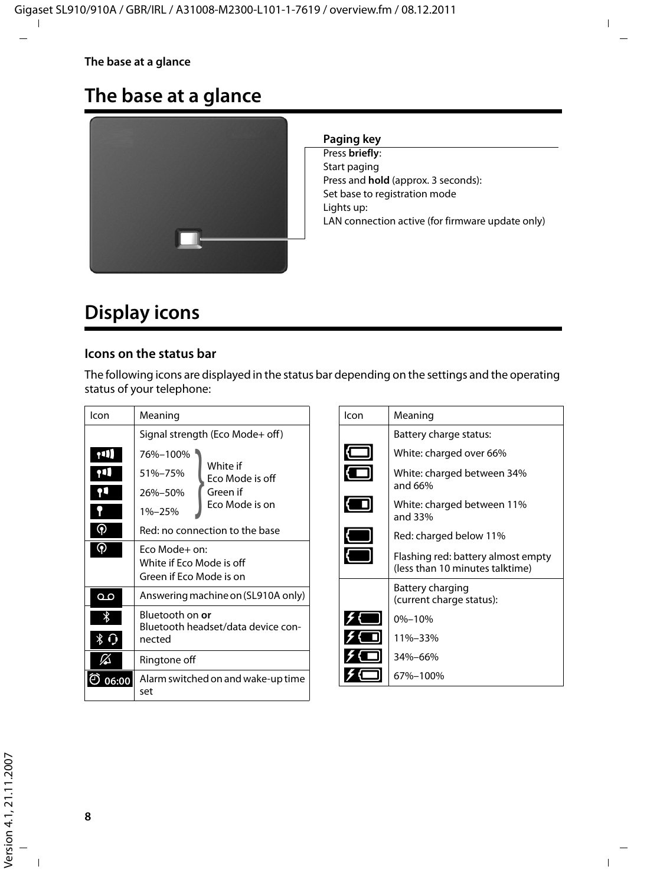#### **The base at a glance**

## **The base at a glance**



#### **Paging key**

Press **briefly**: Start paging Press and **hold** (approx. 3 seconds): Set base to registration mode Lights up: LAN connection active (for firmware update only)

## **Display icons**

#### **Icons on the status bar**

The following icons are displayed in the status bar depending on the settings and the operating status of your telephone:

| Icon                  | Meaning                                                                                                                                                  |  |  |
|-----------------------|----------------------------------------------------------------------------------------------------------------------------------------------------------|--|--|
|                       | Signal strength (Eco Mode+ off)                                                                                                                          |  |  |
| าป<br>qЦ.<br>(၅)<br>၈ | 76%-100%<br>White if<br>51%-75%<br>Eco Mode is off<br>Green if<br>26%-50%<br>Eco Mode is on<br>1%-25%<br>Red: no connection to the base<br>Fco Mode+ on: |  |  |
|                       | White if Fco Mode is off<br>Green if Eco Mode is on                                                                                                      |  |  |
| مہ                    | Answering machine on (SL910A only)                                                                                                                       |  |  |
| ∦<br>Χ.               | Bluetooth on <b>or</b><br>Bluetooth headset/data device con-<br>nected                                                                                   |  |  |
|                       | Ringtone off                                                                                                                                             |  |  |
| 06:00                 | Alarm switched on and wake-up time<br>set                                                                                                                |  |  |

| lcon | Meaning                                                               |  |  |  |  |
|------|-----------------------------------------------------------------------|--|--|--|--|
|      | Battery charge status:                                                |  |  |  |  |
|      | White: charged over 66%                                               |  |  |  |  |
|      | White: charged between 34%<br>and 66%                                 |  |  |  |  |
|      | White: charged between 11%<br>and 33%                                 |  |  |  |  |
|      | Red: charged below 11%                                                |  |  |  |  |
|      | Flashing red: battery almost empty<br>(less than 10 minutes talktime) |  |  |  |  |
|      | Battery charging<br>(current charge status):                          |  |  |  |  |
|      | $0% - 10%$                                                            |  |  |  |  |
|      | 11%-33%                                                               |  |  |  |  |
|      | $34% - 66%$                                                           |  |  |  |  |
|      | 67%–100%                                                              |  |  |  |  |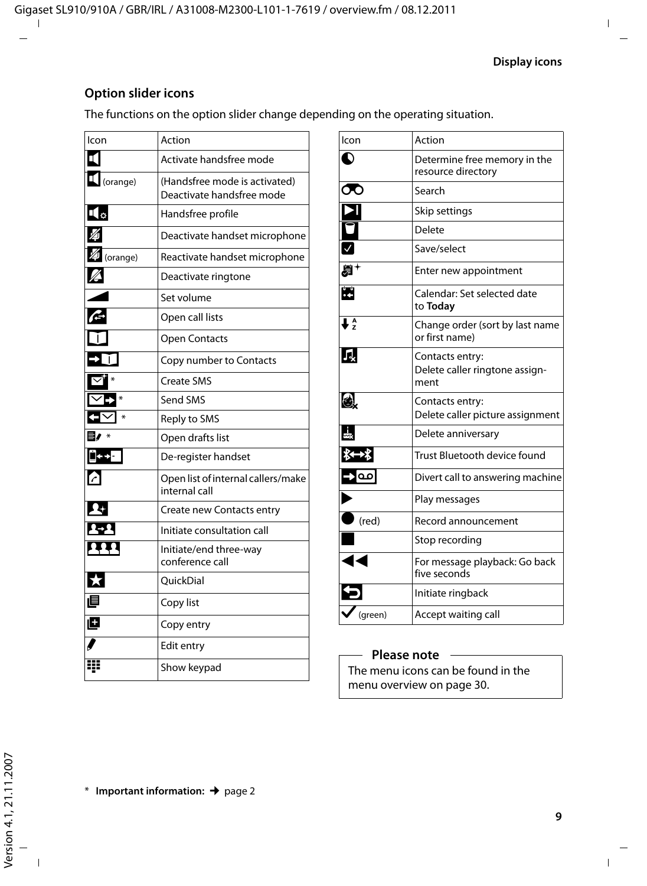#### **Option slider icons**

The functions on the option slider change depending on the operating situation. \*

| Icon                   | Action                                                     |
|------------------------|------------------------------------------------------------|
| πι                     | Activate handsfree mode                                    |
| (orange)               | (Handsfree mode is activated)<br>Deactivate handsfree mode |
| ı(o                    | Handsfree profile                                          |
|                        | Deactivate handset microphone                              |
| $\mathbb Z$ (orange)   | Reactivate handset microphone                              |
| Z                      | Deactivate ringtone                                        |
|                        | Set volume                                                 |
| G                      | Open call lists                                            |
|                        | <b>Open Contacts</b>                                       |
|                        | Copy number to Contacts                                    |
| ☑                      | <b>Create SMS</b>                                          |
| $\triangledown$<br>$*$ | Send SMS                                                   |
| 3V<br>$*$              | Reply to SMS                                               |
|                        | Open drafts list                                           |
| ∐←→ <mark>-</mark>     | De-register handset                                        |
| A                      | Open list of internal callers/make<br>internal call        |
|                        | Create new Contacts entry                                  |
| 41                     | Initiate consultation call                                 |
| <u>111</u>             | Initiate/end three-way<br>conference call                  |
| $\star$                | OuickDial                                                  |
| 直                      | Copy list                                                  |
| Ø                      | Copy entry                                                 |
|                        | Edit entry                                                 |
| ₩                      | Show keypad                                                |

| Icon                                                                                                                                                                                                                                                                                                                                                                                                                       | Action                                                    |
|----------------------------------------------------------------------------------------------------------------------------------------------------------------------------------------------------------------------------------------------------------------------------------------------------------------------------------------------------------------------------------------------------------------------------|-----------------------------------------------------------|
| $\mathbf 0$                                                                                                                                                                                                                                                                                                                                                                                                                | Determine free memory in the<br>resource directory        |
| $\bm{\sigma}$                                                                                                                                                                                                                                                                                                                                                                                                              | Search                                                    |
| NON                                                                                                                                                                                                                                                                                                                                                                                                                        | Skip settings                                             |
|                                                                                                                                                                                                                                                                                                                                                                                                                            | Delete                                                    |
|                                                                                                                                                                                                                                                                                                                                                                                                                            | Save/select                                               |
| SĪ.                                                                                                                                                                                                                                                                                                                                                                                                                        | Enter new appointment                                     |
| $\mathbf{r}$                                                                                                                                                                                                                                                                                                                                                                                                               | Calendar: Set selected date<br>to Today                   |
| $\overline{L^A}$                                                                                                                                                                                                                                                                                                                                                                                                           | Change order (sort by last name<br>or first name)         |
| Л,                                                                                                                                                                                                                                                                                                                                                                                                                         | Contacts entry:<br>Delete caller ringtone assign-<br>ment |
| 6,                                                                                                                                                                                                                                                                                                                                                                                                                         | Contacts entry:<br>Delete caller picture assignment       |
| $\frac{1}{2}$                                                                                                                                                                                                                                                                                                                                                                                                              | Delete anniversary                                        |
|                                                                                                                                                                                                                                                                                                                                                                                                                            | Trust Bluetooth device found                              |
| $\begin{array}{c} \text{I} \ \text{I} \ \text{I} \ \text{I} \ \text{I} \ \text{I} \ \text{I} \ \text{I} \ \text{I} \ \text{I} \ \text{I} \ \text{I} \ \text{I} \ \text{I} \ \text{I} \ \text{I} \ \text{I} \ \text{I} \ \text{I} \ \text{I} \ \text{I} \ \text{I} \ \text{I} \ \text{I} \ \text{I} \ \text{I} \ \text{I} \ \text{I} \ \text{I} \ \text{I} \ \text{I} \ \text{I} \ \text{I} \ \text{I} \ \text{I} \ \text{$ | Divert call to answering machine                          |
|                                                                                                                                                                                                                                                                                                                                                                                                                            | Play messages                                             |
|                                                                                                                                                                                                                                                                                                                                                                                                                            | Record announcement                                       |
| E                                                                                                                                                                                                                                                                                                                                                                                                                          | Stop recording                                            |
|                                                                                                                                                                                                                                                                                                                                                                                                                            | For message playback: Go back<br>five seconds             |
|                                                                                                                                                                                                                                                                                                                                                                                                                            | Initiate ringback                                         |
| (green)                                                                                                                                                                                                                                                                                                                                                                                                                    | Accept waiting call                                       |

#### **Please note**

The menu icons can be found in the menu overview on page 30.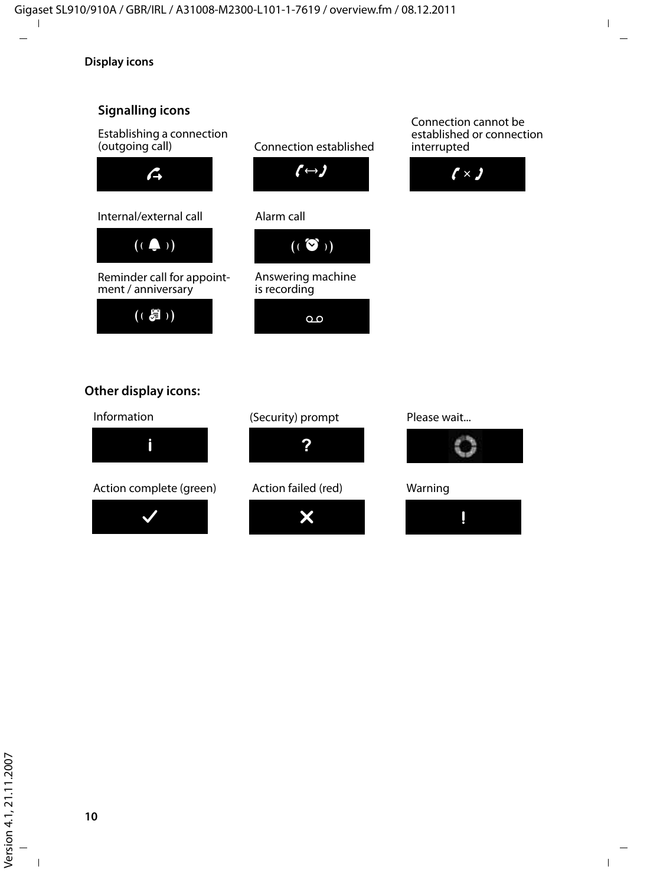#### **Signalling icons**

Establishing a connection (outgoing call)





Reminder call for appointment / anniversary





#### Alarm call



Answering machine is recording



#### Connection cannot be established or connection interrupted





#### **Other display icons:**

#### Information



Action complete (green)







Action failed (red)





#### Warning

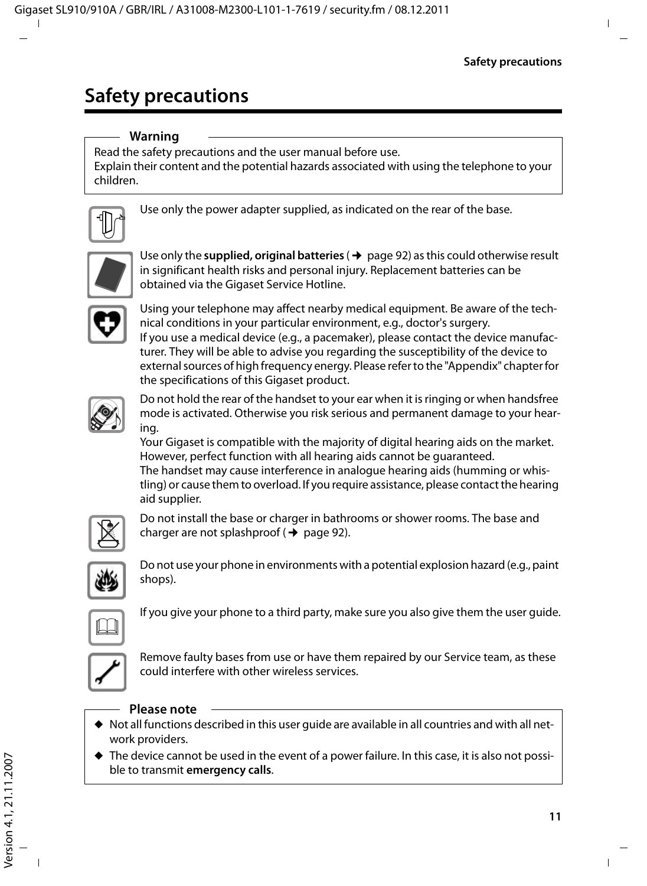## **Safety precautions**

#### **Warning**

Read the safety precautions and the user manual before use.

Explain their content and the potential hazards associated with using the telephone to your children.



Use only the power adapter supplied, as indicated on the rear of the base.



Use only the **supplied, original batteries** ( $\rightarrow$  page 92) as this could otherwise result in significant health risks and personal injury. Replacement batteries can be obtained via the Gigaset Service Hotline.



Using your telephone may affect nearby medical equipment. Be aware of the technical conditions in your particular environment, e.g., doctor's surgery. If you use a medical device (e.g., a pacemaker), please contact the device manufacturer. They will be able to advise you regarding the susceptibility of the device to external sources of high frequency energy. Please refer to the "Appendix" chapter for the specifications of this Gigaset product.



Do not hold the rear of the handset to your ear when it is ringing or when handsfree mode is activated. Otherwise you risk serious and permanent damage to your hearing.

Your Gigaset is compatible with the majority of digital hearing aids on the market. However, perfect function with all hearing aids cannot be guaranteed. The handset may cause interference in analogue hearing aids (humming or whistling) or cause them to overload. If you require assistance, please contact the hearing aid supplier.



Do not install the base or charger in bathrooms or shower rooms. The base and charger are not splashproof ( $\rightarrow$  page 92).



Do not use your phone in environments with a potential explosion hazard (e.g., paint shops).



If you give your phone to a third party, make sure you also give them the user guide.



Remove faulty bases from use or have them repaired by our Service team, as these could interfere with other wireless services.

#### **Please note**

- $\blacklozenge$  Not all functions described in this user quide are available in all countries and with all network providers.
- $\blacklozenge$  The device cannot be used in the event of a power failure. In this case, it is also not possible to transmit **emergency calls**.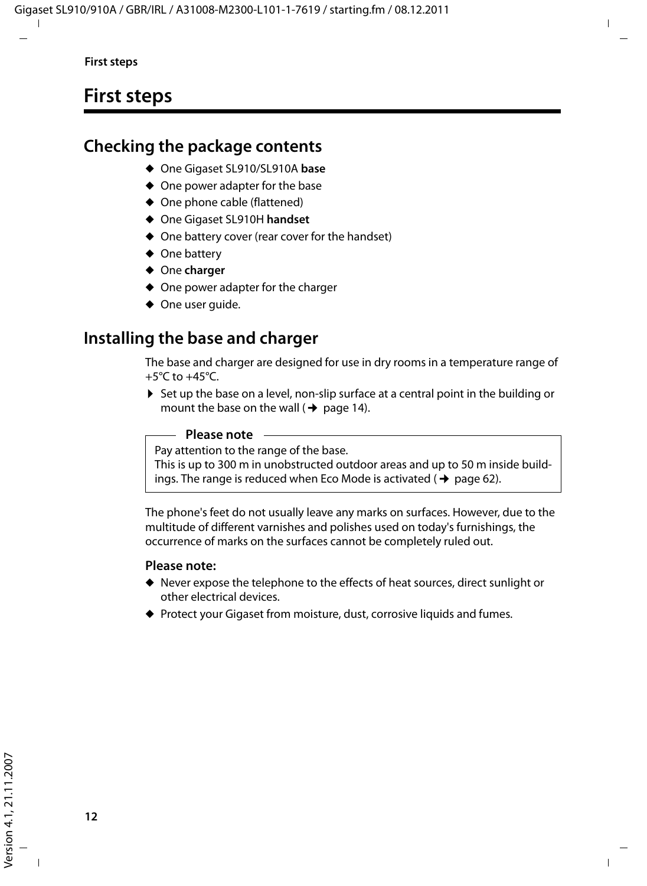## **First steps**

## **Checking the package contents**

- ◆ One Gigaset SL910/SL910A base
- $\triangle$  One power adapter for the base
- $\triangle$  One phone cable (flattened)
- ◆ One Gigaset SL910H handset
- $\triangle$  One battery cover (rear cover for the handset)
- $\triangleleft$  One battery
- ◆ One charger
- $\triangle$  One power adapter for the charger
- $\blacklozenge$  One user quide.

## **Installing the base and charger**

The base and charger are designed for use in dry rooms in a temperature range of  $+5^{\circ}$ C to  $+45^{\circ}$ C.

 $\triangleright$  Set up the base on a level, non-slip surface at a central point in the building or mount the base on the wall ( $\rightarrow$  page 14).

#### **Please note**

Pay attention to the range of the base.

This is up to 300 m in unobstructed outdoor areas and up to 50 m inside buildings. The range is reduced when Eco Mode is activated  $($   $\rightarrow$  page 62).

The phone's feet do not usually leave any marks on surfaces. However, due to the multitude of different varnishes and polishes used on today's furnishings, the occurrence of marks on the surfaces cannot be completely ruled out.

#### **Please note:**

- $\blacklozenge$  Never expose the telephone to the effects of heat sources, direct sunlight or other electrical devices.
- ◆ Protect your Gigaset from moisture, dust, corrosive liquids and fumes.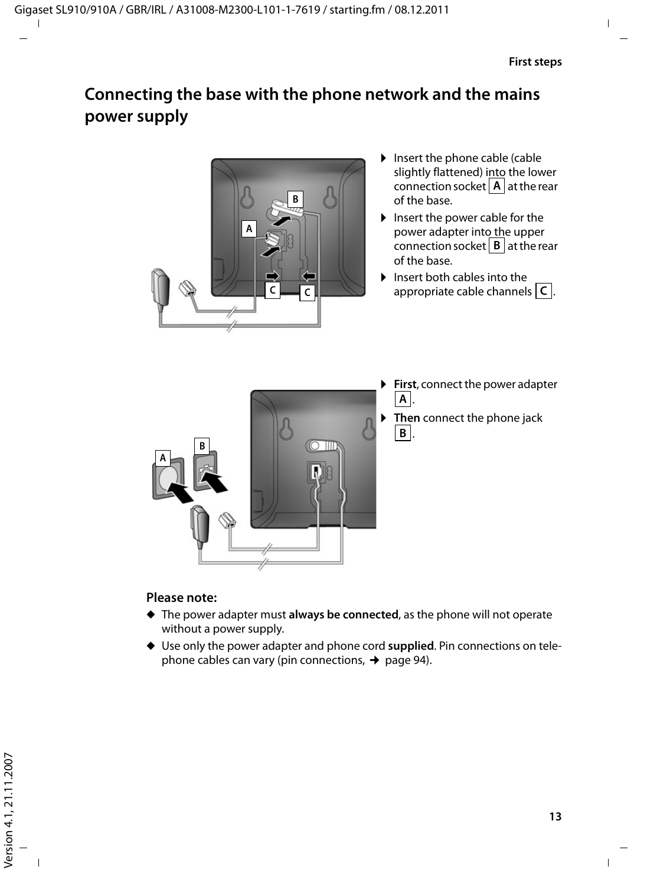## **Connecting the base with the phone network and the mains power supply**



- $\blacktriangleright$  Insert the phone cable (cable slightly flattened) into the lower connection socket  $\boxed{A}$  at the rear of the base.
- $\blacktriangleright$  Insert the power cable for the power adapter into the upper connection socket  $\boxed{B}$  at the rear of the base.
- $\blacktriangleright$  Insert both cables into the appropriate cable channels  $\boxed{\mathsf{C}}$ .



- **First**, connect the power adapter . **A**
- **Then** connect the phone jack . **B**

#### **Please note:**

- ◆ The power adapter must always be connected, as the phone will not operate without a power supply.
- ◆ Use only the power adapter and phone cord supplied. Pin connections on telephone cables can vary (pin connections,  $\rightarrow$  page 94).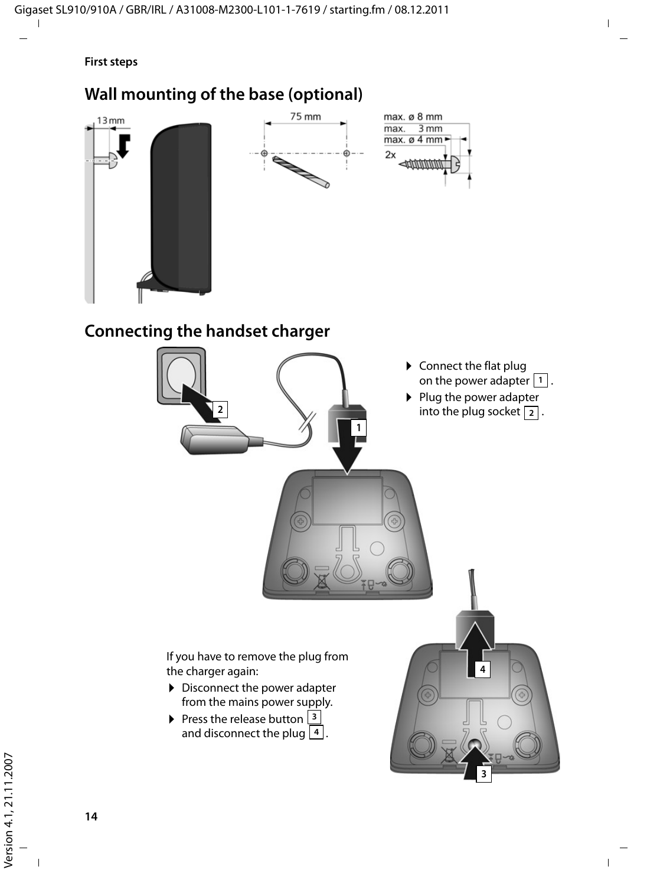#### **First steps**

## **Wall mounting of the base (optional)**

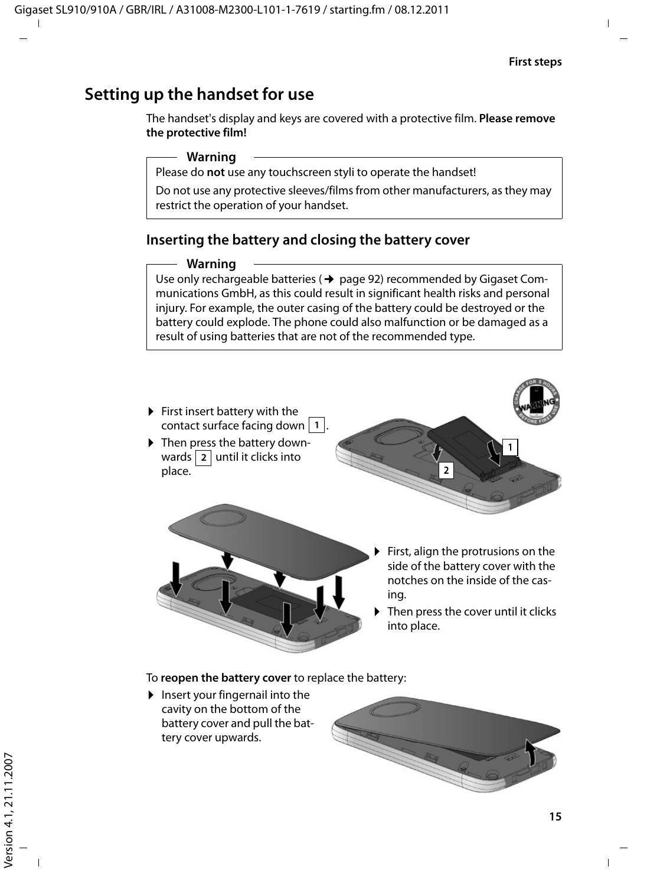## **Setting up the handset for use**

The handset's display and keys are covered with a protective film. **Please remove the protective film!**

#### **Warning**

Please do **not** use any touchscreen styli to operate the handset!

Do not use any protective sleeves/films from other manufacturers, as they may restrict the operation of your handset.

#### **Inserting the battery and closing the battery cover**

#### **Warning**

Use only rechargeable batteries ( $\rightarrow$  page 92) recommended by Gigaset Communications GmbH, as this could result in significant health risks and personal injury. For example, the outer casing of the battery could be destroyed or the battery could explode. The phone could also malfunction or be damaged as a result of using batteries that are not of the recommended type.



Then press the cover until it clicks into place.

To **reopen the battery cover** to replace the battery:

 $\blacktriangleright$  Insert your fingernail into the cavity on the bottom of the battery cover and pull the battery cover upwards.

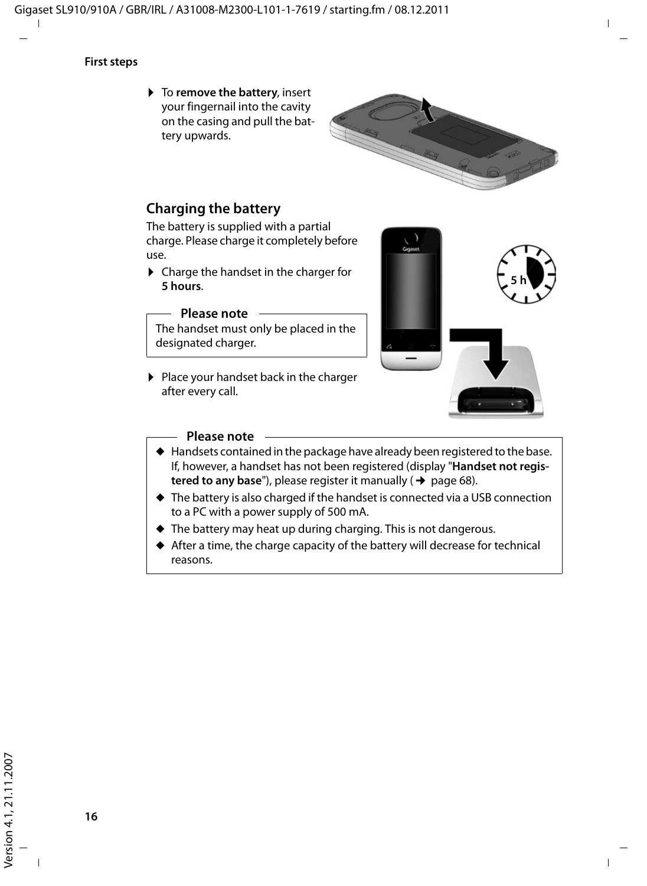#### **First steps**

▶ To **remove the battery**, insert your fingernail into the cavity on the casing and pull the battery upwards.



#### **Charging the battery**

The battery is supplied with a partial charge. Please charge it completely before use.

 $\triangleright$  Charge the handset in the charger for **5 hours**.

#### **Please note**

The handset must only be placed in the designated charger.

▶ Place your handset back in the charger after every call.



#### **Please note**

- $\blacklozenge$  Handsets contained in the package have already been registered to the base. If, however, a handset has not been registered (display "**Handset not registered to any base**"), please register it manually (→ page 68).
- $\triangle$  The battery is also charged if the handset is connected via a USB connection to a PC with a power supply of 500 mA.
- $\blacklozenge$  The battery may heat up during charging. This is not dangerous.
- $\blacklozenge$  After a time, the charge capacity of the battery will decrease for technical reasons.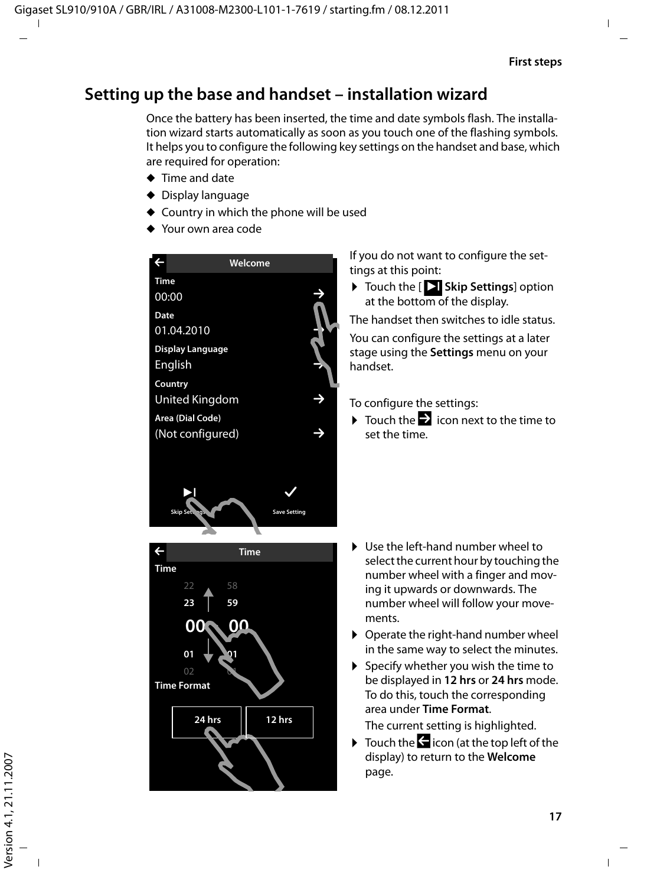## **Setting up the base and handset – installation wizard**

Once the battery has been inserted, the time and date symbols flash. The installation wizard starts automatically as soon as you touch one of the flashing symbols. It helps you to configure the following key settings on the handset and base, which are required for operation:

- $\triangle$  Time and date
- $\triangle$  Display language
- $\triangle$  Country in which the phone will be used
- $\triangle$  Your own area code



L **Time Time** 22 58 **23 59 00** : **00 01 01 Time Format 24 hrs 12 hrs** If you do not want to configure the settings at this point:

▶ Touch the [ **Skip Settings**] option at the bottom of the display.

The handset then switches to idle status.

You can configure the settings at a later stage using the **Settings** menu on your handset.

To configure the settings:

 $\triangleright$  Touch the  $\triangleright$  icon next to the time to set the time.

- $\triangleright$  Use the left-hand number wheel to select the current hour by touching the number wheel with a finger and moving it upwards or downwards. The number wheel will follow your movements.
- $\triangleright$  Operate the right-hand number wheel in the same way to select the minutes.
- $\triangleright$  Specify whether you wish the time to be displayed in **12 hrs** or **24 hrs** mode. To do this, touch the corresponding area under **Time Format**.

The current setting is highlighted.

 $\triangleright$  Touch the  $\bigodot$  icon (at the top left of the display) to return to the **Welcome** page.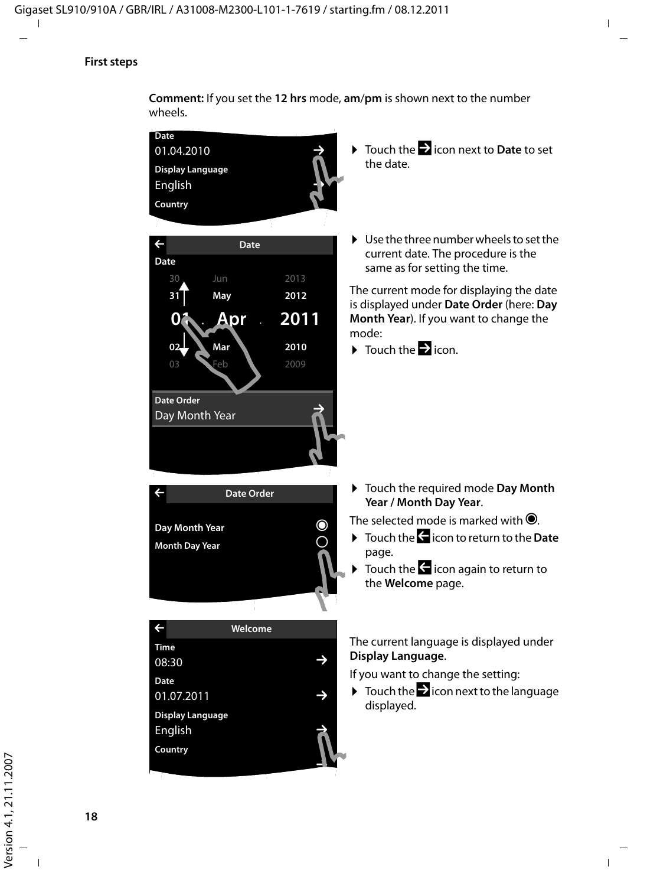#### **First steps**



**Comment:** If you set the **12 hrs** mode, **am**/**pm** is shown next to the number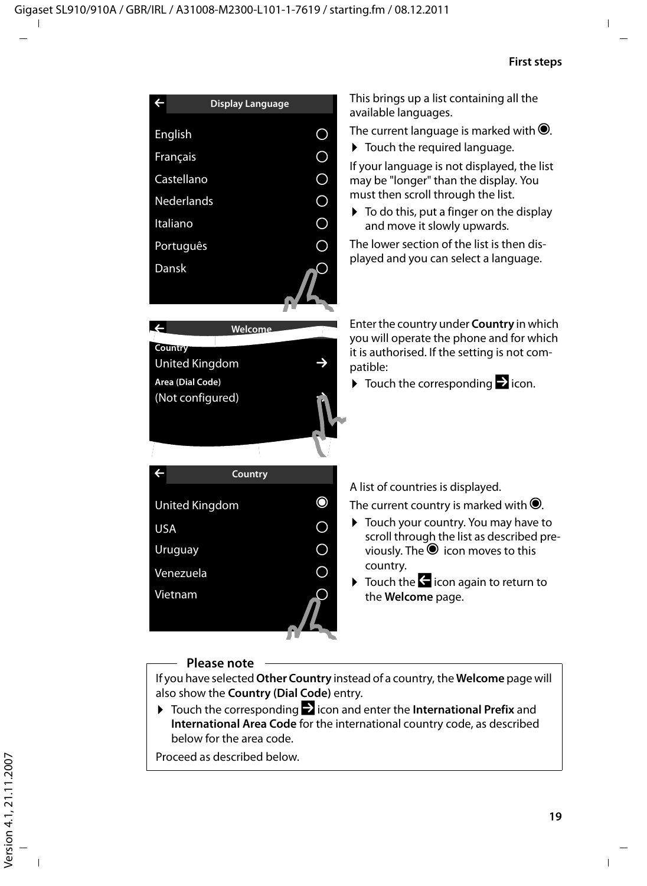

#### **Please note**

If you have selected **Other Country** instead of a country, the **Welcome** page will also show the **Country (Dial Code)** entry.

 $\triangleright$  Touch the corresponding  $\triangleright$  icon and enter the **International Prefix** and **International Area Code** for the international country code, as described below for the area code.

Proceed as described below.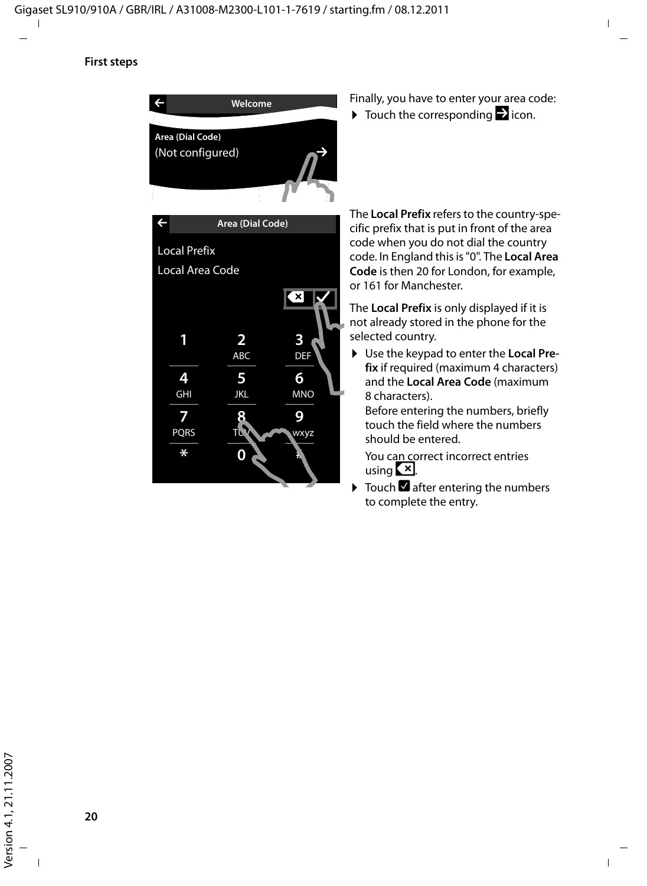

- Finally, you have to enter your area code:
- $\triangleright$  Touch the corresponding  $\triangleright$  icon.

The **Local Prefix** refers to the country-specific prefix that is put in front of the area code when you do not dial the country code. In England this is "0". The **Local Area Code** is then 20 for London, for example, or 161 for Manchester.

The **Local Prefix** is only displayed if it is not already stored in the phone for the selected country.

▶ Use the keypad to enter the **Local Prefix** if required (maximum 4 characters) and the **Local Area Code** (maximum 8 characters).

Before entering the numbers, briefly touch the field where the numbers should be entered.

You can correct incorrect entries using **.** 

 $\triangleright$  Touch  $\blacksquare$  after entering the numbers to complete the entry.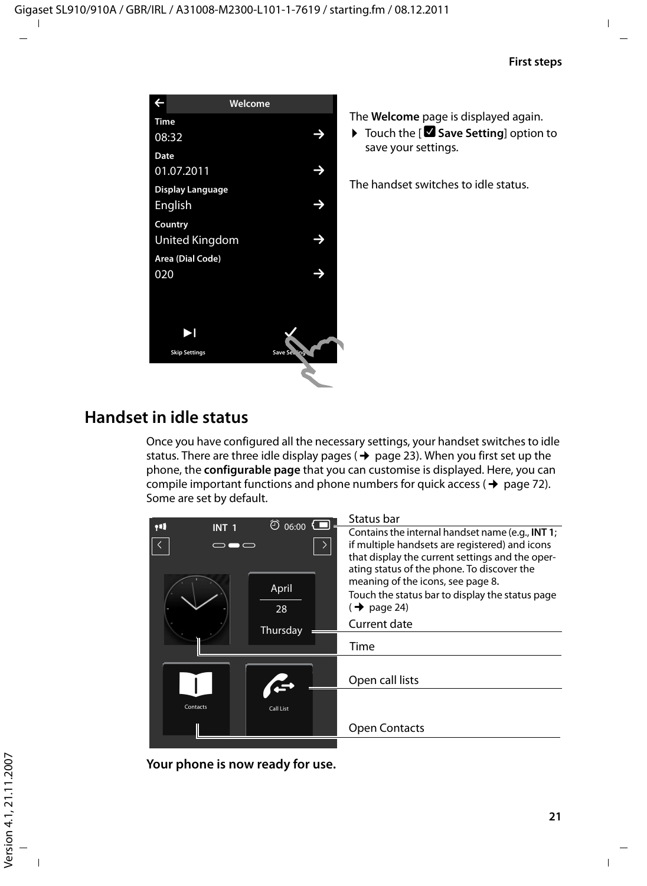| L<br>Welcome          |                 |
|-----------------------|-----------------|
| Time                  |                 |
| 08:32                 |                 |
| Date                  |                 |
| 01.07.2011            |                 |
| Display Language      |                 |
| English               |                 |
| Country               |                 |
| <b>United Kingdom</b> |                 |
| Area (Dial Code)      |                 |
| 020                   |                 |
|                       |                 |
|                       |                 |
|                       |                 |
|                       |                 |
| <b>Skip Settings</b>  | Save Set<br>٦ģ, |
|                       |                 |

The **Welcome** page is displayed again.

▶ Touch the [**Ø Save Setting**] option to save your settings.

The handset switches to idle status.

## **Handset in idle status**

Once you have configured all the necessary settings, your handset switches to idle status. There are three idle display pages ( $\rightarrow$  page 23). When you first set up the phone, the **configurable page** that you can customise is displayed. Here, you can compile important functions and phone numbers for quick access ( $\rightarrow$  page 72). Some are set by default.

|          |              | $\odot$ 06:00 $\bigcirc$ | Status bar                                                                                                                                                                                                                                                                                                                             |
|----------|--------------|--------------------------|----------------------------------------------------------------------------------------------------------------------------------------------------------------------------------------------------------------------------------------------------------------------------------------------------------------------------------------|
| ŢП       | <b>INT 1</b> | April<br>28<br>Thursday  | Contains the internal handset name (e.g., INT 1;<br>if multiple handsets are registered) and icons<br>that display the current settings and the oper-<br>ating status of the phone. To discover the<br>meaning of the icons, see page 8.<br>Touch the status bar to display the status page<br>$(\rightarrow$ page 24)<br>Current date |
|          |              |                          | Time                                                                                                                                                                                                                                                                                                                                   |
|          |              |                          | Open call lists                                                                                                                                                                                                                                                                                                                        |
| Contacts |              | Call List                |                                                                                                                                                                                                                                                                                                                                        |
|          |              |                          | <b>Open Contacts</b>                                                                                                                                                                                                                                                                                                                   |
|          |              |                          |                                                                                                                                                                                                                                                                                                                                        |

**Your phone is now ready for use.**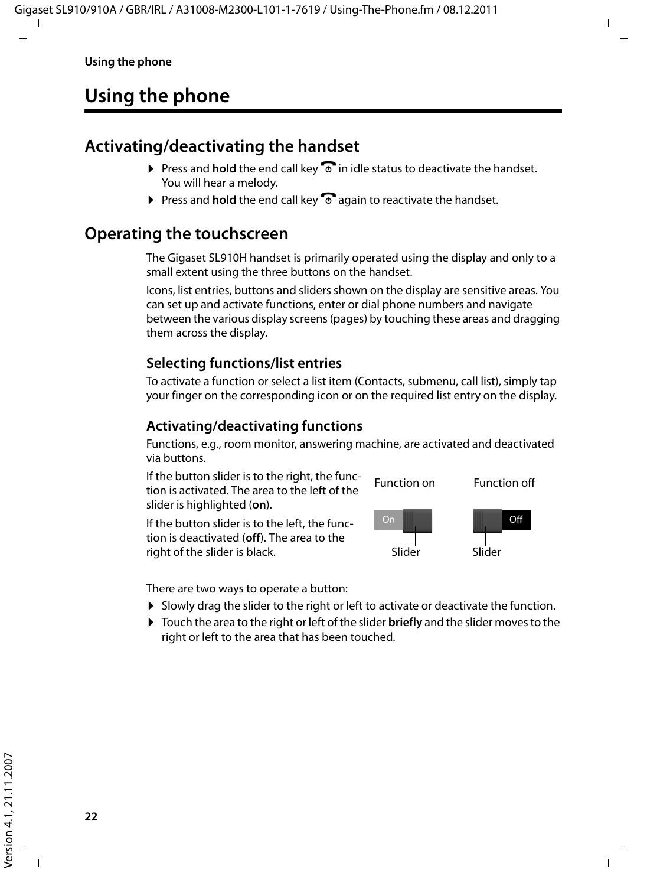## **Using the phone**

## **Activating/deactivating the handset**

- $\triangleright$  Press and **hold** the end call key  $\widehat{\bullet}$  in idle status to deactivate the handset. You will hear a melody.
- $\triangleright$  Press and **hold** the end call key  $\widehat{\bullet}$  again to reactivate the handset.

## **Operating the touchscreen**

The Gigaset SL910H handset is primarily operated using the display and only to a small extent using the three buttons on the handset.

Icons, list entries, buttons and sliders shown on the display are sensitive areas. You can set up and activate functions, enter or dial phone numbers and navigate between the various display screens (pages) by touching these areas and dragging them across the display.

#### **Selecting functions/list entries**

To activate a function or select a list item (Contacts, submenu, call list), simply tap your finger on the corresponding icon or on the required list entry on the display.

#### **Activating/deactivating functions**

Functions, e.g., room monitor, answering machine, are activated and deactivated via buttons.

If the button slider is to the right, the function is activated. The area to the left of the slider is highlighted (**on**).

If the button slider is to the left, the function is deactivated (**off**). The area to the right of the slider is black.



There are two ways to operate a button:

- $\triangleright$  Slowly drag the slider to the right or left to activate or deactivate the function.
- ▶ Touch the area to the right or left of the slider **briefly** and the slider moves to the right or left to the area that has been touched.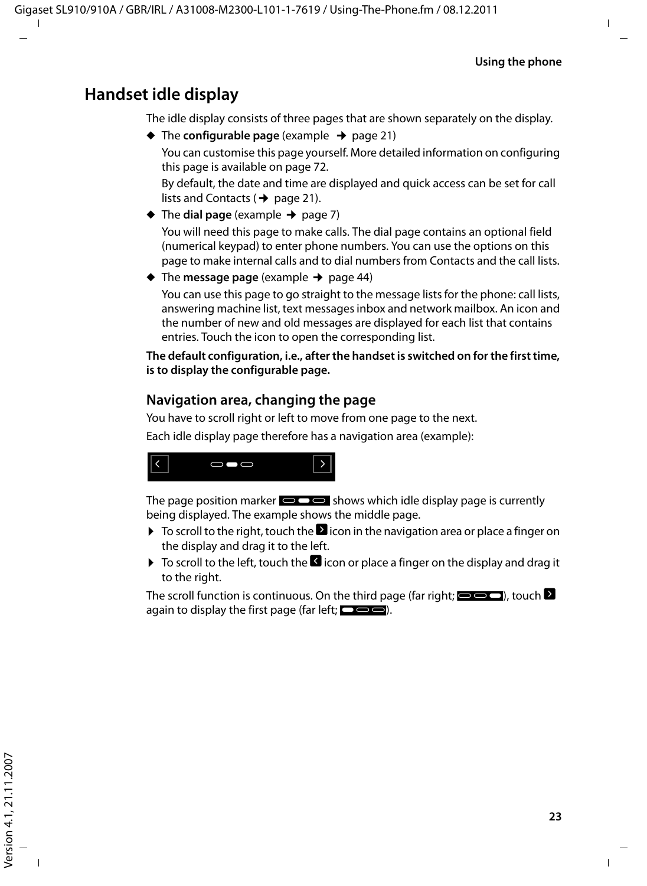## **Handset idle display**

The idle display consists of three pages that are shown separately on the display.

 $\triangle$  The **configurable page** (example  $\rightarrow$  page 21)

You can customise this page yourself. More detailed information on configuring this page is available on page 72.

By default, the date and time are displayed and quick access can be set for call lists and Contacts ( $\rightarrow$  page 21).

- $\triangleleft$  The **dial page** (example  $\rightarrow$  page 7) You will need this page to make calls. The dial page contains an optional field (numerical keypad) to enter phone numbers. You can use the options on this page to make internal calls and to dial numbers from Contacts and the call lists.
- $\blacklozenge$  The **message page** (example  $\blacktriangleright$  page 44) You can use this page to go straight to the message lists for the phone: call lists, answering machine list, text messages inbox and network mailbox. An icon and the number of new and old messages are displayed for each list that contains entries. Touch the icon to open the corresponding list.

**The default configuration, i.e., after the handset is switched on for the first time, is to display the configurable page.**

#### **Navigation area, changing the page**

You have to scroll right or left to move from one page to the next.

Each idle display page therefore has a navigation area (example):



The page position marker  $\blacksquare$  shows which idle display page is currently being displayed. The example shows the middle page.

- $\triangleright$  To scroll to the right, touch the  $\blacksquare$  icon in the navigation area or place a finger on the display and drag it to the left.
- $\triangleright$  To scroll to the left, touch the  $\blacksquare$  icon or place a finger on the display and drag it to the right.

The scroll function is continuous. On the third page (far right;  $\bigcirc$   $\bigcirc$  ), touch  $\bullet$ again to display the first page (far left;  $\Box$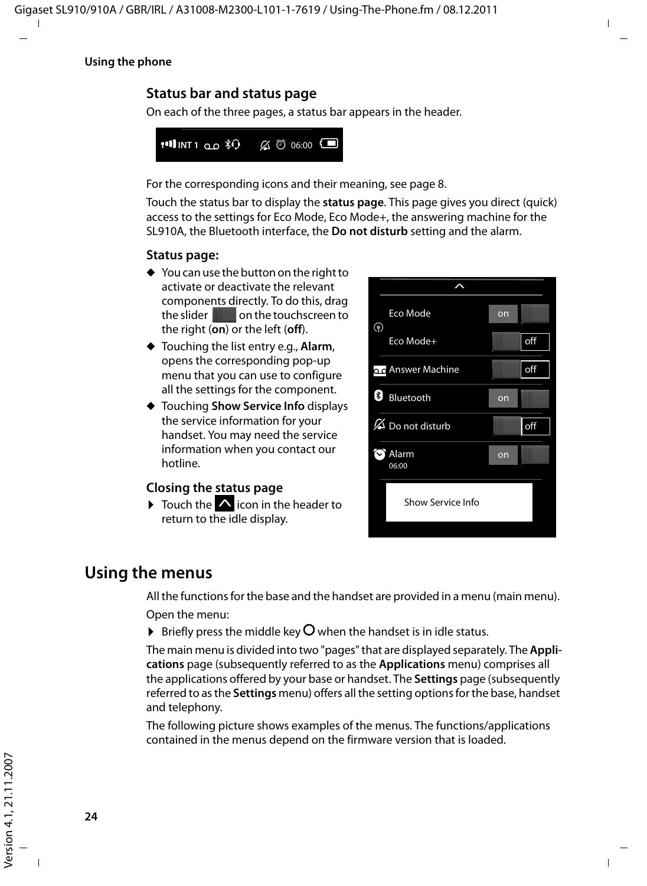#### **Using the phone**

#### **Status bar and status page**

On each of the three pages, a status bar appears in the header.

For the corresponding icons and their meaning, see page 8.

Touch the status bar to display the **status page**. This page gives you direct (quick) access to the settings for Eco Mode, Eco Mode+, the answering machine for the SL910A, the Bluetooth interface, the **Do not disturb** setting and the alarm.

#### **Status page:**

- $\triangleq$  You can use the button on the right to activate or deactivate the relevant components directly. To do this, drag the slider  $\blacksquare$  on the touchscreen to the right (**on**) or the left (**off**).
- ◆ Touching the list entry e.g., **Alarm**, opens the corresponding pop-up menu that you can use to configure all the settings for the component.
- u Touching **Show Service Info** displays the service information for your handset. You may need the service information when you contact our hotline.

#### **Closing the status page**

▶ Touch the △ icon in the header to **Example 28** Show Service Info return to the idle display.



#### **Using the menus**

All the functions for the base and the handset are provided in a menu (main menu).

Open the menu:

 $\triangleright$  Briefly press the middle key  $\bigcirc$  when the handset is in idle status.

The main menu is divided into two "pages" that are displayed separately. The **Applications** page (subsequently referred to as the **Applications** menu) comprises all the applications offered by your base or handset. The **Settings** page (subsequently referred to as the **Settings** menu) offers all the setting options for the base, handset and telephony.

The following picture shows examples of the menus. The functions/applications contained in the menus depend on the firmware version that is loaded.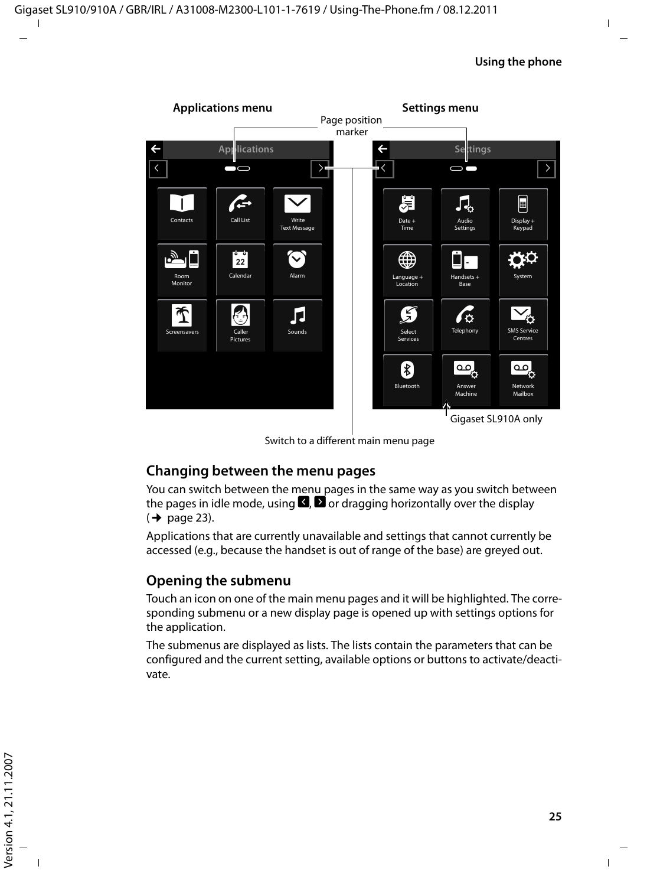

Switch to a different main menu page

#### **Changing between the menu pages**

You can switch between the menu pages in the same way as you switch between the pages in idle mode, using  $\Box$  or dragging horizontally over the display  $($   $\rightarrow$  page 23).

Applications that are currently unavailable and settings that cannot currently be accessed (e.g., because the handset is out of range of the base) are greyed out.

#### **Opening the submenu**

Touch an icon on one of the main menu pages and it will be highlighted. The corresponding submenu or a new display page is opened up with settings options for the application.

The submenus are displayed as lists. The lists contain the parameters that can be configured and the current setting, available options or buttons to activate/deactivate.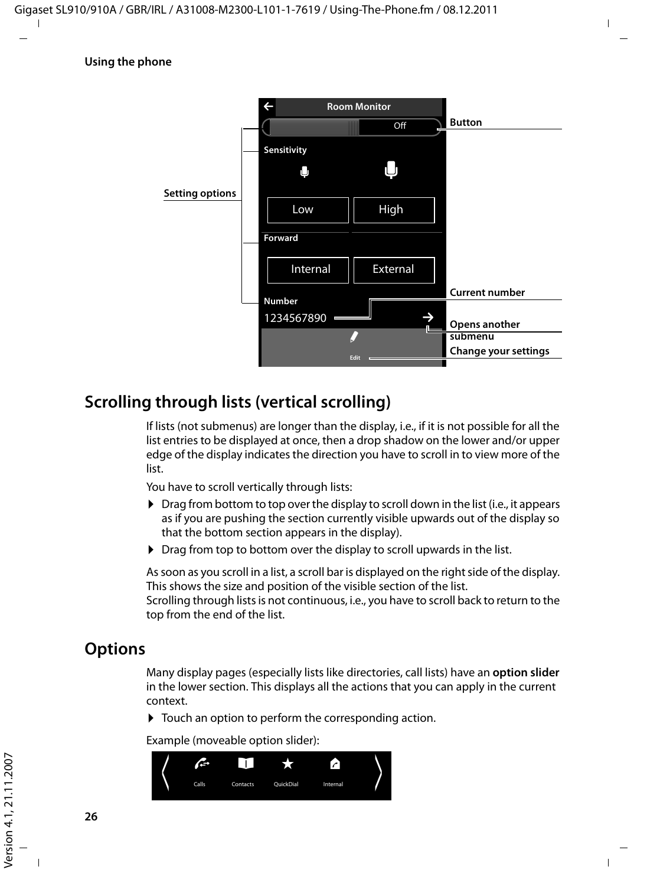

## **Scrolling through lists (vertical scrolling)**

If lists (not submenus) are longer than the display, i.e., if it is not possible for all the list entries to be displayed at once, then a drop shadow on the lower and/or upper edge of the display indicates the direction you have to scroll in to view more of the list.

You have to scroll vertically through lists:

- $\triangleright$  Drag from bottom to top over the display to scroll down in the list (i.e., it appears as if you are pushing the section currently visible upwards out of the display so that the bottom section appears in the display).
- $\triangleright$  Drag from top to bottom over the display to scroll upwards in the list.

As soon as you scroll in a list, a scroll bar is displayed on the right side of the display. This shows the size and position of the visible section of the list.

Scrolling through lists is not continuous, i.e., you have to scroll back to return to the top from the end of the list.

## **Options**

Many display pages (especially lists like directories, call lists) have an **option slider** in the lower section. This displays all the actions that you can apply in the current context.

 $\triangleright$  Touch an option to perform the corresponding action.

Example (moveable option slider):

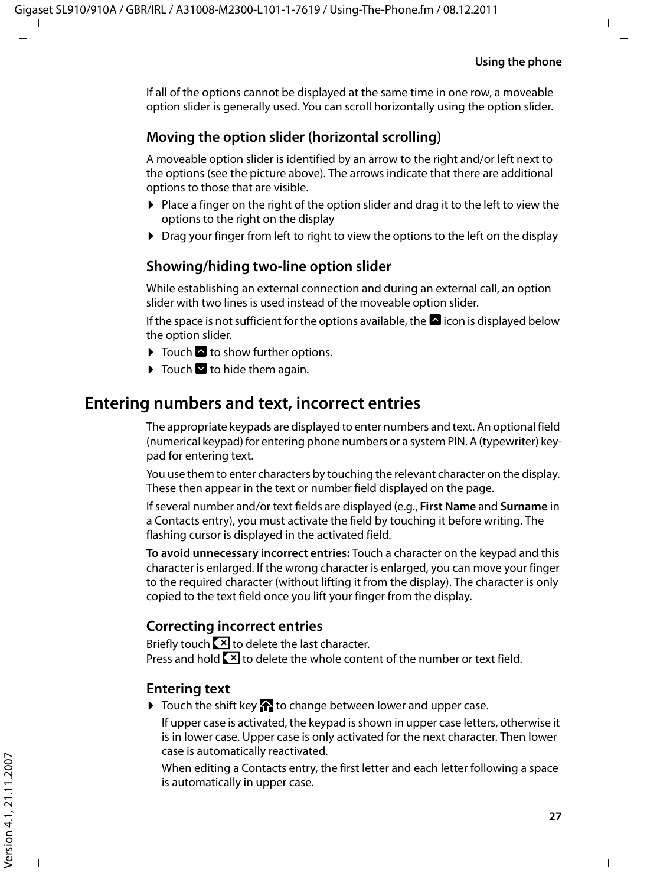If all of the options cannot be displayed at the same time in one row, a moveable option slider is generally used. You can scroll horizontally using the option slider.

#### **Moving the option slider (horizontal scrolling)**

A moveable option slider is identified by an arrow to the right and/or left next to the options (see the picture above). The arrows indicate that there are additional options to those that are visible.

- $\triangleright$  Place a finger on the right of the option slider and drag it to the left to view the options to the right on the display
- $\triangleright$  Drag your finger from left to right to view the options to the left on the display

#### **Showing/hiding two-line option slider**

While establishing an external connection and during an external call, an option slider with two lines is used instead of the moveable option slider.

If the space is not sufficient for the options available, the  $\blacksquare$  icon is displayed below the option slider.

- $\blacktriangleright$  Touch  $\blacktriangle$  to show further options.
- $\blacktriangleright$  Touch  $\blacktriangleright$  to hide them again.

### **Entering numbers and text, incorrect entries**

The appropriate keypads are displayed to enter numbers and text. An optional field (numerical keypad) for entering phone numbers or a system PIN. A (typewriter) keypad for entering text.

You use them to enter characters by touching the relevant character on the display. These then appear in the text or number field displayed on the page.

If several number and/or text fields are displayed (e.g., **First Name** and **Surname** in a Contacts entry), you must activate the field by touching it before writing. The flashing cursor is displayed in the activated field.

**To avoid unnecessary incorrect entries:** Touch a character on the keypad and this character is enlarged. If the wrong character is enlarged, you can move your finger to the required character (without lifting it from the display). The character is only copied to the text field once you lift your finger from the display.

#### **Correcting incorrect entries**

Briefly touch  $\boxed{\times}$  to delete the last character. Press and hold  $\boxed{\times}$  to delete the whole content of the number or text field.

#### **Entering text**

 $\triangleright$  Touch the shift key  $\triangleright$  to change between lower and upper case.

If upper case is activated, the keypad is shown in upper case letters, otherwise it is in lower case. Upper case is only activated for the next character. Then lower case is automatically reactivated.

When editing a Contacts entry, the first letter and each letter following a space is automatically in upper case.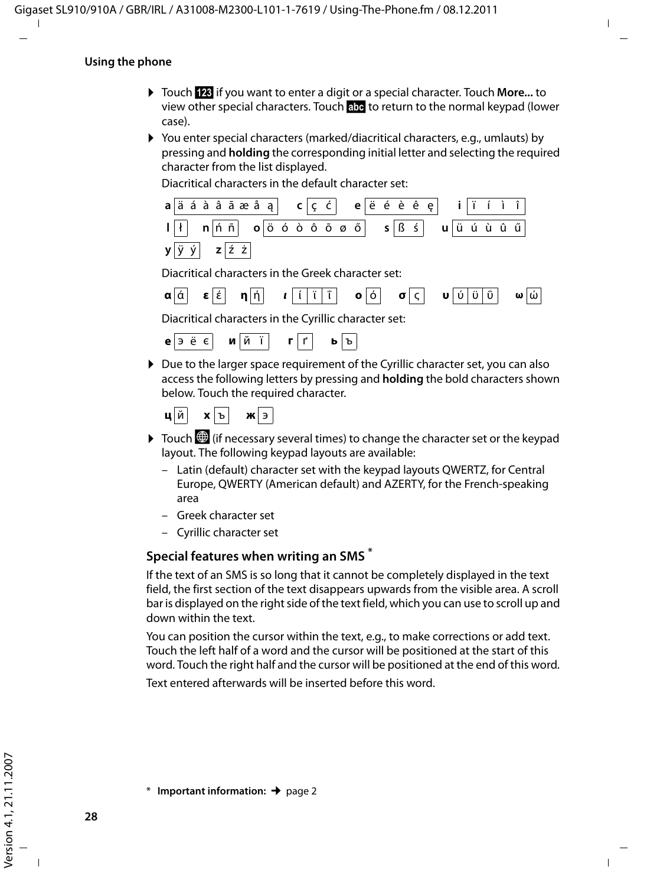#### **Using the phone**

- ¤ Touch **§123§** if you want to enter a digit or a special character. Touch **More...** to view other special characters. Touch **§abc§** to return to the normal keypad (lower case).
- ▶ You enter special characters (marked/diacritical characters, e.g., umlauts) by pressing and **holding** the corresponding initial letter and selecting the required character from the list displayed.

Diacritical characters in the default character set:



access the following letters by pressing and **holding** the bold characters shown below. Touch the required character.

```
ц й x ъ ж э
```
- $\triangleright$  Touch  $\bigcirc$  (if necessary several times) to change the character set or the keypad layout. The following keypad layouts are available:
	- Latin (default) character set with the keypad layouts QWERTZ, for Central Europe, QWERTY (American default) and AZERTY, for the French-speaking area
	- Greek character set
	- Cyrillic character set

#### **Special features when writing an SMS \***

If the text of an SMS is so long that it cannot be completely displayed in the text field, the first section of the text disappears upwards from the visible area. A scroll bar is displayed on the right side of the text field, which you can use to scroll up and down within the text.

You can position the cursor within the text, e.g., to make corrections or add text. Touch the left half of a word and the cursor will be positioned at the start of this word. Touch the right half and the cursor will be positioned at the end of this word.

Text entered afterwards will be inserted before this word.

<sup>\*</sup> **Important information:**¢page 2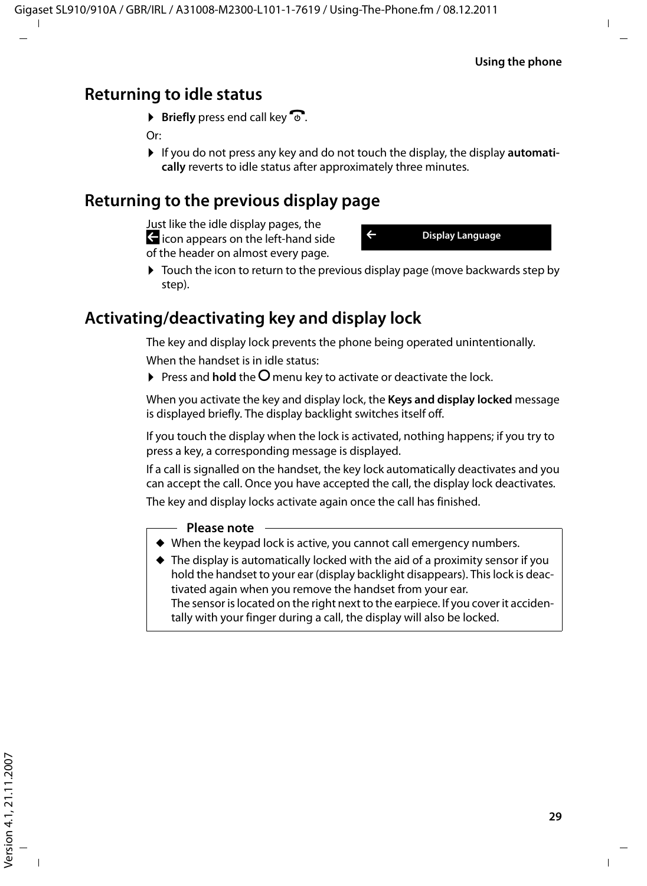## **Returning to idle status**

 $\triangleright$  **Briefly** press end call key  $\widehat{\mathcal{C}}$ .

Or:

If you do not press any key and do not touch the display, the display **automatically** reverts to idle status after approximately three minutes.

## **Returning to the previous display page**

Just like the idle display pages, the  $\blacktriangle$  icon appears on the left-hand side of the header on almost every page.



 $\triangleright$  Touch the icon to return to the previous display page (move backwards step by step).

## **Activating/deactivating key and display lock**

The key and display lock prevents the phone being operated unintentionally.

When the handset is in idle status:

 $\triangleright$  Press and **hold** the  $\bigcirc$  menu key to activate or deactivate the lock.

When you activate the key and display lock, the **Keys and display locked** message is displayed briefly. The display backlight switches itself off.

If you touch the display when the lock is activated, nothing happens; if you try to press a key, a corresponding message is displayed.

If a call is signalled on the handset, the key lock automatically deactivates and you can accept the call. Once you have accepted the call, the display lock deactivates.

The key and display locks activate again once the call has finished.

#### **Please note**

- $\blacklozenge$  When the keypad lock is active, you cannot call emergency numbers.
- $\triangle$  The display is automatically locked with the aid of a proximity sensor if you hold the handset to your ear (display backlight disappears). This lock is deactivated again when you remove the handset from your ear. The sensor is located on the right next to the earpiece. If you cover it accidentally with your finger during a call, the display will also be locked.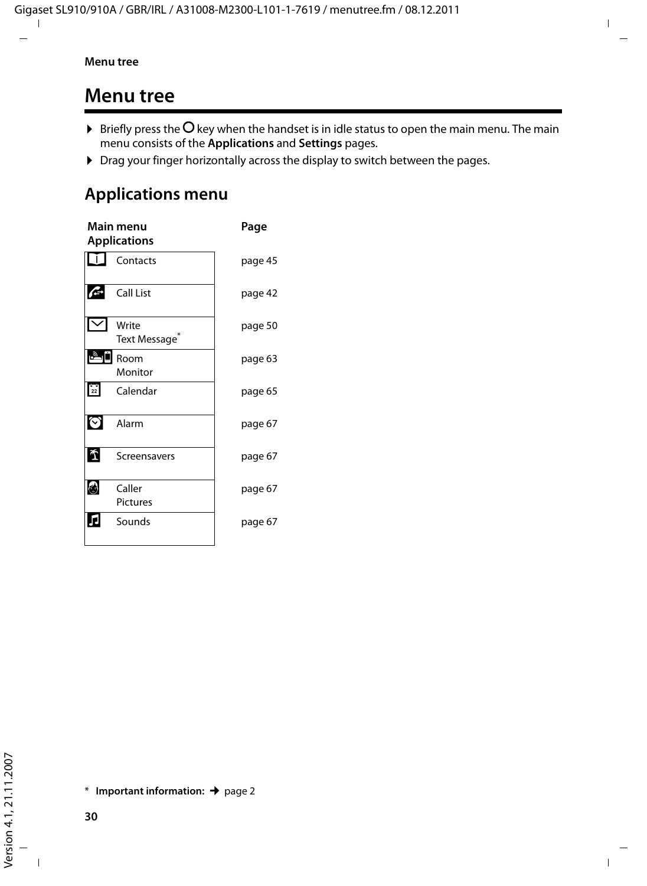## **Menu tree**

- $\blacktriangleright$  Briefly press the  $O$  key when the handset is in idle status to open the main menu. The main menu consists of the **Applications** and **Settings** pages.
- ▶ Drag your finger horizontally across the display to switch between the pages.

## **Applications menu \***

|                  | Main menu<br><b>Applications</b> | Page    |
|------------------|----------------------------------|---------|
|                  | Contacts                         | page 45 |
|                  | Call List                        | page 42 |
|                  | Write<br>Text Message            | page 50 |
| $\overline{v_y}$ | Room<br>Monitor                  | page 63 |
| $\frac{6}{22}$   | Calendar                         | page 65 |
| (√)              | Alarm                            | page 67 |
|                  | Screensavers                     | page 67 |
|                  | Caller<br><b>Pictures</b>        | page 67 |
|                  | Sounds                           | page 67 |
|                  |                                  |         |

<sup>\*</sup> **Important information:**¢page 2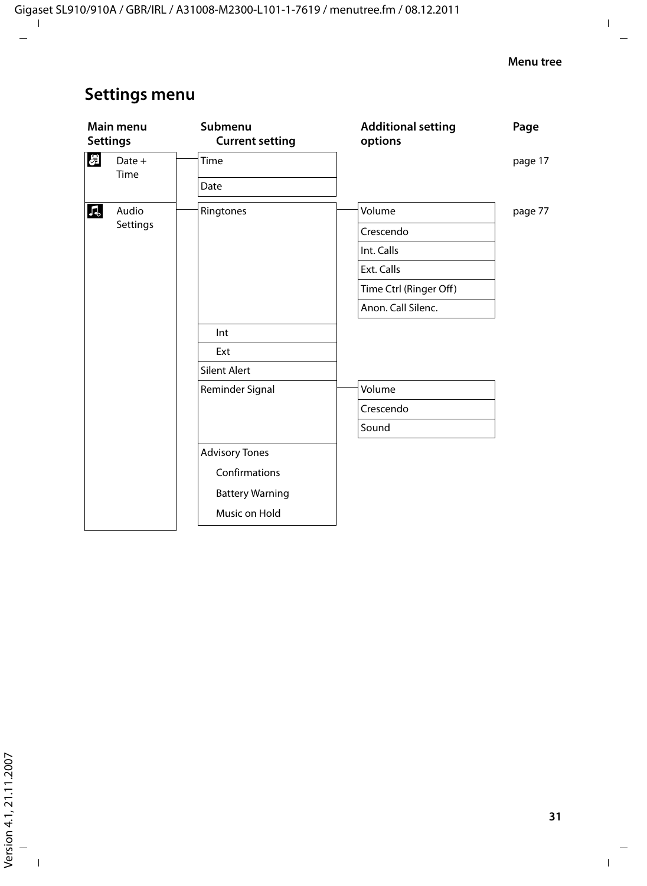## **Settings menu**

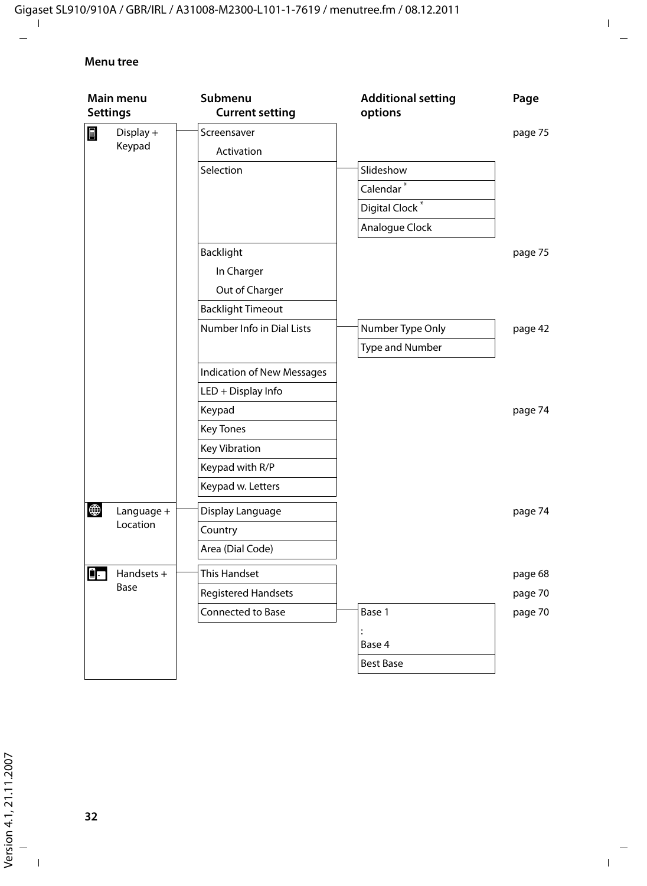#### **Menu tree**

| Main menu<br><b>Settings</b> |            | Submenu<br><b>Current setting</b> | <b>Additional setting</b><br>options | Page    |
|------------------------------|------------|-----------------------------------|--------------------------------------|---------|
| $\blacksquare$               | Display +  | Screensaver                       |                                      | page 75 |
|                              | Keypad     | Activation                        |                                      |         |
|                              |            | Selection                         | Slideshow                            |         |
|                              |            |                                   | Calendar <sup>*</sup>                |         |
|                              |            |                                   | Digital Clock <sup>*</sup>           |         |
|                              |            |                                   | Analogue Clock                       |         |
|                              |            | Backlight                         |                                      | page 75 |
|                              |            | In Charger                        |                                      |         |
|                              |            | Out of Charger                    |                                      |         |
|                              |            | <b>Backlight Timeout</b>          |                                      |         |
|                              |            | Number Info in Dial Lists         | Number Type Only                     | page 42 |
|                              |            |                                   | Type and Number                      |         |
|                              |            | <b>Indication of New Messages</b> |                                      |         |
|                              |            | LED + Display Info                |                                      |         |
|                              |            | Keypad                            |                                      | page 74 |
|                              |            | <b>Key Tones</b>                  |                                      |         |
|                              |            | <b>Key Vibration</b>              |                                      |         |
|                              |            | Keypad with R/P                   |                                      |         |
|                              |            | Keypad w. Letters                 |                                      |         |
| $\bigoplus$                  | Language + | Display Language                  |                                      | page 74 |
|                              | Location   | Country                           |                                      |         |
|                              |            | Area (Dial Code)                  |                                      |         |
| ġ.                           | Handsets + | This Handset                      |                                      | page 68 |
|                              | Base       | Registered Handsets               |                                      | page 70 |
|                              |            | Connected to Base                 | Base 1                               | page 70 |
|                              |            |                                   | Base 4                               |         |
|                              |            |                                   | <b>Best Base</b>                     |         |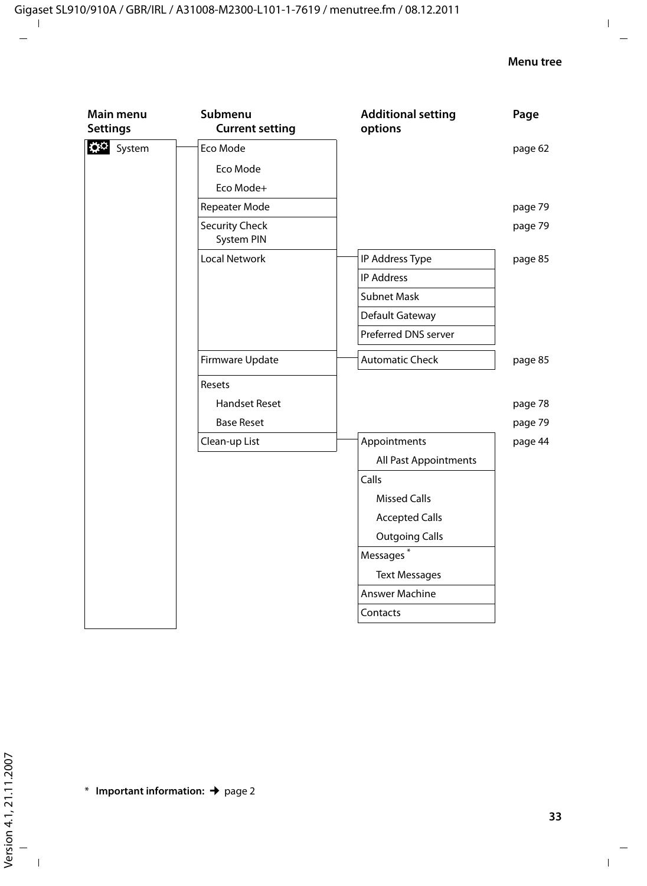| D <sup>O</sup> System<br>Eco Mode         | page 62 |
|-------------------------------------------|---------|
| Eco Mode                                  |         |
| Eco Mode+                                 |         |
| Repeater Mode                             | page 79 |
| <b>Security Check</b><br>System PIN       | page 79 |
| <b>Local Network</b><br>IP Address Type   | page 85 |
| <b>IP Address</b>                         |         |
| <b>Subnet Mask</b>                        |         |
| Default Gateway                           |         |
| Preferred DNS server                      |         |
| <b>Automatic Check</b><br>Firmware Update | page 85 |
| Resets                                    |         |
| <b>Handset Reset</b>                      | page 78 |
| <b>Base Reset</b>                         | page 79 |
| Clean-up List<br>Appointments             | page 44 |
| All Past Appointments                     |         |
| Calls                                     |         |
| <b>Missed Calls</b>                       |         |
| <b>Accepted Calls</b>                     |         |
| <b>Outgoing Calls</b>                     |         |
| Messages <sup>*</sup>                     |         |
| <b>Text Messages</b>                      |         |
| Answer Machine                            |         |
| Contacts                                  |         |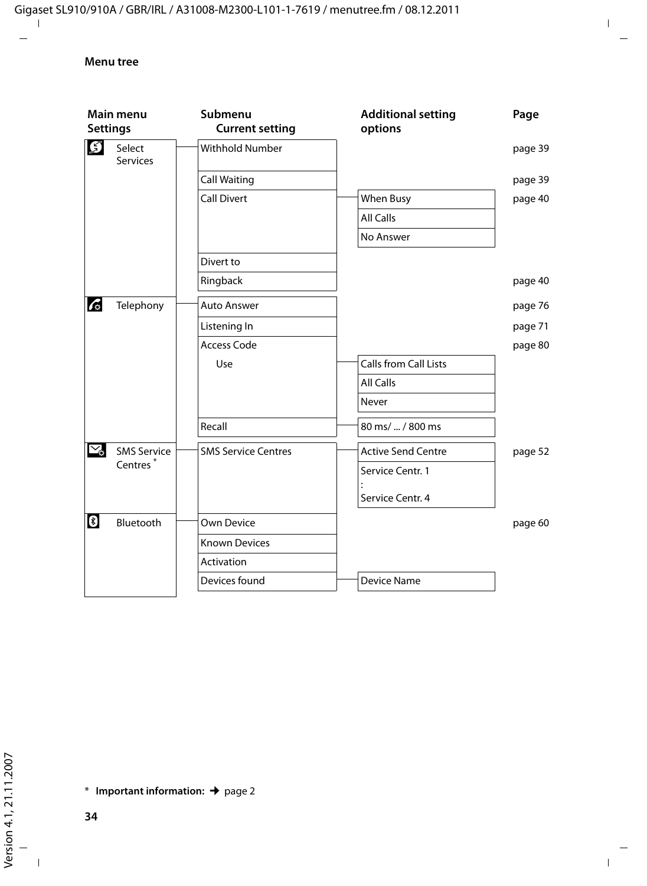| Main menu<br><b>Settings</b> |                           | Submenu<br><b>Current setting</b> | <b>Additional setting</b><br>options | Page    |
|------------------------------|---------------------------|-----------------------------------|--------------------------------------|---------|
| $\mathfrak{S}$               | Select<br><b>Services</b> | <b>Withhold Number</b>            |                                      | page 39 |
|                              |                           | <b>Call Waiting</b>               |                                      | page 39 |
|                              |                           | Call Divert                       | When Busy                            | page 40 |
|                              |                           |                                   | All Calls                            |         |
|                              |                           |                                   | No Answer                            |         |
|                              |                           | Divert to                         |                                      |         |
|                              |                           | Ringback                          |                                      | page 40 |
| $\mathcal{L}$                | Telephony                 | <b>Auto Answer</b>                |                                      | page 76 |
|                              |                           | Listening In                      |                                      | page 71 |
|                              |                           | <b>Access Code</b>                |                                      | page 80 |
|                              |                           | Use                               | <b>Calls from Call Lists</b>         |         |
|                              |                           |                                   | <b>All Calls</b>                     |         |
|                              |                           |                                   | Never                                |         |
|                              |                           | Recall                            | 80 ms/  / 800 ms                     |         |
| $\mathbb{Y}_2$               | <b>SMS Service</b>        | <b>SMS Service Centres</b>        | <b>Active Send Centre</b>            | page 52 |
|                              | Centres <sup>*</sup>      |                                   | Service Centr. 1                     |         |
|                              |                           |                                   | Service Centr. 4                     |         |
| $\bullet$                    | Bluetooth                 | Own Device                        |                                      | page 60 |
|                              |                           | <b>Known Devices</b>              |                                      |         |
|                              |                           | Activation                        |                                      |         |
|                              |                           | Devices found                     | <b>Device Name</b>                   |         |

\* **Important information:**¢page 2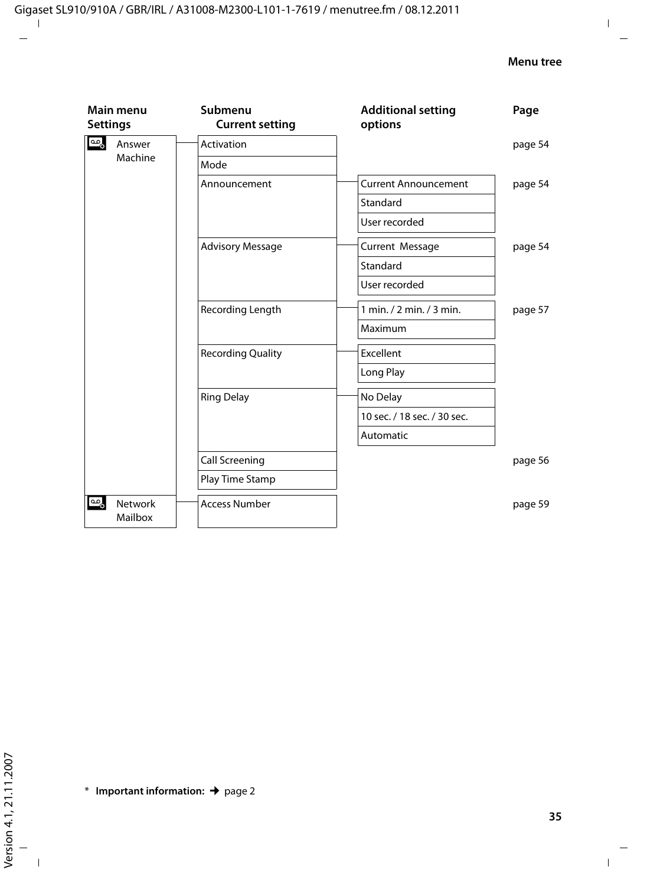| Main menu<br><b>Settings</b>     | Submenu<br><b>Current setting</b> | <b>Additional setting</b><br>options | Page    |
|----------------------------------|-----------------------------------|--------------------------------------|---------|
| ್ಯೂ<br>Answer                    | Activation                        |                                      | page 54 |
| Machine                          | Mode                              |                                      |         |
|                                  | Announcement                      | <b>Current Announcement</b>          | page 54 |
|                                  |                                   | Standard                             |         |
|                                  |                                   | User recorded                        |         |
|                                  | <b>Advisory Message</b>           | Current Message                      | page 54 |
|                                  |                                   | Standard                             |         |
|                                  |                                   | User recorded                        |         |
|                                  | Recording Length                  | 1 min./ 2 min./ 3 min.               | page 57 |
|                                  |                                   | Maximum                              |         |
|                                  | <b>Recording Quality</b>          | Excellent                            |         |
|                                  |                                   | Long Play                            |         |
|                                  | <b>Ring Delay</b>                 | No Delay                             |         |
|                                  |                                   | 10 sec. / 18 sec. / 30 sec.          |         |
|                                  |                                   | Automatic                            |         |
|                                  | Call Screening                    |                                      | page 56 |
|                                  | Play Time Stamp                   |                                      |         |
| مها<br><b>Network</b><br>Mailbox | <b>Access Number</b>              |                                      | page 59 |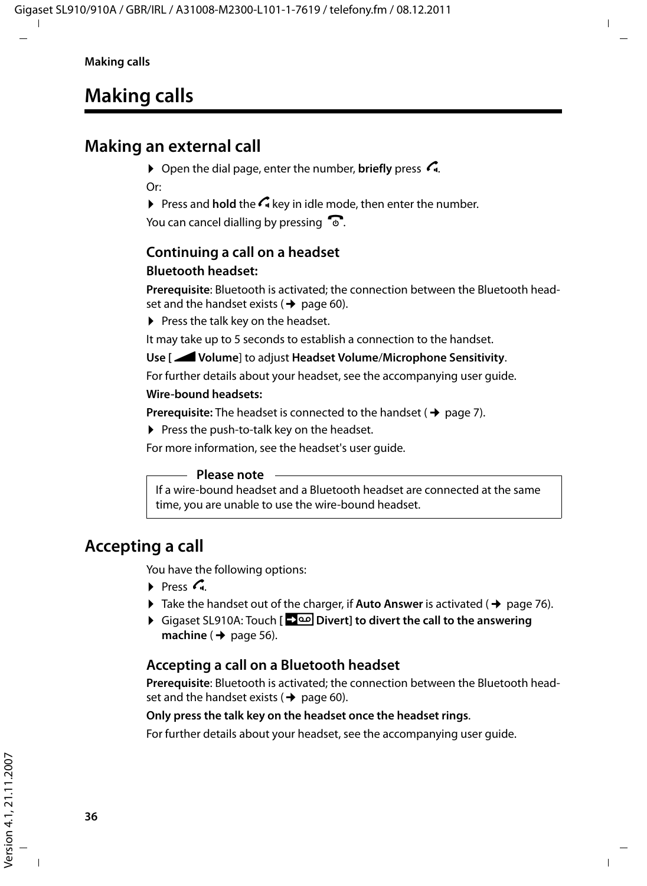# **Making calls**

## **Making an external call**

 $\triangleright$  Open the dial page, enter the number, **briefly** press  $\mathcal{L}_1$ . Or:

 $\triangleright$  Press and **hold** the  $\bigcap$  key in idle mode, then enter the number.

You can cancel dialling by pressing  $\mathbb{C}$ .

#### **Continuing a call on a headset Bluetooth headset:**

**Prerequisite**: Bluetooth is activated; the connection between the Bluetooth headset and the handset exists ( $\rightarrow$  page 60).

 $\blacktriangleright$  Press the talk key on the headset.

It may take up to 5 seconds to establish a connection to the handset.

#### **Use [**R**Volume**] to adjust **Headset Volume**/**Microphone Sensitivity**.

For further details about your headset, see the accompanying user guide.

#### **Wire-bound headsets:**

**Prerequisite:** The headset is connected to the handset  $(\rightarrow$  page 7).

 $\triangleright$  Press the push-to-talk key on the headset.

For more information, see the headset's user guide.

#### **Please note**

If a wire-bound headset and a Bluetooth headset are connected at the same time, you are unable to use the wire-bound headset.

### **Accepting a call**

You have the following options:

- $\triangleright$  Press  $\mathcal{C}_n$
- $\triangleright$  Take the handset out of the charger, if **Auto Answer** is activated ( $\rightarrow$  page 76).
- ¤ Gigaset SL910A: Touch **[Divert] to divert the call to the answering machine** ( $\rightarrow$  page 56).

### **Accepting a call on a Bluetooth headset**

**Prerequisite**: Bluetooth is activated; the connection between the Bluetooth headset and the handset exists ( $\rightarrow$  page 60).

#### **Only press the talk key on the headset once the headset rings**.

For further details about your headset, see the accompanying user guide.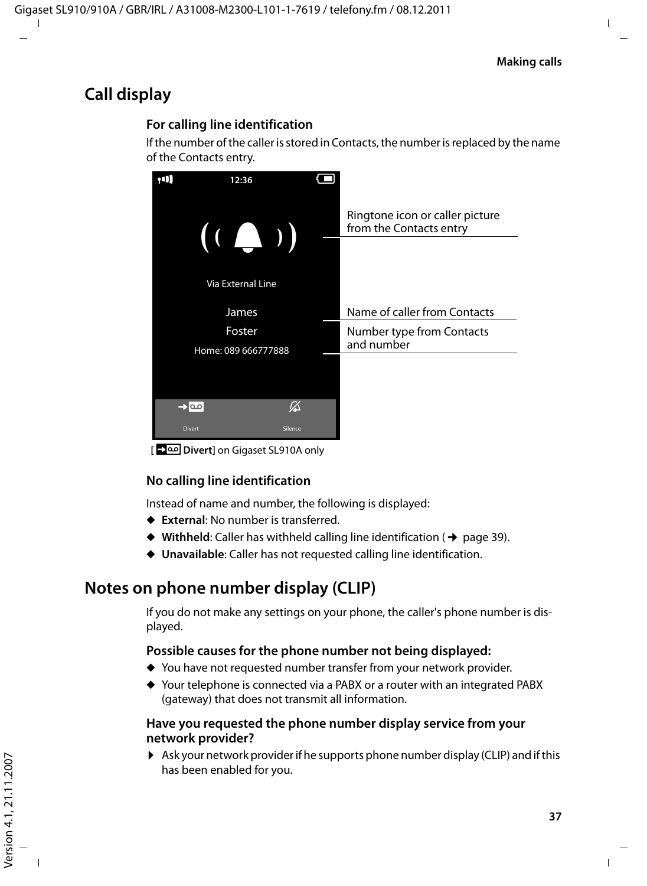# **Call display**

#### **For calling line identification**

If the number of the caller is stored in Contacts, the number is replaced by the name of the Contacts entry.



**[Divert]** on Gigaset SL910A only

#### **No calling line identification**

Instead of name and number, the following is displayed:

- ◆ External: No number is transferred.
- $\blacklozenge$  Withheld: Caller has withheld calling line identification ( $\blacklozenge$  page 39).
- ◆ Unavailable: Caller has not requested calling line identification.

## **Notes on phone number display (CLIP)**

If you do not make any settings on your phone, the caller's phone number is displayed.

#### **Possible causes for the phone number not being displayed:**

- $\blacklozenge$  You have not requested number transfer from your network provider.
- ◆ Your telephone is connected via a PABX or a router with an integrated PABX (gateway) that does not transmit all information.

#### **Have you requested the phone number display service from your network provider?**

 $\triangleright$  Ask your network provider if he supports phone number display (CLIP) and if this has been enabled for you.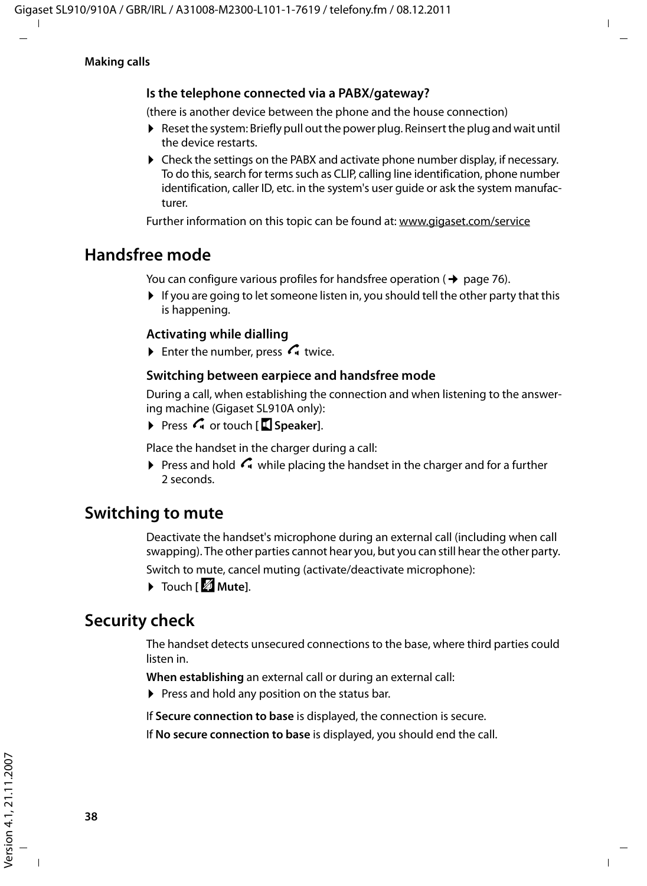#### **Is the telephone connected via a PABX/gateway?**

(there is another device between the phone and the house connection)

- $\triangleright$  Reset the system: Briefly pull out the power plug. Reinsert the plug and wait until the device restarts.
- $\triangleright$  Check the settings on the PABX and activate phone number display, if necessary. To do this, search for terms such as CLIP, calling line identification, phone number identification, caller ID, etc. in the system's user guide or ask the system manufacturer.

Further information on this topic can be found at: www.gigaset.com/service

### **Handsfree mode**

You can configure various profiles for handsfree operation ( $\rightarrow$  page 76).

 $\blacktriangleright$  If you are going to let someone listen in, you should tell the other party that this is happening.

#### **Activating while dialling**

Enter the number, press  $G$  twice.

#### **Switching between earpiece and handsfree mode**

During a call, when establishing the connection and when listening to the answering machine (Gigaset SL910A only):

▶ Press G or touch [**I] Speaker**].

Place the handset in the charger during a call:

Press and hold  $\mathcal{C}_1$  while placing the handset in the charger and for a further 2 seconds.

### **Switching to mute**

Deactivate the handset's microphone during an external call (including when call swapping). The other parties cannot hear you, but you can still hear the other party.

Switch to mute, cancel muting (activate/deactivate microphone):

▶ Touch **[**  $\mathbb{Z}$  Mutel.

## **Security check**

The handset detects unsecured connections to the base, where third parties could listen in.

**When establishing** an external call or during an external call:

 $\triangleright$  Press and hold any position on the status bar.

If **Secure connection to base** is displayed, the connection is secure.

If **No secure connection to base** is displayed, you should end the call.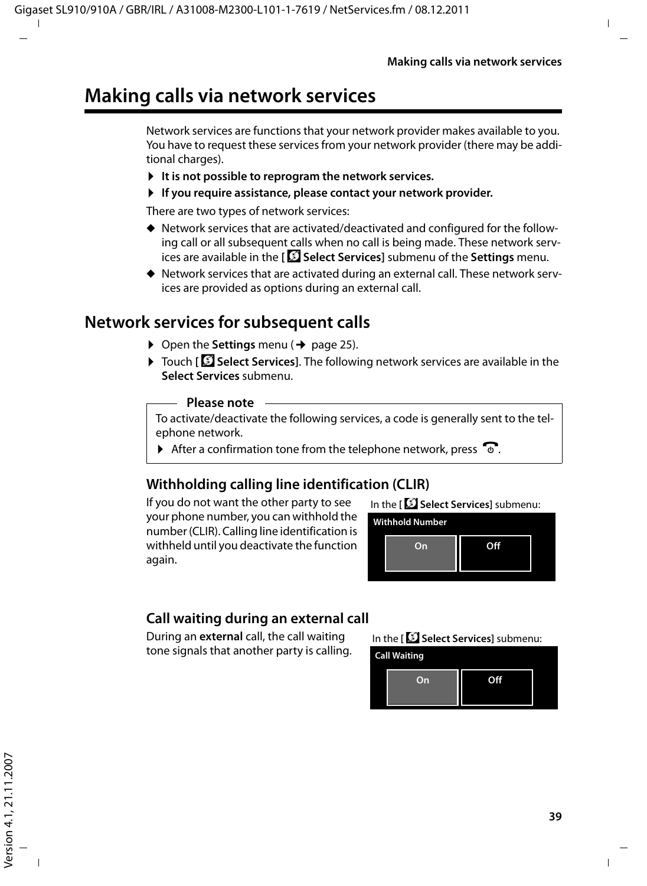# **Making calls via network services**

Network services are functions that your network provider makes available to you. You have to request these services from your network provider (there may be additional charges).

- **▶** It is not possible to reprogram the network services.
- ▶ If you require assistance, please contact your network provider.

There are two types of network services:

- $\blacklozenge$  Network services that are activated/deactivated and configured for the following call or all subsequent calls when no call is being made. These network services are available in the **[** ä **Select Services]** submenu of the **Settings** menu.
- $\blacklozenge$  Network services that are activated during an external call. These network services are provided as options during an external call.

# **Network services for subsequent calls**

- $\triangleright$  Open the **Settings** menu ( $\rightarrow$  page 25).
- ¤ Touch **[** <sup>ä</sup> **Select Services]**. The following network services are available in the **Select Services** submenu.

#### **Please note**

To activate/deactivate the following services, a code is generally sent to the telephone network.

 $\triangleright$  After a confirmation tone from the telephone network, press  $\widehat{\mathcal{D}}$ .

### **Withholding calling line identification (CLIR)**

If you do not want the other party to see your phone number, you can withhold the number (CLIR). Calling line identification is withheld until you deactivate the function again.



**Withhold Number On Off**

### **Call waiting during an external call**

During an **external** call, the call waiting tone signals that another party is calling. In the **[** ä **Select Services]** submenu:

**Call Waiting**

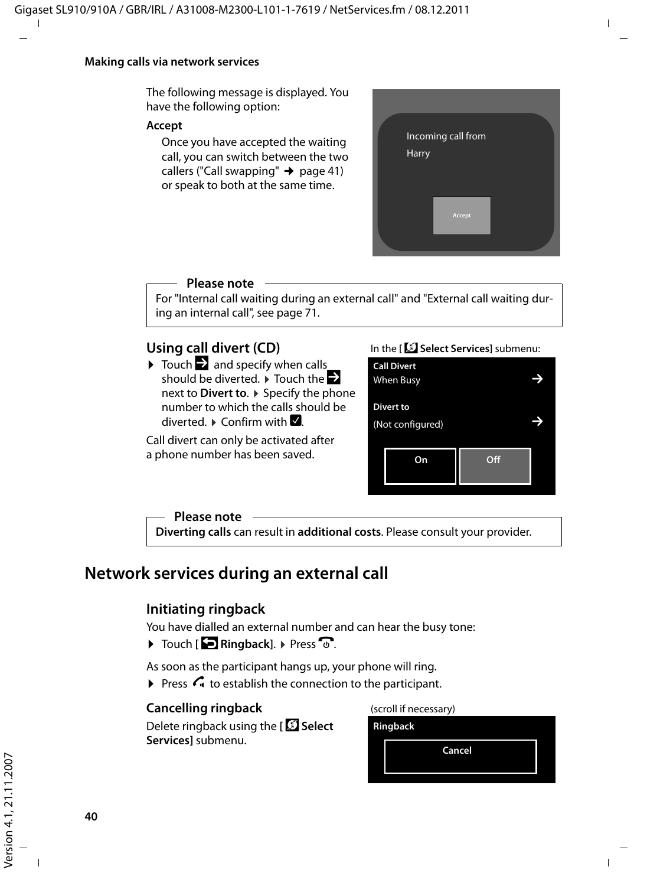#### **Making calls via network services**

The following message is displayed. You have the following option:

#### **Accept**

Once you have accepted the waiting call, you can switch between the two callers ("Call swapping"  $\rightarrow$  page 41) or speak to both at the same time.



#### **Please note**

For "Internal call waiting during an external call" and "External call waiting during an internal call", see page 71.

#### **Using call divert (CD)**

 $\triangleright$  Touch  $\triangleright$  and specify when calls should be diverted.  $\blacktriangleright$  Touch the  $\blacktriangleright$ next to **Divert to**. ▶ Specify the phone number to which the calls should be  $diverted \rightarrow Confirm with \blacksquare$ 

Call divert can only be activated after a phone number has been saved.

#### In the **[** ä **Select Services]** submenu:

| <b>Call Divert</b><br>When Busy      |    |     |  |
|--------------------------------------|----|-----|--|
| <b>Divert to</b><br>(Not configured) |    |     |  |
|                                      | On | Off |  |

#### **Please note**

**Diverting calls** can result in **additional costs**. Please consult your provider.

### **Network services during an external call**

#### **Initiating ringback**

You have dialled an external number and can hear the busy tone:

 $\triangleright$  Touch [ $\triangleright$  Ringback].  $\triangleright$  Press  $\triangleright$ .

As soon as the participant hangs up, your phone will ring.

 $\triangleright$  Press  $\curvearrowleft$  to establish the connection to the participant.

#### **Cancelling ringback**

Delete ringback using the **[** ä **Select Services]** submenu.

(scroll if necessary)

**Ringback**

**Cancel**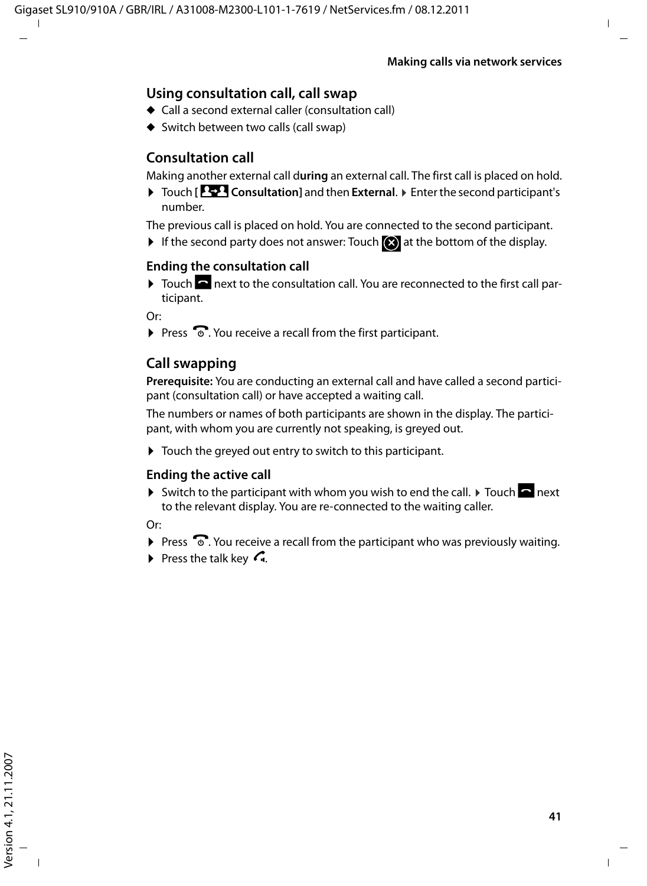#### **Using consultation call, call swap**

- $\triangle$  Call a second external caller (consultation call)
- $\blacklozenge$  Switch between two calls (call swap)

#### **Consultation call**

Making another external call d**uring** an external call. The first call is placed on hold.

¤ Touch **[**P**Consultation]** and then **External**. ¤ Enter the second participant's number.

The previous call is placed on hold. You are connected to the second participant.

If the second party does not answer: Touch  $\bigotimes$  at the bottom of the display.

#### **Ending the consultation call**

 $\triangleright$  Touch  $\triangleright$  next to the consultation call. You are reconnected to the first call participant.

Or:

 $\triangleright$  Press  $\widehat{\mathcal{A}}$ . You receive a recall from the first participant.

#### **Call swapping**

**Prerequisite:** You are conducting an external call and have called a second participant (consultation call) or have accepted a waiting call.

The numbers or names of both participants are shown in the display. The participant, with whom you are currently not speaking, is greyed out.

 $\blacktriangleright$  Touch the greyed out entry to switch to this participant.

#### **Ending the active call**

 $\triangleright$  Switch to the participant with whom you wish to end the call.  $\triangleright$  Touch  $\blacksquare$  next to the relevant display. You are re-connected to the waiting caller.

Or:

- $\triangleright$  Press  $\widehat{\mathbb{C}}$ . You receive a recall from the participant who was previously waiting.
- $\triangleright$  Press the talk key  $\mathcal{L}_1$ .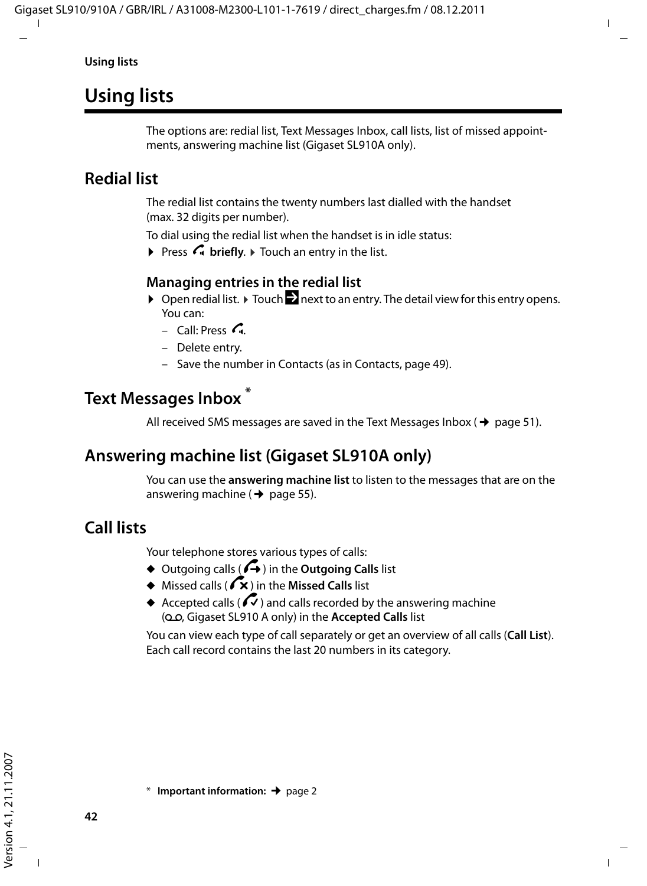**Using lists**

# **Using lists**

The options are: redial list, Text Messages Inbox, call lists, list of missed appointments, answering machine list (Gigaset SL910A only).

# **Redial list**

The redial list contains the twenty numbers last dialled with the handset (max. 32 digits per number).

To dial using the redial list when the handset is in idle status:

**Press G briefly.** Touch an entry in the list.

### **Managing entries in the redial list**

- $\triangleright$  Open redial list.  $\triangleright$  Touch  $\triangleright$  next to an entry. The detail view for this entry opens. You can:
	- $-$  Call: Press  $\mathcal{C}_1$ .
	- Delete entry.
	- Save the number in Contacts (as in Contacts, page 49).

# **Text Messages Inbox \***

All received SMS messages are saved in the Text Messages Inbox ( $\rightarrow$  page 51).

# **Answering machine list (Gigaset SL910A only)**

You can use the **answering machine list** to listen to the messages that are on the answering machine ( $\rightarrow$  page 55).

# **Call lists**

Your telephone stores various types of calls:

- $\triangleq$  Outgoing calls ( $\overrightarrow{A}$ ) in the **Outgoing Calls** list
- u Missed calls (™) in the **Missed Calls** list
- $\triangle$  Accepted calls ( $\heartsuit$ ) and calls recorded by the answering machine (Ã, Gigaset SL910 A only) in the **Accepted Calls** list

You can view each type of call separately or get an overview of all calls (**Call List**). Each call record contains the last 20 numbers in its category.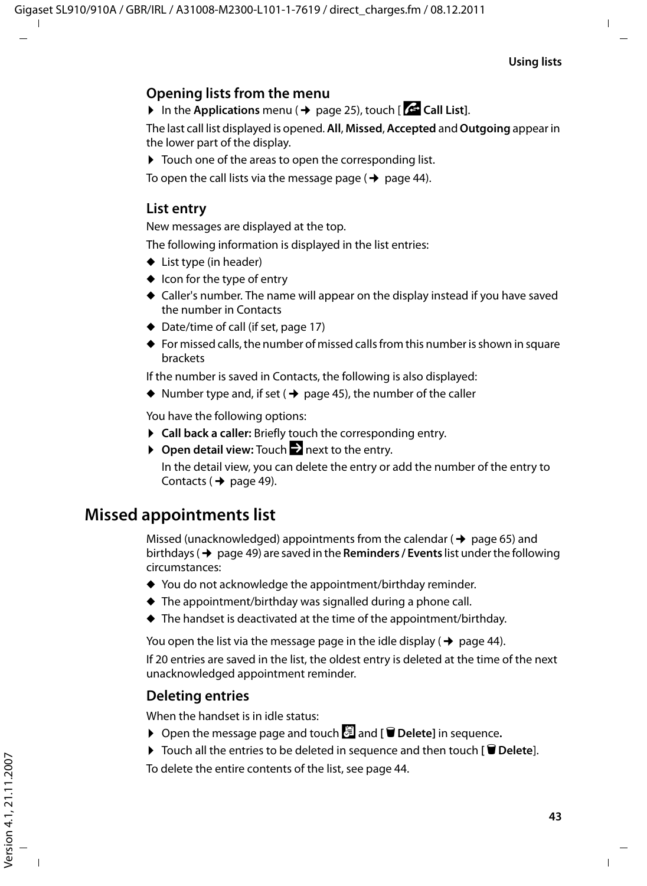### **Opening lists from the menu**

 $\triangleright$  In the **Applications** menu ( $\rightarrow$  page 25), touch [ $\cdot$  **Call List**].

The last call list displayed is opened. **All**, **Missed**, **Accepted** and **Outgoing** appear in the lower part of the display.

 $\triangleright$  Touch one of the areas to open the corresponding list.

To open the call lists via the message page  $($   $\rightarrow$  page 44).

### **List entry**

New messages are displayed at the top.

The following information is displayed in the list entries:

- $\blacklozenge$  List type (in header)
- $\bullet$  Icon for the type of entry
- $\triangle$  Caller's number. The name will appear on the display instead if you have saved the number in Contacts
- $\triangleleft$  Date/time of call (if set, page 17)
- $\blacklozenge$  For missed calls, the number of missed calls from this number is shown in square brackets

If the number is saved in Contacts, the following is also displayed:

 $\blacklozenge$  Number type and, if set ( $\blacklozenge$  page 45), the number of the caller

You have the following options:

- ▶ Call back a caller: Briefly touch the corresponding entry.
- ▶ Open detail view: Touch **D** next to the entry.

In the detail view, you can delete the entry or add the number of the entry to Contacts ( $\rightarrow$  page 49).

# **Missed appointments list**

Missed (unacknowledged) appointments from the calendar ( $\rightarrow$  page 65) and birthdays ( $\rightarrow$  page 49) are saved in the **Reminders / Events** list under the following circumstances:

- $\blacklozenge$  You do not acknowledge the appointment/birthday reminder.
- $\blacklozenge$  The appointment/birthday was signalled during a phone call.
- $\blacklozenge$  The handset is deactivated at the time of the appointment/birthday.

You open the list via the message page in the idle display ( $\rightarrow$  page 44).

If 20 entries are saved in the list, the oldest entry is deleted at the time of the next unacknowledged appointment reminder.

### **Deleting entries**

When the handset is in idle status:

- ▶ Open the message page and touch **a** and **[**  $\bullet$  **Delete**] in sequence.
- ▶ Touch all the entries to be deleted in sequence and then touch **[ Delete**].

To delete the entire contents of the list, see page 44.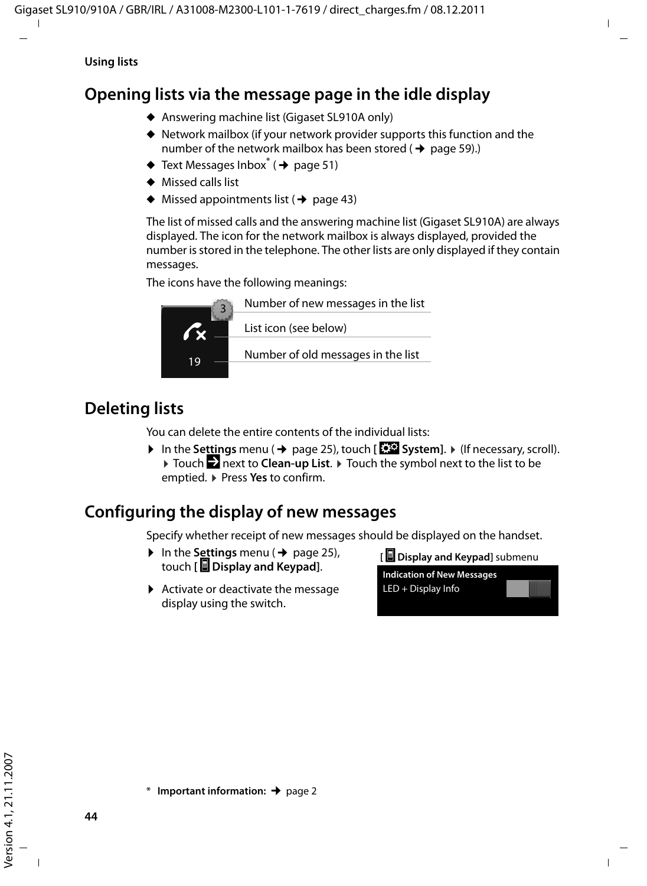# **Opening lists via the message page in the idle display**

- ◆ Answering machine list (Gigaset SL910A only)
- $\blacklozenge$  Network mailbox (if your network provider supports this function and the number of the network mailbox has been stored ( $\rightarrow$  page 59).)
- $\blacklozenge$  Text Messages Inbox<sup>\*</sup> ( $\blacktriangleright$  page 51)
- $\triangle$  Missed calls list
- $\blacklozenge$  Missed appointments list ( $\blacklozenge$  page 43)

The list of missed calls and the answering machine list (Gigaset SL910A) are always displayed. The icon for the network mailbox is always displayed, provided the number is stored in the telephone. The other lists are only displayed if they contain messages.

The icons have the following meanings:



# **Deleting lists**

You can delete the entire contents of the individual lists:

**▶** In the Settings menu (→ page 25), touch [**EEPA** System]. ▶ (If necessary, scroll). ▶ Touch **Z** next to **Clean-up List**. ▶ Touch the symbol next to the list to be emptied. ¤ Press **Yes** to confirm.

# **Configuring the display of new messages**

Specify whether receipt of new messages should be displayed on the handset.

- $\triangleright$  In the **Settings** menu ( $\rightarrow$  page 25), touch **[** g **Display and Keypad]**.
- $\blacktriangleright$  Activate or deactivate the message display using the switch.

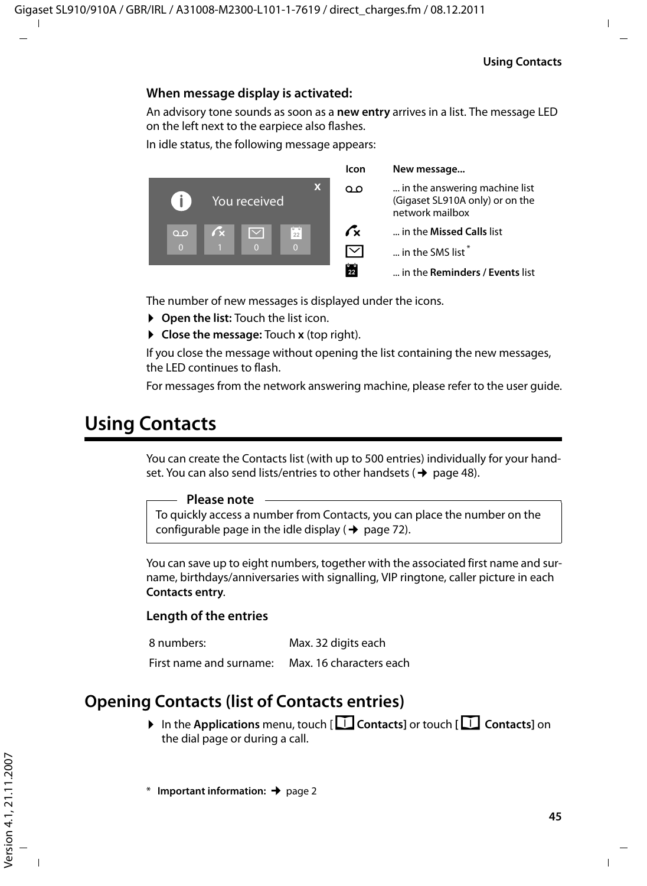#### **When message display is activated:**

An advisory tone sounds as soon as a **new entry** arrives in a list. The message LED on the left next to the earpiece also flashes.

In idle status, the following message appears:



The number of new messages is displayed under the icons.

- ▶ Open the list: Touch the list icon.
- ▶ Close the message: Touch **x** (top right).

If you close the message without opening the list containing the new messages, the LED continues to flash.

For messages from the network answering machine, please refer to the user guide.

# **Using Contacts**

You can create the Contacts list (with up to 500 entries) individually for your handset. You can also send lists/entries to other handsets ( $\rightarrow$  page 48).

#### **Please note**

To quickly access a number from Contacts, you can place the number on the configurable page in the idle display ( $\rightarrow$  page 72).

You can save up to eight numbers, together with the associated first name and surname, birthdays/anniversaries with signalling, VIP ringtone, caller picture in each **Contacts entry**.

#### **Length of the entries**

8 numbers: Max. 32 digits each

First name and surname: Max. 16 characters each

### **Opening Contacts (list of Contacts entries)**

▶ In the **Applications** menu, touch [**EContacts**] or touch **[EContacts**] on the dial page or during a call.

**Important information: → page 2**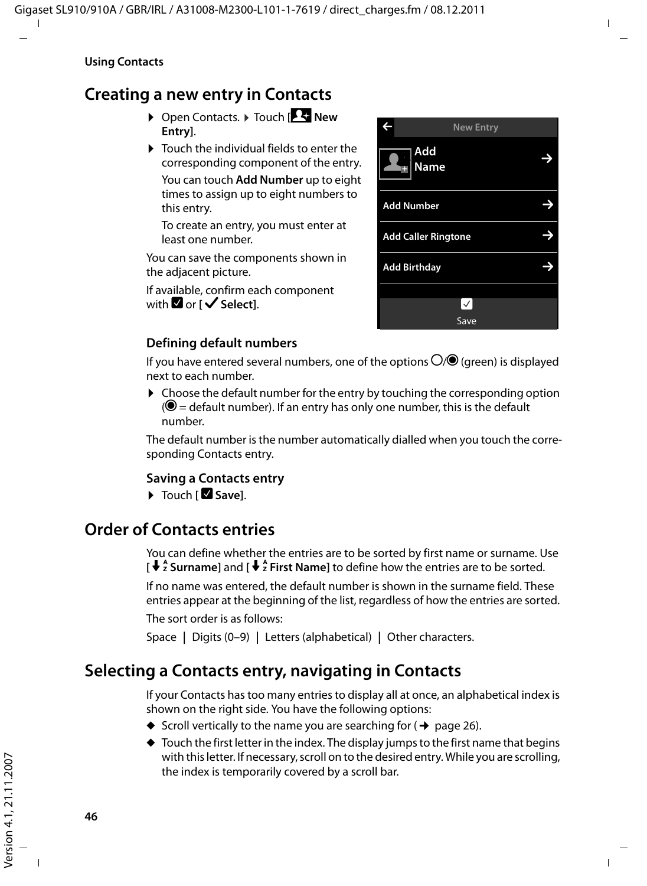# **Creating a new entry in Contacts**

▶ Open Contacts. ▶ Touch **[** $\frac{1}{2}$  New **Entry]**.

 $\triangleright$  Touch the individual fields to enter the corresponding component of the entry. You can touch **Add Number** up to eight times to assign up to eight numbers to this entry.

To create an entry, you must enter at least one number.

You can save the components shown in the adjacent picture.

If available, confirm each component **with ■ or [** √ Select].



#### **Defining default numbers**

If you have entered several numbers, one of the options  $\bigcirc$  (green) is displayed next to each number.

 $\triangleright$  Choose the default number for the entry by touching the corresponding option  $\mathcal{O}$  = default number). If an entry has only one number, this is the default number.

The default number is the number automatically dialled when you touch the corresponding Contacts entry.

#### **Saving a Contacts entry**

▶ Touch [**■** Save].

# **Order of Contacts entries**

You can define whether the entries are to be sorted by first name or surname. Use  $\int \oint_{\gamma}^{\beta}$  **Surname**l and  $\int \oint_{\gamma}^{\beta}$  First Namel to define how the entries are to be sorted.

If no name was entered, the default number is shown in the surname field. These entries appear at the beginning of the list, regardless of how the entries are sorted.

The sort order is as follows:

Space **|** Digits (0–9) **|** Letters (alphabetical) **|** Other characters.

# **Selecting a Contacts entry, navigating in Contacts**

If your Contacts has too many entries to display all at once, an alphabetical index is shown on the right side. You have the following options:

- $\blacklozenge$  Scroll vertically to the name you are searching for ( $\blacklozenge$  page 26).
- $\blacklozenge$  Touch the first letter in the index. The display jumps to the first name that begins with this letter. If necessary, scroll on to the desired entry. While you are scrolling, the index is temporarily covered by a scroll bar.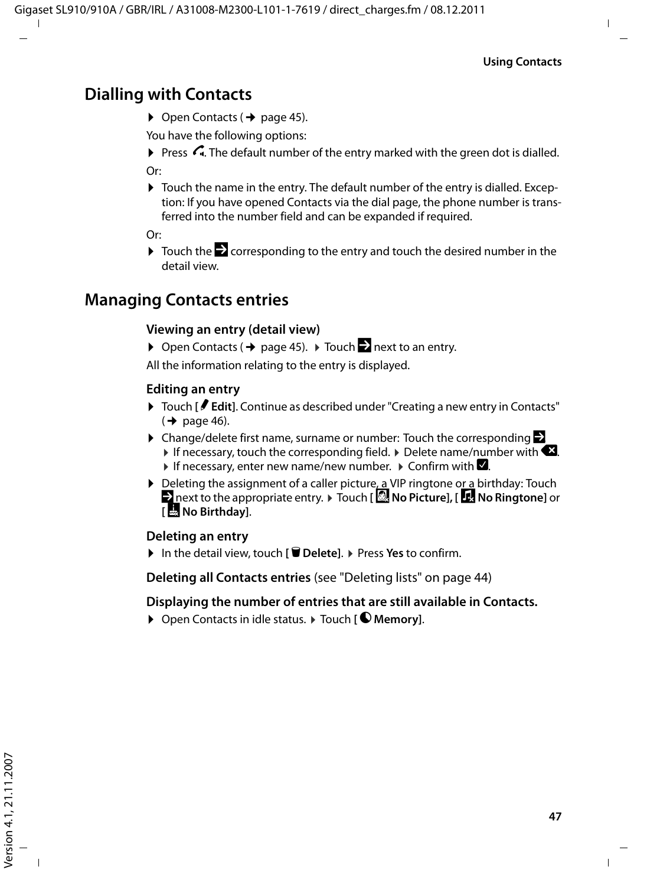## **Dialling with Contacts**

 $\triangleright$  Open Contacts ( $\rightarrow$  page 45).

You have the following options:

- Press  $\bigcap$ . The default number of the entry marked with the green dot is dialled. Or:
- $\triangleright$  Touch the name in the entry. The default number of the entry is dialled. Exception: If you have opened Contacts via the dial page, the phone number is transferred into the number field and can be expanded if required.

Or:

 $\triangleright$  Touch the  $\triangleright$  corresponding to the entry and touch the desired number in the detail view.

# **Managing Contacts entries**

#### **Viewing an entry (detail view)**

▶ Open Contacts ( $\rightarrow$  page 45). ▶ Touch  $\rightarrow$  next to an entry.

All the information relating to the entry is displayed.

#### **Editing an entry**

- ▶ Touch **[**  $\blacktriangleright$  **Edit**]. Continue as described under "Creating a new entry in Contacts"  $(\rightarrow$  page 46).
- $\triangleright$  Change/delete first name, surname or number: Touch the corresponding  $\triangleright$ If necessary, touch the corresponding field.  $\triangleright$  Delete name/number with  $\blacktriangleleft$ . If necessary, enter new name/new number.  $\triangleright$  Confirm with  $\blacksquare$ .
- $\triangleright$  Deleting the assignment of a caller picture, a VIP ringtone or a birthday: Touch ■ next to the appropriate entry. ▶ Touch **[ △ No Picture], [ ± No Ringtone**] or **[** þ **No Birthday]**.

#### **Deleting an entry**

¤ In the detail view, touch **[** <sup>ü</sup> **Delete]**. ¤ Press **Yes** to confirm.

**Deleting all Contacts entries** (see "Deleting lists" on page 44)

#### **Displaying the number of entries that are still available in Contacts.**

▶ Open Contacts in idle status. ▶ Touch **[ © Memory**].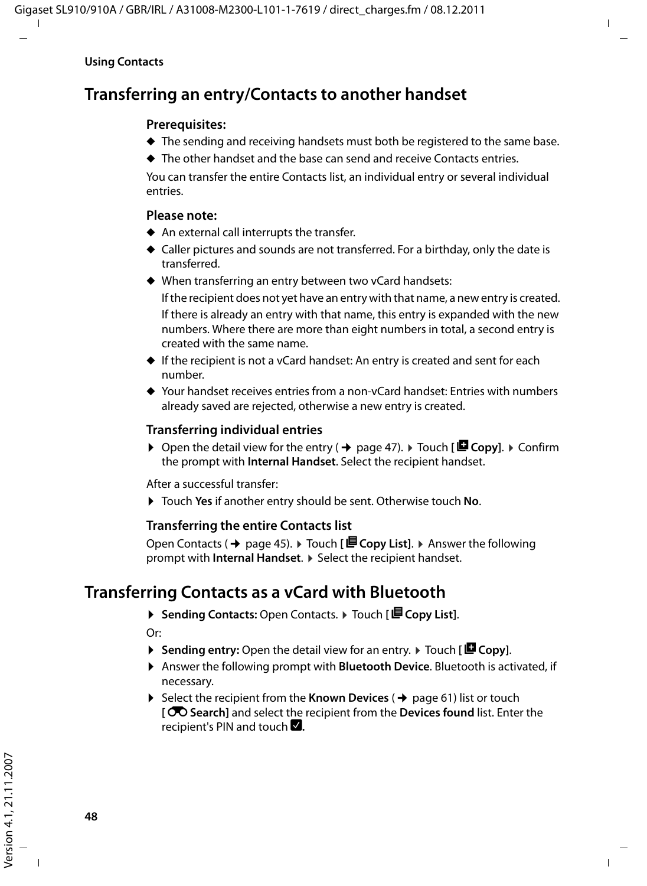# **Transferring an entry/Contacts to another handset**

#### **Prerequisites:**

- $\blacklozenge$  The sending and receiving handsets must both be registered to the same base.
- $\blacklozenge$  The other handset and the base can send and receive Contacts entries.

You can transfer the entire Contacts list, an individual entry or several individual entries.

#### **Please note:**

- $\blacklozenge$  An external call interrupts the transfer.
- $\triangle$  Caller pictures and sounds are not transferred. For a birthday, only the date is transferred.
- $\blacklozenge$  When transferring an entry between two vCard handsets:

If the recipient does not yet have an entry with that name, a new entry is created. If there is already an entry with that name, this entry is expanded with the new numbers. Where there are more than eight numbers in total, a second entry is created with the same name.

- $\blacklozenge$  If the recipient is not a vCard handset: An entry is created and sent for each number.
- $\triangle$  Your handset receives entries from a non-vCard handset: Entries with numbers already saved are rejected, otherwise a new entry is created.

#### **Transferring individual entries**

 $\triangleright$  Open the detail view for the entry ( $\rightarrow$  page 47).  $\triangleright$  Touch **[ E** Copy].  $\triangleright$  Confirm the prompt with **Internal Handset**. Select the recipient handset.

After a successful transfer:

▶ Touch Yes if another entry should be sent. Otherwise touch No.

#### **Transferring the entire Contacts list**

Open Contacts (→ page 45).  $\triangleright$  Touch [*■* **Copy List**].  $\triangleright$  Answer the following prompt with **Internal Handset**.  $\triangleright$  Select the recipient handset.

# **Transferring Contacts as a vCard with Bluetooth**

▶ Sending Contacts: Open Contacts. ▶ Touch [ **E** Copy List].

Or:

- $\triangleright$  **Sending entry:** Open the detail view for an entry.  $\triangleright$  Touch [ $\blacksquare$  Copy].
- ▶ Answer the following prompt with **Bluetooth Device**. Bluetooth is activated, if necessary.
- $\triangleright$  Select the recipient from the **Known Devices** ( $\rightarrow$  page 61) list or touch **[**þ**Search]** and select the recipient from the **Devices found** list. Enter the recipient's PIN and touch  $\blacksquare$ .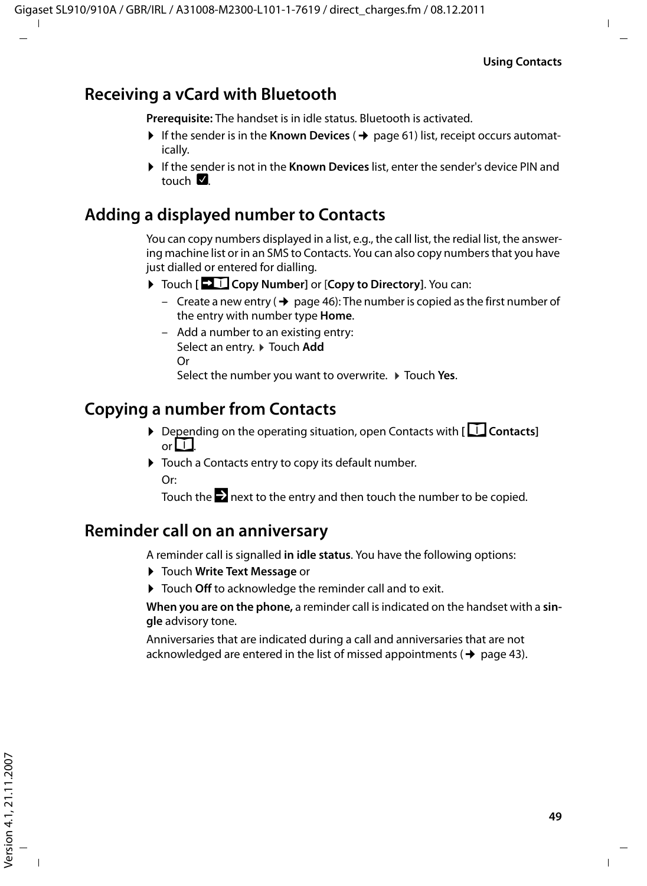## **Receiving a vCard with Bluetooth**

**Prerequisite:** The handset is in idle status. Bluetooth is activated.

- $\triangleright$  If the sender is in the **Known Devices** ( $\rightarrow$  page 61) list, receipt occurs automatically.
- ▶ If the sender is not in the **Known Devices** list, enter the sender's device PIN and touch  $\nabla$

### **Adding a displayed number to Contacts**

You can copy numbers displayed in a list, e.g., the call list, the redial list, the answering machine list or in an SMS to Contacts. You can also copy numbers that you have just dialled or entered for dialling.

- ▶ Touch **[** $\bullet$  **]** Copy Number] or [Copy to Directory]. You can:
	- Create a new entry ( $\rightarrow$  page 46): The number is copied as the first number of the entry with number type **Home**.
	- Add a number to an existing entry: Select an entry. ▶ Touch Add Or Select the number you want to overwrite.  $\triangleright$  Touch Yes.

## **Copying a number from Contacts**

- ▶ Depending on the operating situation, open Contacts with **[**□ Contacts] or  $LI$
- ▶ Touch a Contacts entry to copy its default number. Or:

Touch the  $\blacktriangleright$  next to the entry and then touch the number to be copied.

### **Reminder call on an anniversary**

A reminder call is signalled **in idle status**. You have the following options:

- **▶ Touch Write Text Message or**
- ▶ Touch Off to acknowledge the reminder call and to exit.

**When you are on the phone,** a reminder call is indicated on the handset with a **single** advisory tone.

Anniversaries that are indicated during a call and anniversaries that are not acknowledged are entered in the list of missed appointments ( $\rightarrow$  page 43).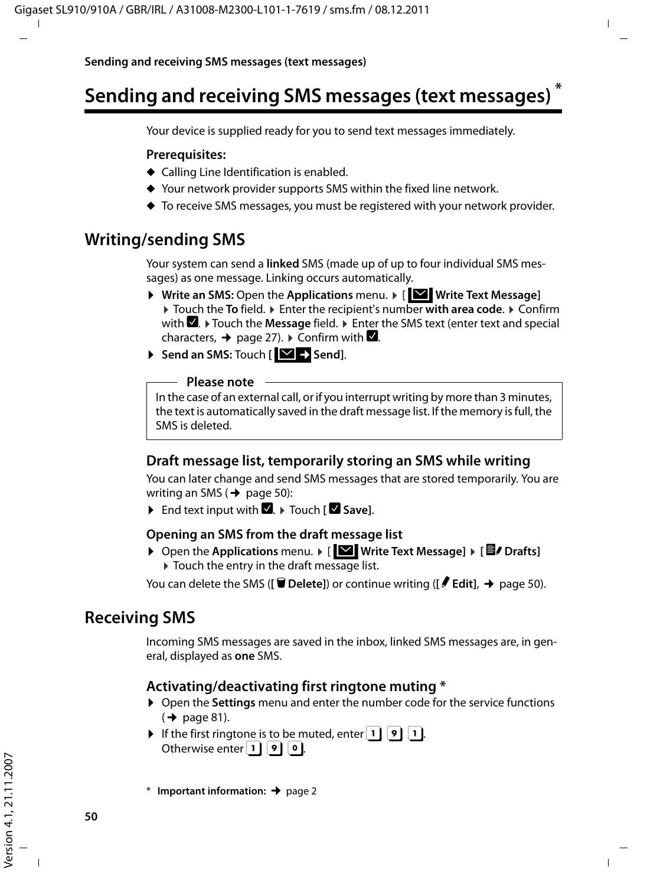# **Sending and receiving SMS messages (text messages) \***

Your device is supplied ready for you to send text messages immediately.

#### **Prerequisites:**

- $\triangleleft$  Calling Line Identification is enabled.
- $\blacklozenge$  Your network provider supports SMS within the fixed line network.
- $\blacklozenge$  To receive SMS messages, you must be registered with your network provider.

### **Writing/sending SMS**

Your system can send a **linked** SMS (made up of up to four individual SMS messages) as one message. Linking occurs automatically.

- ▶ Write an SMS: Open the Applications menu. ▶ [ **W** Write Text Message] ■ Touch the **To** field. ■ Enter the recipient's number with area code. ■ Confirm with **■**. Touch the Message field. The Enter the SMS text (enter text and special characters,  $\rightarrow$  page 27).  $\triangleright$  Confirm with  $\blacksquare$ .
- $\triangleright$  Send an SMS: Touch [ $\triangleright$  Send].

#### **Please note**

In the case of an external call, or if you interrupt writing by more than 3 minutes, the text is automatically saved in the draft message list. If the memory is full, the SMS is deleted.

#### **Draft message list, temporarily storing an SMS while writing**

You can later change and send SMS messages that are stored temporarily. You are writing an SMS ( $\rightarrow$  page 50):

 $\triangleright$  End text input with  $\blacksquare$ .  $\triangleright$  Touch **[** $\blacksquare$  Save].

#### **Opening an SMS from the draft message list**

▶ Open the Applications menu. ▶ [**W** Write Text Message] ▶ [<sup>2</sup>]  $\triangleright$  Touch the entry in the draft message list.

You can delete the SMS (**[** $\bullet$  **Delete**]) or continue writing (**[** $\bullet$  **Edit**], → page 50).

### **Receiving SMS**

Incoming SMS messages are saved in the inbox, linked SMS messages are, in general, displayed as **one** SMS.

#### **Activating/deactivating first ringtone muting \***

- ▶ Open the **Settings** menu and enter the number code for the service functions  $($   $\rightarrow$  page 81).
- If the first ringtone is to be muted, enter  $|1| |9| |1|$ . Otherwise enter  $|1| |9| |0|$ .

\* **Important information:**¢page 2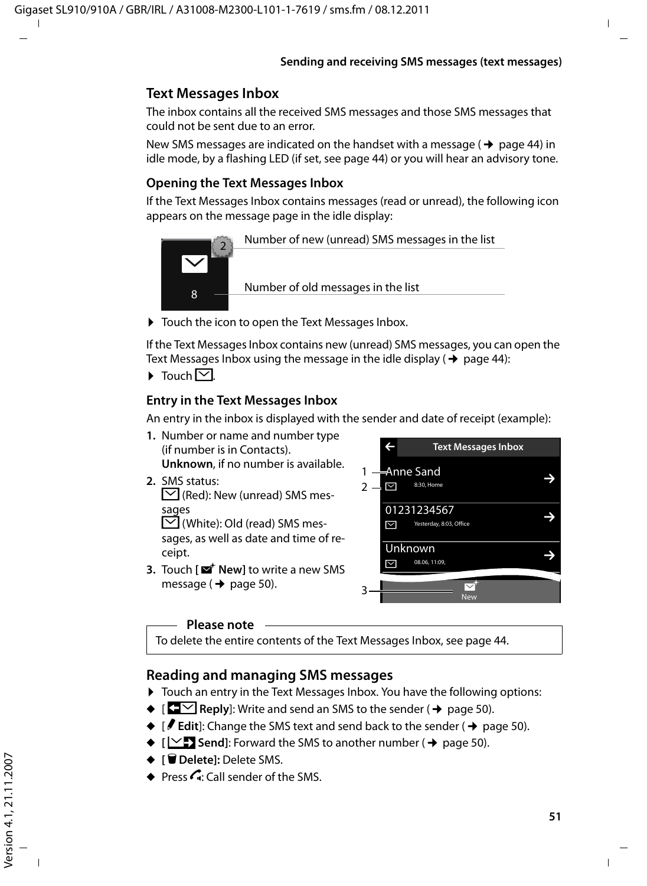### **Text Messages Inbox**

The inbox contains all the received SMS messages and those SMS messages that could not be sent due to an error.

New SMS messages are indicated on the handset with a message ( $\rightarrow$  page 44) in idle mode, by a flashing LED (if set, see page 44) or you will hear an advisory tone.

#### **Opening the Text Messages Inbox**

If the Text Messages Inbox contains messages (read or unread), the following icon appears on the message page in the idle display:



▶ Touch the icon to open the Text Messages Inbox.

If the Text Messages Inbox contains new (unread) SMS messages, you can open the Text Messages Inbox using the message in the idle display ( $\rightarrow$  page 44):

 $\triangleright$  Touch  $\triangleright$ 

#### **Entry in the Text Messages Inbox**

An entry in the inbox is displayed with the sender and date of receipt (example):

- **1.** Number or name and number type (if number is in Contacts). **Unknown**, if no number is available.
- **2.** SMS status:  $\triangledown$  (Red): New (unread) SMS messages

 $\triangledown$  (White): Old (read) SMS messages, as well as date and time of receipt.

**3.** Touch **[** $\mathbf{Z}^{\dagger}$  **New**] to write a new SMS message ( $\rightarrow$  page 50).



#### **Please note**

To delete the entire contents of the Text Messages Inbox, see page 44.

### **Reading and managing SMS messages**

- ▶ Touch an entry in the Text Messages Inbox. You have the following options:
- $\blacklozenge$  **Reply**]: Write and send an SMS to the sender ( $\blacklozenge$  page 50).
- $\bullet$  [ $\neq$  **Edit**]: Change the SMS text and send back to the sender ( $\bullet$  page 50).
- $\blacklozenge$  [ $\blacktriangleright$  **Send**]: Forward the SMS to another number ( $\blacktriangleright$  page 50).
- ◆ **[** $\blacksquare$  **Delete**]: Delete SMS.
- $\bullet$  Press *C*: Call sender of the SMS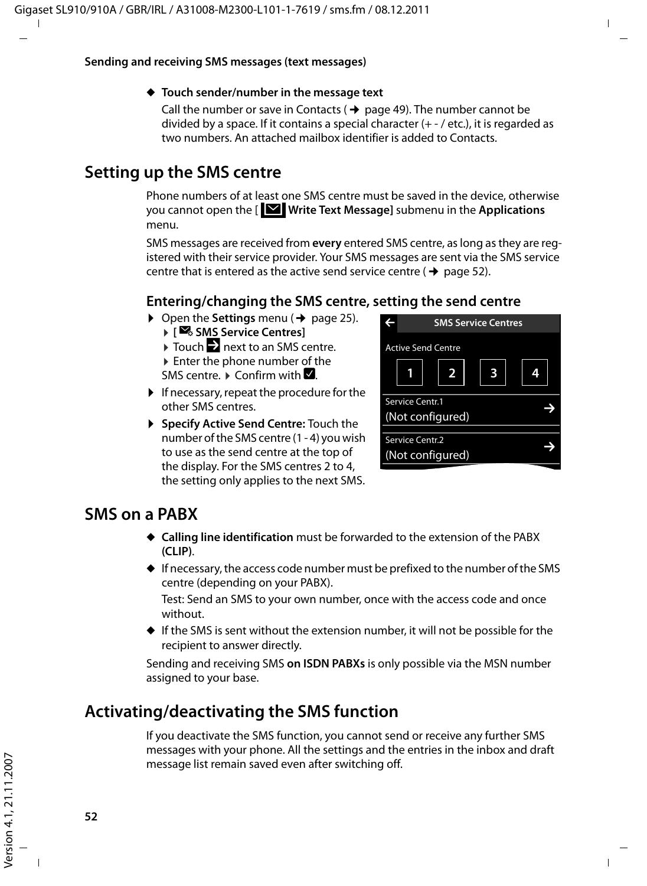#### ◆ Touch sender/number in the message text

Call the number or save in Contacts ( $\rightarrow$  page 49). The number cannot be divided by a space. If it contains a special character (+ - / etc.), it is regarded as two numbers. An attached mailbox identifier is added to Contacts.

# **Setting up the SMS centre**

Phone numbers of at least one SMS centre must be saved in the device, otherwise you cannot open the [ **Write Text Message]** submenu in the **Applications** · menu.

SMS messages are received from **every** entered SMS centre, as long as they are registered with their service provider. Your SMS messages are sent via the SMS service centre that is entered as the active send service centre ( $\rightarrow$  page 52).

### **Entering/changing the SMS centre, setting the send centre**

- $\triangleright$  Open the **Settings** menu ( $\rightarrow$  page 25). **▶ [** $\mathbb{Z}_6$  SMS Service Centres]
	- $\triangleright$  Touch  $\triangleright$  next to an SMS centre.
	-
	- $\blacktriangleright$  Enter the phone number of the SMS centre.  $\triangleright$  Confirm with  $\blacksquare$ .
- $\blacktriangleright$  If necessary, repeat the procedure for the other SMS centres.
- ▶ Specify Active Send Centre: Touch the number of the SMS centre (1 - 4) you wish to use as the send centre at the top of the display. For the SMS centres 2 to 4, the setting only applies to the next SMS.

| <b>SMS Service Centres</b>          |  |  |
|-------------------------------------|--|--|
| <b>Active Send Centre</b><br>2      |  |  |
| Service Centr.1<br>(Not configured) |  |  |
| Service Centr.2<br>(Not configured) |  |  |

## **SMS on a PABX**

- ◆ **Calling line identification** must be forwarded to the extension of the PABX **(CLIP)**.
- $\blacklozenge$  If necessary, the access code number must be prefixed to the number of the SMS centre (depending on your PABX).

Test: Send an SMS to your own number, once with the access code and once without.

 $\blacklozenge$  If the SMS is sent without the extension number, it will not be possible for the recipient to answer directly.

Sending and receiving SMS **on ISDN PABXs** is only possible via the MSN number assigned to your base.

# **Activating/deactivating the SMS function**

If you deactivate the SMS function, you cannot send or receive any further SMS messages with your phone. All the settings and the entries in the inbox and draft message list remain saved even after switching off.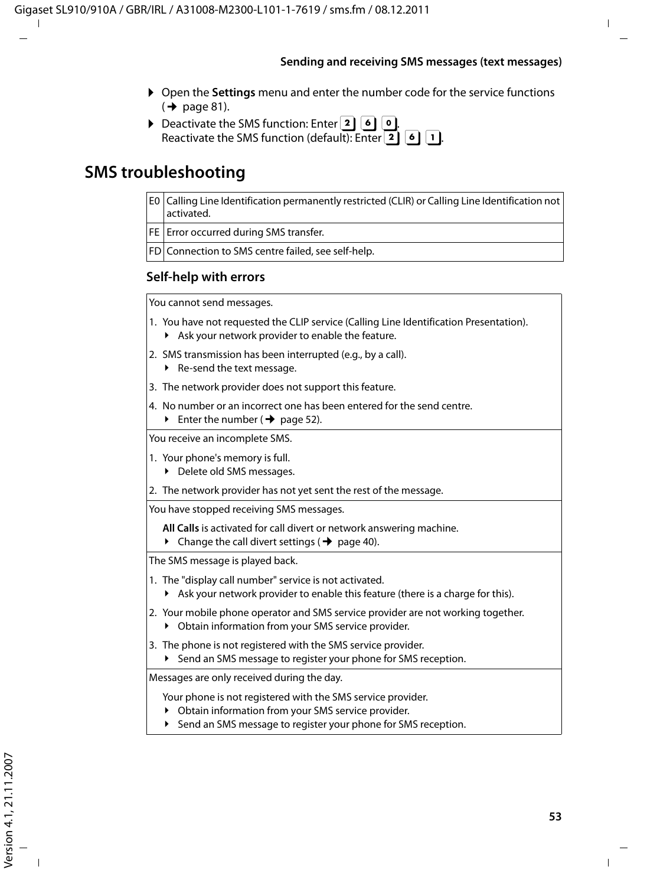- ▶ Open the **Settings** menu and enter the number code for the service functions  $(\rightarrow$  page 81).
- $\triangleright$  Deactivate the SMS function: Enter **2.** 6. **0.** Reactivate the SMS function (default): Enter  $\boxed{2}$   $\boxed{6}$   $\boxed{1}$ .

# **SMS troubleshooting**

- E0 Calling Line Identification permanently restricted (CLIR) or Calling Line Identification not activated.
- FE | Error occurred during SMS transfer.
- FD Connection to SMS centre failed, see self-help.

#### **Self-help with errors**

You cannot send messages.

- 1. You have not requested the CLIP service (Calling Line Identification Presentation).
	- $\blacktriangleright$  Ask your network provider to enable the feature.
- 2. SMS transmission has been interrupted (e.g., by a call).
	- $\blacktriangleright$  Re-send the text message.
- 3. The network provider does not support this feature.
- 4. No number or an incorrect one has been entered for the send centre.
	- Enter the number ( $\rightarrow$  page 52).

You receive an incomplete SMS.

- 1. Your phone's memory is full.
	- ▶ Delete old SMS messages.
- 2. The network provider has not yet sent the rest of the message.

You have stopped receiving SMS messages.

- **All Calls** is activated for call divert or network answering machine.
- $\triangleright$  Change the call divert settings ( $\rightarrow$  page 40).

The SMS message is played back.

- 1. The "display call number" service is not activated.
	- ▶ Ask your network provider to enable this feature (there is a charge for this).
- 2. Your mobile phone operator and SMS service provider are not working together.
	- ▶ Obtain information from your SMS service provider.
- 3. The phone is not registered with the SMS service provider.
	- ▶ Send an SMS message to register your phone for SMS reception.

Messages are only received during the day.

Your phone is not registered with the SMS service provider.

- ▶ Obtain information from your SMS service provider.
- ▶ Send an SMS message to register your phone for SMS reception.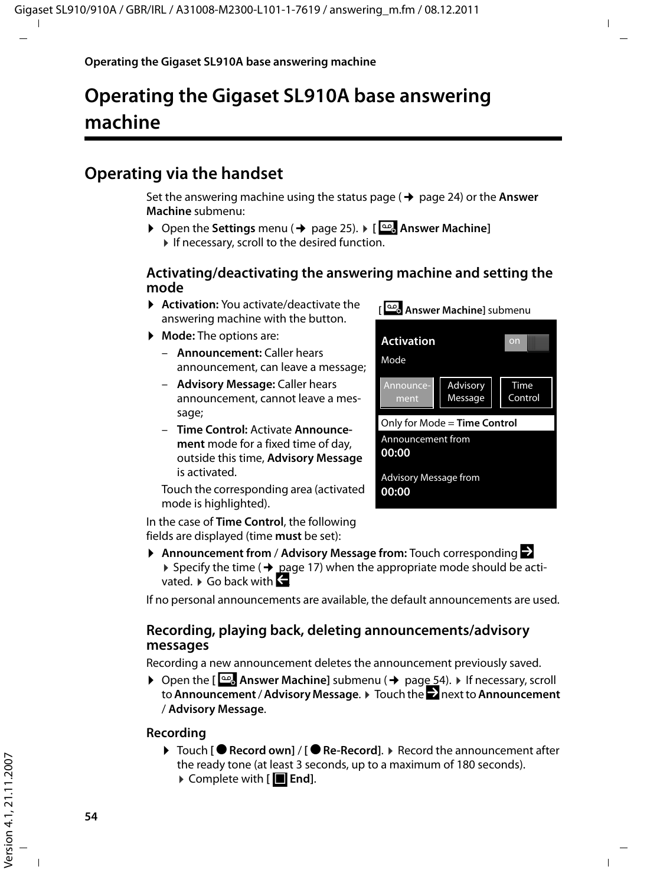# **Operating the Gigaset SL910A base answering machine**

# **Operating via the handset**

Set the answering machine using the status page  $($   $\rightarrow$  page 24) or the **Answer Machine** submenu:

**▶** Open the Settings menu (→ page 25). ▶ **[@Answer Machine]**  $\blacktriangleright$  If necessary, scroll to the desired function.

#### **Activating/deactivating the answering machine and setting the mode**

- **Activation:** You activate/deactivate the answering machine with the button.
- ▶ **Mode:** The options are:
	- **Announcement:** Caller hears announcement, can leave a message;
	- **Advisory Message:** Caller hears announcement, cannot leave a message:
	- **Time Control:** Activate **Announcement** mode for a fixed time of day, outside this time, **Advisory Message**  is activated.

Touch the corresponding area (activated mode is highlighted).

In the case of **Time Control**, the following fields are displayed (time **must** be set):

| Answer Machine] submenu               |                     |                 |
|---------------------------------------|---------------------|-----------------|
| <b>Activation</b><br>Mode             |                     | on              |
| Announce-<br>ment                     | Advisory<br>Message | Time<br>Control |
| Only for Mode = Time Control          |                     |                 |
| Announcement from<br>00:00            |                     |                 |
| <b>Advisory Message from</b><br>00:00 |                     |                 |

**▶ Announcement from / Advisory Message from:** Touch corresponding **■** ▶ Specify the time ( $\rightarrow$  page 17) when the appropriate mode should be activated.  $\blacktriangleright$  Go back with  $\blacktriangleleft$ 

If no personal announcements are available, the default announcements are used.

#### **Recording, playing back, deleting announcements/advisory messages**

Recording a new announcement deletes the announcement previously saved.

**▶** Open the  $\left[\frac{\infty}{2}\right]$  Answer Machine] submenu (→ page 54). ▶ If necessary, scroll to **Announcement** / **Advisory Message**. ¤ Touch the ' next to **Announcement** / **Advisory Message**.

#### **Recording**

▶ Touch **[● Record own] / [● Re-Record]. ▶ Record the announcement after** the ready tone (at least 3 seconds, up to a maximum of 180 seconds). ▶ Complete with [**■End**].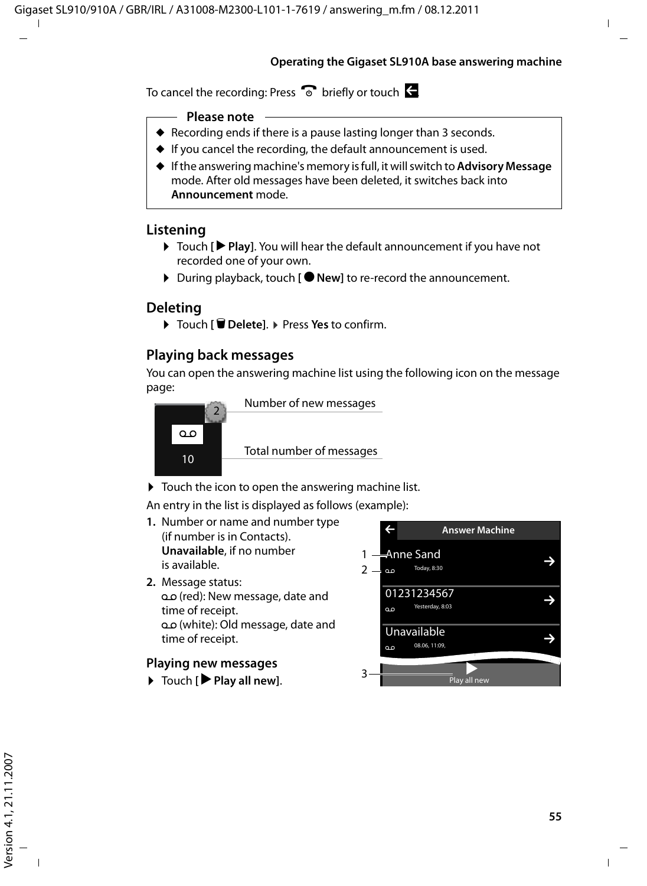#### **Operating the Gigaset SL910A base answering machine**

To cancel the recording: Press  $\widehat{\bullet}$  briefly or touch  $\leftarrow$ 

#### **Please note**

- $\triangle$  Recording ends if there is a pause lasting longer than 3 seconds.
- $\blacklozenge$  If you cancel the recording, the default announcement is used.
- ◆ If the answering machine's memory is full, it will switch to **Advisory Message** mode. After old messages have been deleted, it switches back into **Announcement** mode.

#### **Listening**

- ▶ Touch **[▶ Play**]. You will hear the default announcement if you have not recorded one of your own.
- ▶ During playback, touch **[ New]** to re-record the announcement.

#### **Deleting**

¤ Touch **[** <sup>ü</sup> **Delete]**. ¤ Press **Yes** to confirm.

#### **Playing back messages**

You can open the answering machine list using the following icon on the message page:



 $\triangleright$  Touch the icon to open the answering machine list.

An entry in the list is displayed as follows (example):

- **1.** Number or name and number type (if number is in Contacts). **Unavailable**, if no number is available.
- **2.** Message status: oo (red): New message, date and time of receipt. Ã (white): Old message, date and time of receipt.

#### **Playing new messages**

▶ Touch **[ ▶ Play all new**].

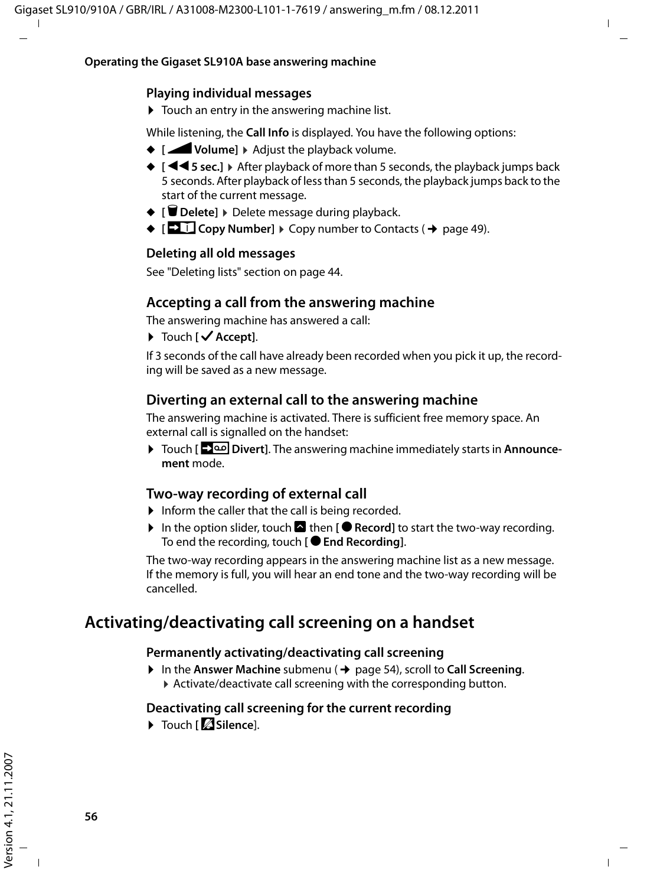#### **Playing individual messages**

 $\triangleright$  Touch an entry in the answering machine list.

While listening, the **Call Info** is displayed. You have the following options:

- ◆ **[Z** Volume] ▶ Adjust the playback volume.
- ◆ **[**<sup>√</sup> 5 sec.] ▶ After playback of more than 5 seconds, the playback jumps back 5 seconds. After playback of less than 5 seconds, the playback jumps back to the start of the current message.
- ◆ **[** $\bullet$  **Delete**]  $\bullet$  Delete message during playback.
- $\blacklozenge$   $\lceil$   $\blacksquare$  Copy Number]  $\blacktriangleright$  Copy number to Contacts ( $\blacktriangleright$  page 49).

#### **Deleting all old messages**

See "Deleting lists" section on page 44.

#### **Accepting a call from the answering machine**

The answering machine has answered a call:

▶ Touch **[ √ Accept]**.

If 3 seconds of the call have already been recorded when you pick it up, the recording will be saved as a new message.

### **Diverting an external call to the answering machine**

The answering machine is activated. There is sufficient free memory space. An external call is signalled on the handset:

¤ Touch **[Divert]**. The answering machine immediately starts in **Announcement** mode.

#### **Two-way recording of external call**

- $\blacktriangleright$  Inform the caller that the call is being recorded.
- In the option slider, touch **A** then **[**  $\bullet$  **Record**] to start the two-way recording. To end the recording, touch **[ C End Recording**].

The two-way recording appears in the answering machine list as a new message. If the memory is full, you will hear an end tone and the two-way recording will be cancelled.

# **Activating/deactivating call screening on a handset**

#### **Permanently activating/deactivating call screening**

- **▶** In the Answer Machine submenu (→ page 54), scroll to Call Screening.
	- $\triangleright$  Activate/deactivate call screening with the corresponding button.

#### **Deactivating call screening for the current recording**

**E** Touch **[**  $\mathbb Z$  Silence].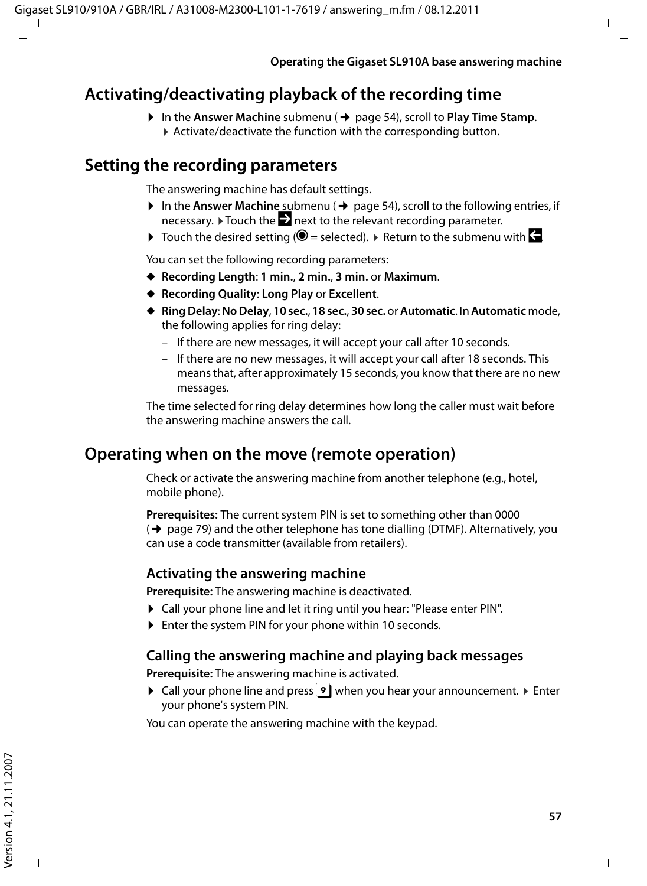## **Activating/deactivating playback of the recording time**

▶ In the Answer Machine submenu (→ page 54), scroll to Play Time Stamp.  $\triangleright$  Activate/deactivate the function with the corresponding button.

### **Setting the recording parameters**

The answering machine has default settings.

- $\triangleright$  In the Answer Machine submenu ( $\rightarrow$  page 54), scroll to the following entries, if necessary.  $\triangleright$  Touch the  $\triangleright$  next to the relevant recording parameter.
- $\triangleright$  Touch the desired setting ( $\bigcirc$  = selected).  $\triangleright$  Return to the submenu with  $\bigcirc$

You can set the following recording parameters:

- u **Recording Length**: **1 min.**, **2 min.**, **3 min.** or **Maximum**.
- ◆ Recording Quality: Long Play or Excellent.
- u **Ring Delay**: **No Delay**, **10 sec.**, **18 sec.**, **30 sec.** or **Automatic**. In **Automatic** mode, the following applies for ring delay:
	- If there are new messages, it will accept your call after 10 seconds.
	- If there are no new messages, it will accept your call after 18 seconds. This means that, after approximately 15 seconds, you know that there are no new messages.

The time selected for ring delay determines how long the caller must wait before the answering machine answers the call.

### **Operating when on the move (remote operation)**

Check or activate the answering machine from another telephone (e.g., hotel, mobile phone).

**Prerequisites:** The current system PIN is set to something other than 0000  $($   $\rightarrow$  page 79) and the other telephone has tone dialling (DTMF). Alternatively, you can use a code transmitter (available from retailers).

### **Activating the answering machine**

**Prerequisite:** The answering machine is deactivated.

- ▶ Call your phone line and let it ring until you hear: "Please enter PIN".
- ▶ Enter the system PIN for your phone within 10 seconds.

#### **Calling the answering machine and playing back messages**

**Prerequisite:** The answering machine is activated.

 $\triangleright$  Call your phone line and press  $\triangleright$  when you hear your announcement.  $\triangleright$  Enter your phone's system PIN.

You can operate the answering machine with the keypad.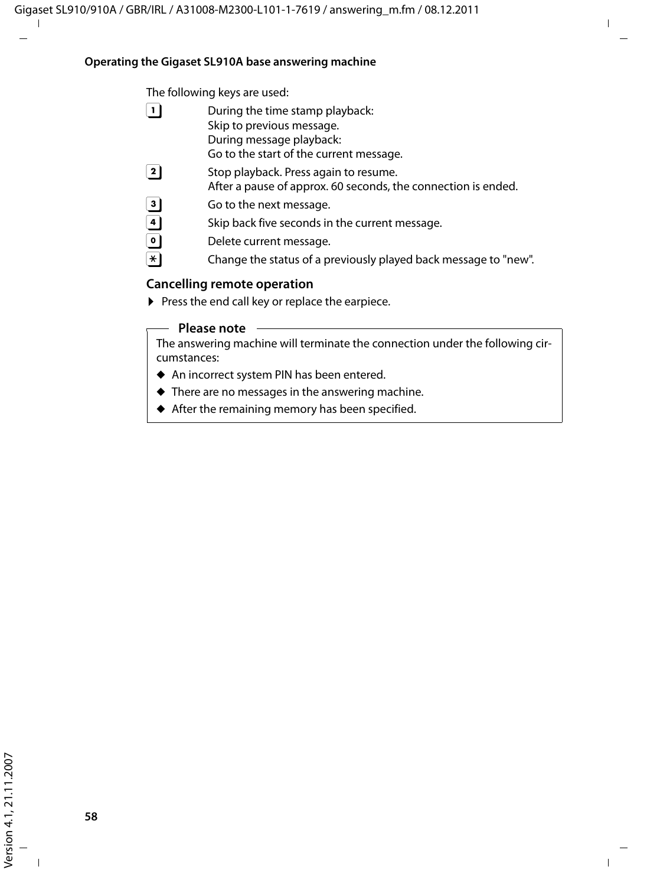#### **Operating the Gigaset SL910A base answering machine**

The following keys are used:

- $\boxed{1}$  During the time stamp playback: Skip to previous message. During message playback: Go to the start of the current message.
- $\boxed{2}$  Stop playback. Press again to resume.

After a pause of approx. 60 seconds, the connection is ended.

- **3** Go to the next message.<br> **4** Skip back five seconds in
- 4 Skip back five seconds in the current message.<br> **0** Delete current message.
- Delete current message.
- $\overline{f}$  Change the status of a previously played back message to "new".

#### **Cancelling remote operation**

 $\blacktriangleright$  Press the end call key or replace the earpiece.

#### **Please note**

The answering machine will terminate the connection under the following circumstances:

- $\triangle$  An incorrect system PIN has been entered.
- $\blacklozenge$  There are no messages in the answering machine.
- $\triangle$  After the remaining memory has been specified.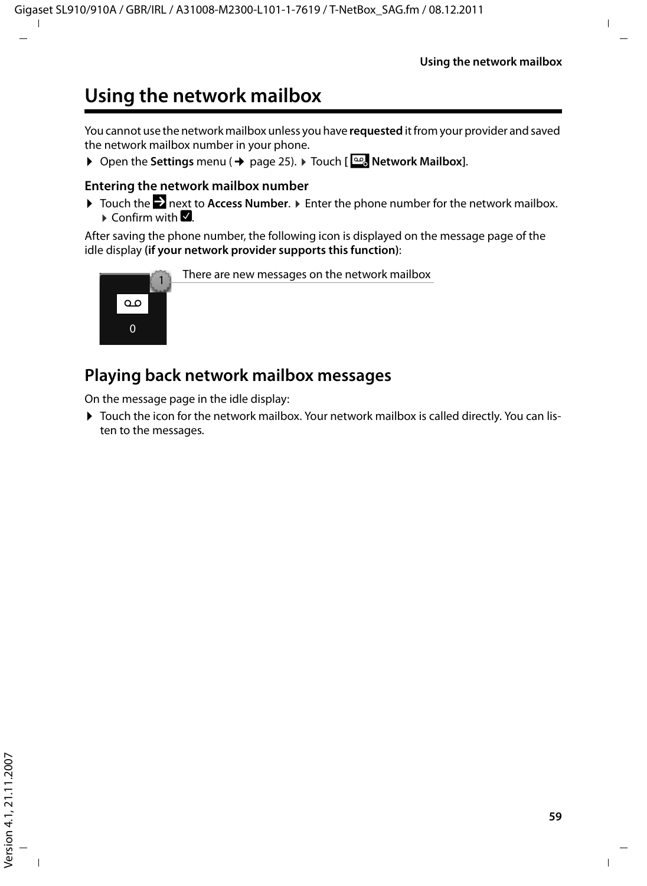# **Using the network mailbox**

You cannot use the network mailbox unless you have **requested** it from your provider and saved the network mailbox number in your phone.

▶ Open the **Settings** menu (→ page 25). ▶ Touch [**page]** Network Mailbox].

#### **Entering the network mailbox number**

▶ Touch the **Exect to Access Number.** ▶ Enter the phone number for the network mailbox.  $\triangleright$  Confirm with  $\blacksquare$ .

After saving the phone number, the following icon is displayed on the message page of the idle display **(if your network provider supports this function)**:



# **Playing back network mailbox messages**

On the message page in the idle display:

▶ Touch the icon for the network mailbox. Your network mailbox is called directly. You can listen to the messages.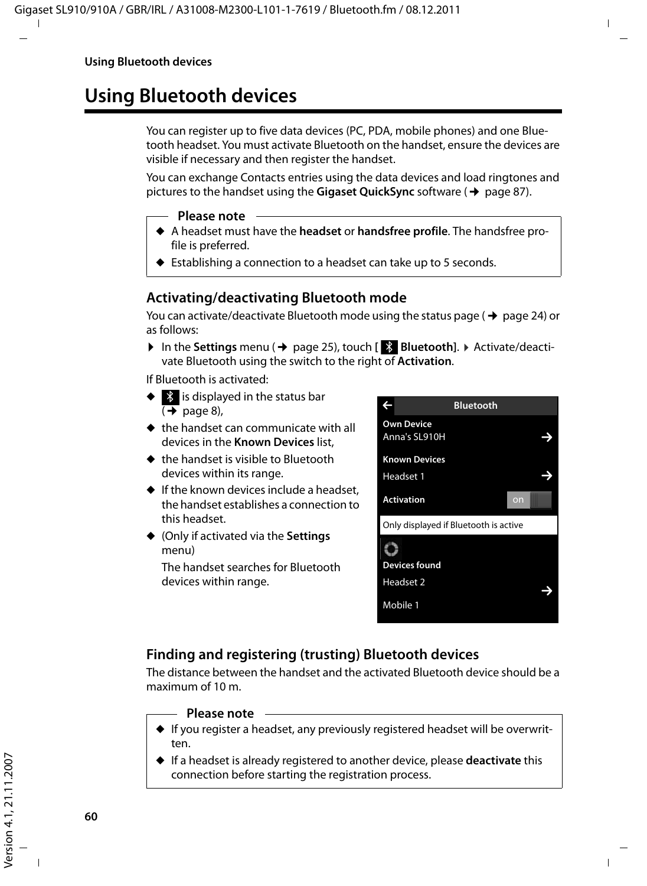# **Using Bluetooth devices**

You can register up to five data devices (PC, PDA, mobile phones) and one Bluetooth headset. You must activate Bluetooth on the handset, ensure the devices are visible if necessary and then register the handset.

You can exchange Contacts entries using the data devices and load ringtones and pictures to the handset using the **Gigaset QuickSync** software (→ page 87).

- **Please note**
- ◆ A headset must have the **headset** or **handsfree profile**. The handsfree profile is preferred.
- $\triangleright$  Establishing a connection to a headset can take up to 5 seconds.

### **Activating/deactivating Bluetooth mode**

You can activate/deactivate Bluetooth mode using the status page  $($   $\rightarrow$  page 24) or as follows:

▶ In the Settings menu (→ page 25), touch [  $\geq$  Bluetooth]. ▶ Activate/deactivate Bluetooth using the switch to the right of **Activation**.

If Bluetooth is activated:

- $\blacklozenge$  is displayed in the status bar  $(\rightarrow$  page 8),
- $\triangleq$  the handset can communicate with all devices in the **Known Devices** list,
- $\triangleq$  the handset is visible to Bluetooth devices within its range.
- $\bullet$  If the known devices include a headset. the handset establishes a connection to this headset.
- u (Only if activated via the **Settings** menu)

The handset searches for Bluetooth devices within range.



### **Finding and registering (trusting) Bluetooth devices**

The distance between the handset and the activated Bluetooth device should be a maximum of 10 m.

#### **Please note**

- $\blacklozenge$  If you register a headset, any previously registered headset will be overwritten.
- ◆ If a headset is already registered to another device, please **deactivate** this connection before starting the registration process.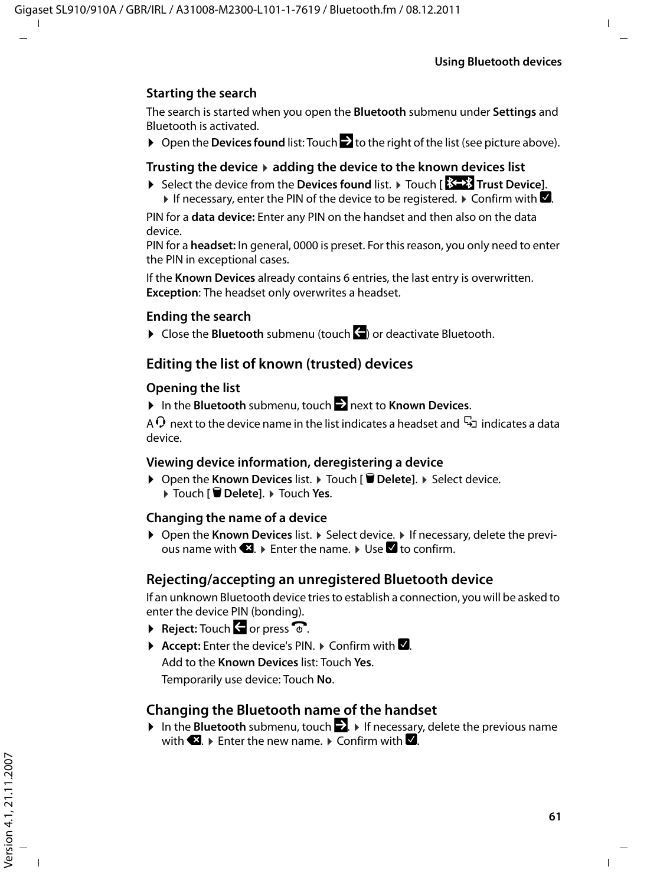#### **Starting the search**

The search is started when you open the **Bluetooth** submenu under **Settings** and Bluetooth is activated.

▶ Open the **Devices found** list: Touch **b** to the right of the list (see picture above).

#### **Trusting the device** ¤ **adding the device to the known devices list**

**▶** Select the device from the **Devices found** list. ▶ Touch [  $\frac{1}{2}$  Trust Device]. If necessary, enter the PIN of the device to be registered.  $\blacktriangleright$  Confirm with  $\blacksquare$ .

PIN for a **data device:** Enter any PIN on the handset and then also on the data device.

PIN for a **headset:** In general, 0000 is preset. For this reason, you only need to enter the PIN in exceptional cases.

If the **Known Devices** already contains 6 entries, the last entry is overwritten. **Exception**: The headset only overwrites a headset.

#### **Ending the search**

▶ Close the **Bluetooth** submenu (touch <a>
or deactivate Bluetooth.

#### **Editing the list of known (trusted) devices**

#### **Opening the list**

▶ In the **Bluetooth** submenu, touch  $\geq$  next to **Known Devices**.

A  $\Omega$  next to the device name in the list indicates a headset and  $\Xi_1$  indicates a data device.

#### **Viewing device information, deregistering a device**

▶ Open the **Known Devices** list. ▶ Touch [  $\blacksquare$  **Delete**]. ▶ Select device. ¤ Touch **[** <sup>ü</sup> **Delete]**. ¤ Touch **Yes**.

#### **Changing the name of a device**

**▶ Open the Known Devices list. ▶ Select device. ▶ If necessary, delete the previ**ous name with  $\Box$   $\blacktriangleright$  Enter the name.  $\blacktriangleright$  Use  $\Box$  to confirm.

#### **Rejecting/accepting an unregistered Bluetooth device**

If an unknown Bluetooth device tries to establish a connection, you will be asked to enter the device PIN (bonding).

- **Reject:** Touch **G** or press  $\odot$ .
- $\triangleright$  **Accept:** Enter the device's PIN.  $\triangleright$  Confirm with **2**.

Add to the **Known Devices** list: Touch **Yes**. Temporarily use device: Touch **No**.

#### **Changing the Bluetooth name of the handset**

**▶** In the **Bluetooth** submenu, touch  $\blacksquare$ . ▶ If necessary, delete the previous name with  $\bigotimes$   $\triangleright$  Enter the new name.  $\triangleright$  Confirm with  $\bigotimes$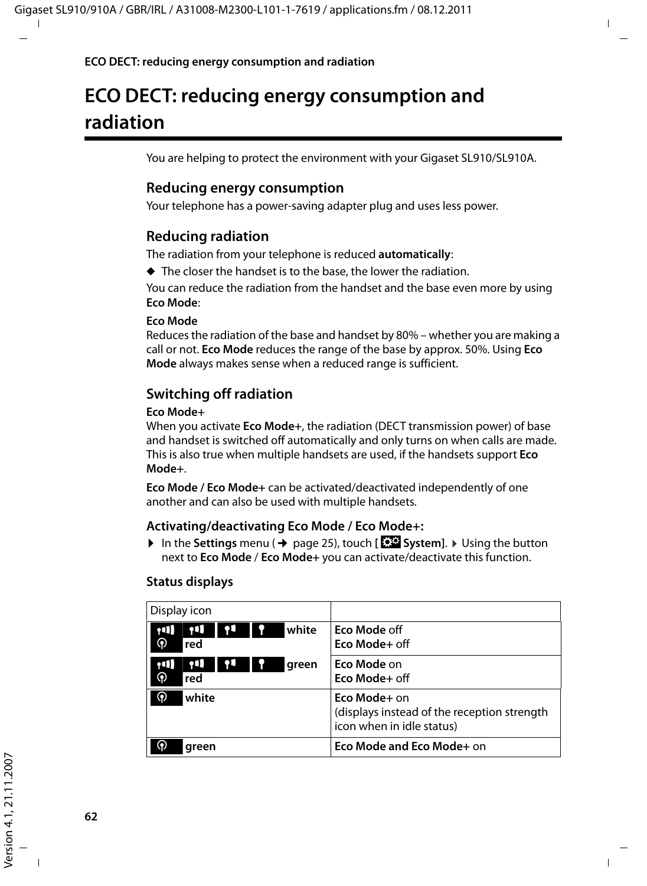# **ECO DECT: reducing energy consumption and radiation**

You are helping to protect the environment with your Gigaset SL910/SL910A.

#### **Reducing energy consumption**

Your telephone has a power-saving adapter plug and uses less power.

#### **Reducing radiation**

The radiation from your telephone is reduced **automatically**:

 $\triangle$  The closer the handset is to the base, the lower the radiation.

You can reduce the radiation from the handset and the base even more by using **Eco Mode**:

#### **Eco Mode**

Reduces the radiation of the base and handset by 80% – whether you are making a call or not. **Eco Mode** reduces the range of the base by approx. 50%. Using **Eco Mode** always makes sense when a reduced range is sufficient.

### **Switching off radiation**

#### **Eco Mode+**

When you activate **Eco Mode+**, the radiation (DECT transmission power) of base and handset is switched off automatically and only turns on when calls are made. This is also true when multiple handsets are used, if the handsets support **Eco Mode+**.

**Eco Mode / Eco Mode+** can be activated/deactivated independently of one another and can also be used with multiple handsets.

#### **Activating/deactivating Eco Mode / Eco Mode+:**

**▶** In the Settings menu (→ page 25), touch [**EEP** System]. ▶ Using the button next to **Eco Mode** / **Eco Mode+** you can activate/deactivate this function.

| Display icon                                  |                                                                                          |
|-----------------------------------------------|------------------------------------------------------------------------------------------|
| 11<br>white<br>$\mathbf{u}$<br>⊛<br>red       | <b>Eco Mode off</b><br>Eco Mode+ off                                                     |
| 11<br>$\left( 1 \right)$<br>green<br>ၐ<br>red | Eco Mode on<br>Eco Mode+ off                                                             |
| ⊛<br>white                                    | Eco Mode+ on<br>(displays instead of the reception strength<br>icon when in idle status) |
| green                                         | Eco Mode and Eco Mode+ on                                                                |

#### **Status displays**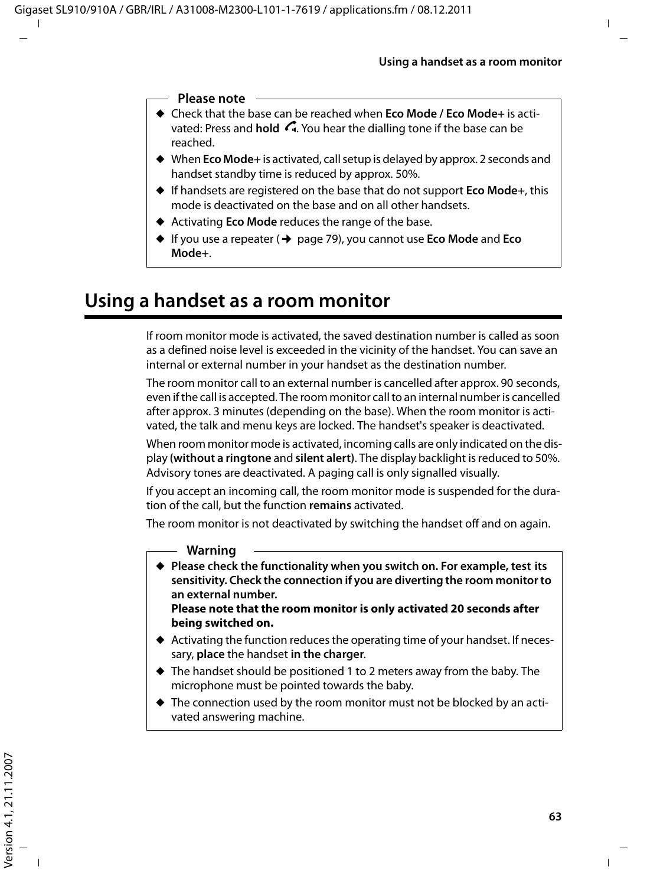#### **Please note**

- ◆ Check that the base can be reached when **Eco Mode / Eco Mode**+ is activated: Press and **hold G.** You hear the dialling tone if the base can be reached.
- ▶ When **Eco Mode**+ is activated, call setup is delayed by approx. 2 seconds and handset standby time is reduced by approx. 50%.
- ◆ If handsets are registered on the base that do not support **Eco Mode**+, this mode is deactivated on the base and on all other handsets.
- ◆ Activating **Eco Mode** reduces the range of the base.
- ◆ If you use a repeater (→ page 79), you cannot use **Eco Mode** and **Eco Mode+**.

# **Using a handset as a room monitor**

If room monitor mode is activated, the saved destination number is called as soon as a defined noise level is exceeded in the vicinity of the handset. You can save an internal or external number in your handset as the destination number.

The room monitor call to an external number is cancelled after approx. 90 seconds, even if the call is accepted. The room monitor call to an internal number is cancelled after approx. 3 minutes (depending on the base). When the room monitor is activated, the talk and menu keys are locked. The handset's speaker is deactivated.

When room monitor mode is activated, incoming calls are only indicated on the display **(without a ringtone** and **silent alert)**. The display backlight is reduced to 50%. Advisory tones are deactivated. A paging call is only signalled visually.

If you accept an incoming call, the room monitor mode is suspended for the duration of the call, but the function **remains** activated.

The room monitor is not deactivated by switching the handset off and on again.

#### **Warning**

◆ Please check the functionality when you switch on. For example, test its **sensitivity. Check the connection if you are diverting the room monitor to an external number. Please note that the room monitor is only activated 20 seconds after** 

**being switched on.**

- $\blacklozenge$  Activating the function reduces the operating time of your handset. If necessary, **place** the handset **in the charger**.
- $\blacklozenge$  The handset should be positioned 1 to 2 meters away from the baby. The microphone must be pointed towards the baby.
- $\blacklozenge$  The connection used by the room monitor must not be blocked by an activated answering machine.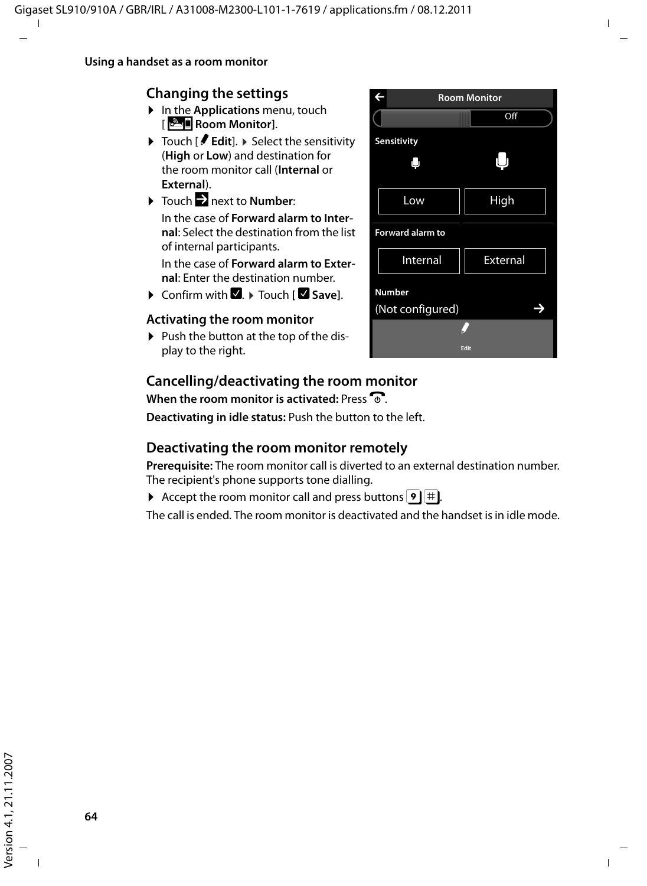### **Changing the settings**

- ▶ In the **Applications** menu, touch [Ç**Room Monitor]**.
- ▶ Touch [ *P* **Edit**]. ▶ Select the sensitivity (**High** or **Low**) and destination for the room monitor call (**Internal** or **External**).
- $\triangleright$  Touch  $\triangleright$  next to **Number:** In the case of **Forward alarm to Internal**: Select the destination from the list of internal participants.

In the case of **Forward alarm to External**: Enter the destination number.

**▶ Confirm with <b>D**. ▶ Touch **[ Z** Save].

#### **Activating the room monitor**

 $\triangleright$  Push the button at the top of the display to the right.

### **Cancelling/deactivating the room monitor**

**When the room monitor is activated: Press**  $\Omega$ **.** 

**Deactivating in idle status:** Push the button to the left.

### **Deactivating the room monitor remotely**

**Prerequisite:** The room monitor call is diverted to an external destination number. The recipient's phone supports tone dialling.

Accept the room monitor call and press buttons  $\boxed{9}$  #.

The call is ended. The room monitor is deactivated and the handset is in idle mode.

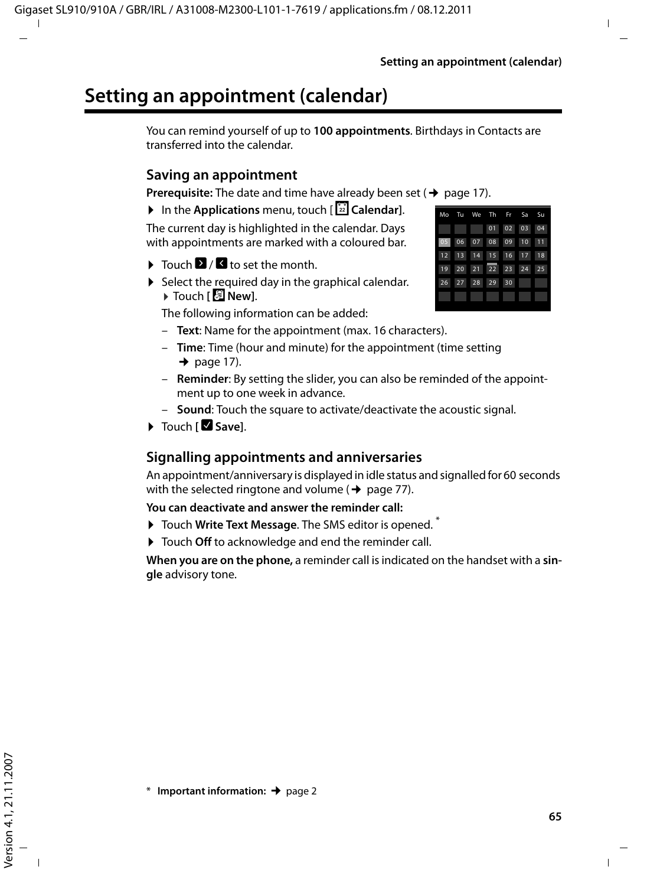# **Setting an appointment (calendar)**

You can remind yourself of up to **100 appointments**. Birthdays in Contacts are transferred into the calendar.

#### **Saving an appointment**

**Prerequisite:** The date and time have already been set  $($   $\rightarrow$  page 17).

▶ In the **Applications** menu, touch [ $\boxed{22}$  **Calendar**].

The current day is highlighted in the calendar. Days with appointments are marked with a coloured bar.

- $\triangleright$  Touch  $\triangleright$  /  $\blacksquare$  to set the month.
- $\triangleright$  Select the required day in the graphical calendar. ¤ Touch **[** <sup>â</sup> **New]**.

The following information can be added:

- **Text**: Name for the appointment (max. 16 characters).
- **Time**: Time (hour and minute) for the appointment (time setting  $\rightarrow$  page 17).
- **Reminder**: By setting the slider, you can also be reminded of the appointment up to one week in advance.
- **Sound**: Touch the square to activate/deactivate the acoustic signal.
- ▶ Touch **[ Ø** Save].

### **Signalling appointments and anniversaries**

An appointment/anniversary is displayed in idle status and signalled for 60 seconds with the selected ringtone and volume ( $\rightarrow$  page 77).

#### **You can deactivate and answer the reminder call:**

- ▶ Touch Write Text Message. The SMS editor is opened.<sup>\*</sup>
- ▶ Touch Off to acknowledge and end the reminder call.

**When you are on the phone,** a reminder call is indicated on the handset with a **single** advisory tone.

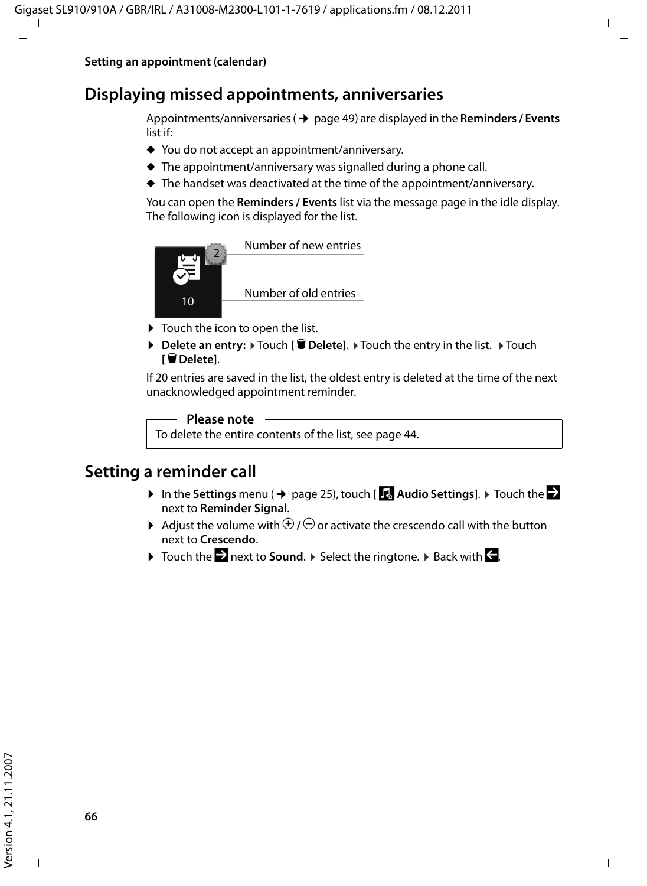## **Displaying missed appointments, anniversaries**

Appointments/anniversaries ( $\rightarrow$  page 49) are displayed in the **Reminders / Events** list if:

- $\blacklozenge$  You do not accept an appointment/anniversary.
- $\blacklozenge$  The appointment/anniversary was signalled during a phone call.
- $\blacklozenge$  The handset was deactivated at the time of the appointment/anniversary.

You can open the **Reminders / Events** list via the message page in the idle display. The following icon is displayed for the list.



- $\triangleright$  Touch the icon to open the list.
- **▶** Delete an entry: ▶ Touch **[**  $\bullet$  Delete]. ▶ Touch the entry in the list. ▶ Touch **[** ü **Delete]**.

If 20 entries are saved in the list, the oldest entry is deleted at the time of the next unacknowledged appointment reminder.

#### **Please note**

To delete the entire contents of the list, see page 44.

### **Setting a reminder call**

- $\triangleright$  In the Settings menu ( $\rightarrow$  page 25), touch [**iii**, Audio Settings].  $\triangleright$  Touch the  $\triangleright$ next to **Reminder Signal**.
- $\blacktriangleright$  Adjust the volume with  $\Theta$  /  $\ominus$  or activate the crescendo call with the button next to **Crescendo**.
- $\triangleright$  Touch the  $\triangleright$  next to **Sound**.  $\triangleright$  Select the ringtone.  $\triangleright$  Back with  $\cdot\cdot$ .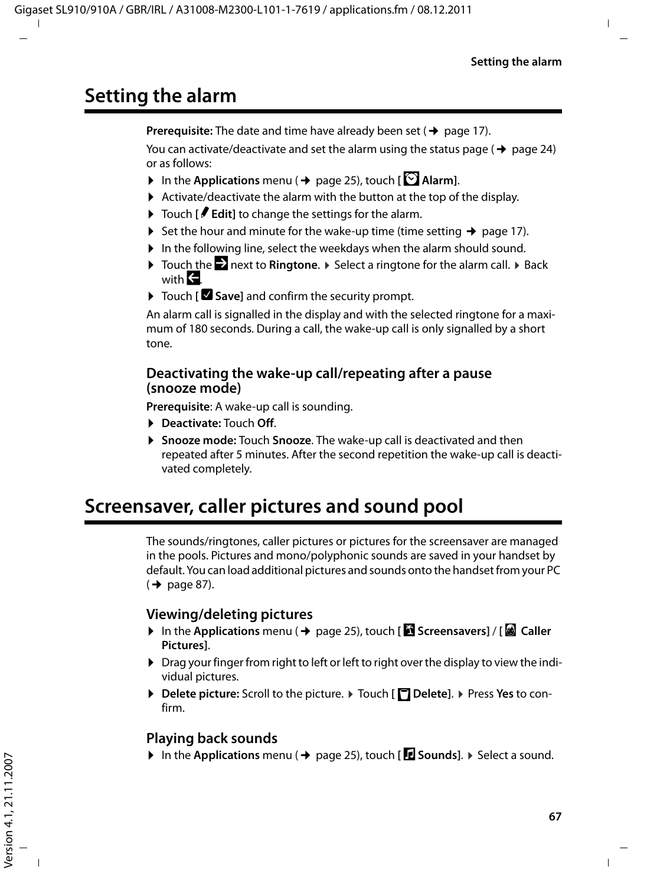# **Setting the alarm**

**Prerequisite:** The date and time have already been set ( $\rightarrow$  page 17).

You can activate/deactivate and set the alarm using the status page ( $\rightarrow$  page 24) or as follows:

- In the Applications menu ( $\rightarrow$  page 25), touch [ $\Box$  Alarm].
- $\blacktriangleright$  Activate/deactivate the alarm with the button at the top of the display.
- ▶ Touch **[**  $\blacktriangleright$  **Edit**] to change the settings for the alarm.
- $\triangleright$  Set the hour and minute for the wake-up time (time setting  $\rightarrow$  page 17).
- $\blacktriangleright$  In the following line, select the weekdays when the alarm should sound.
- **▶ Touch the Exect to Ringtone. ▶ Select a ringtone for the alarm call. ▶ Back** with  $\blacksquare$
- ▶ Touch [**Ø Save**] and confirm the security prompt.

An alarm call is signalled in the display and with the selected ringtone for a maximum of 180 seconds. During a call, the wake-up call is only signalled by a short tone.

#### **Deactivating the wake-up call/repeating after a pause (snooze mode)**

**Prerequisite**: A wake-up call is sounding.

- ¤ **Deactivate:** Touch **Off**.
- ▶ Snooze mode: Touch Snooze. The wake-up call is deactivated and then repeated after 5 minutes. After the second repetition the wake-up call is deactivated completely.

# **Screensaver, caller pictures and sound pool**

The sounds/ringtones, caller pictures or pictures for the screensaver are managed in the pools. Pictures and mono/polyphonic sounds are saved in your handset by default. You can load additional pictures and sounds onto the handset from your PC  $($   $\rightarrow$  page 87).

#### **Viewing/deleting pictures**

- **▶** In the Applications menu (→ page 25), touch **[**  $\bullet$  Screensavers] / [  $\bullet$  Caller **Pictures]**.
- ▶ Drag your finger from right to left or left to right over the display to view the individual pictures.
- ▶ Delete picture: Scroll to the picture. ▶ Touch [ **Delete**]. ▶ Press Yes to confirm.

### **Playing back sounds**

 $\triangleright$  In the **Applications** menu ( $\rightarrow$  page 25), touch [*E* **Sounds**].  $\triangleright$  Select a sound.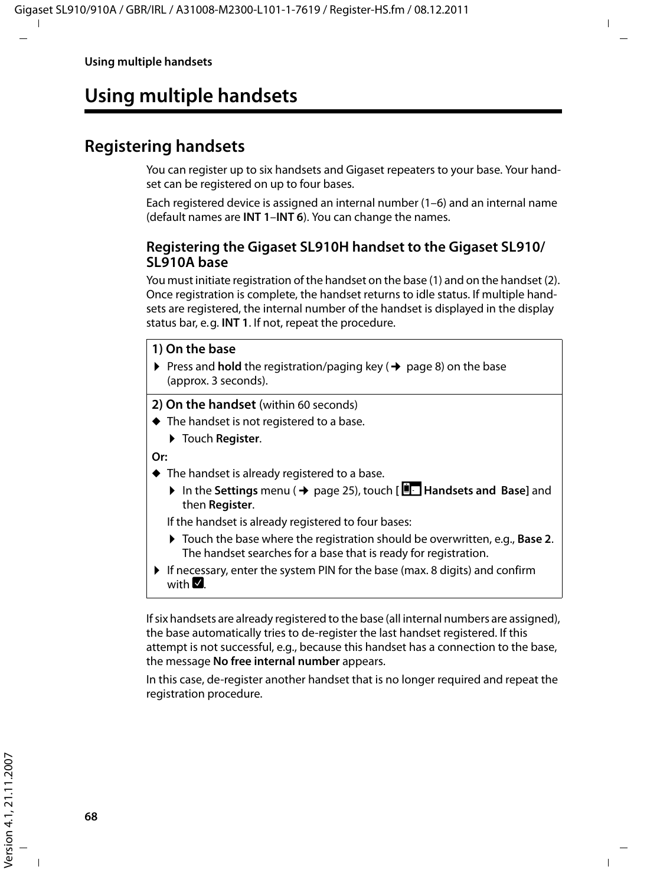# **Using multiple handsets**

# **Registering handsets**

You can register up to six handsets and Gigaset repeaters to your base. Your handset can be registered on up to four bases.

Each registered device is assigned an internal number (1–6) and an internal name (default names are **INT 1**–**INT 6**). You can change the names.

#### **Registering the Gigaset SL910H handset to the Gigaset SL910/ SL910A base**

You must initiate registration of the handset on the base (1) and on the handset (2). Once registration is complete, the handset returns to idle status. If multiple handsets are registered, the internal number of the handset is displayed in the display status bar, e.g. **INT 1**. If not, repeat the procedure.

#### **1) On the base**

**Press and hold** the registration/paging key ( $\rightarrow$  page 8) on the base (approx. 3 seconds).

**2) On the handset** (within 60 seconds)

- $\blacklozenge$  The handset is not registered to a base.
	- ▶ Touch **Register**.

**Or:**

- $\blacklozenge$  The handset is already registered to a base.
	- **▶** In the Settings menu (→ page 25), touch [ $\frac{1}{2}$  Handsets and Base] and then **Register**.

If the handset is already registered to four bases:

- ▶ Touch the base where the registration should be overwritten, e.g., **Base 2**. The handset searches for a base that is ready for registration.
- $\blacktriangleright$  If necessary, enter the system PIN for the base (max. 8 digits) and confirm with  $\nabla$

If six handsets are already registered to the base (all internal numbers are assigned), the base automatically tries to de-register the last handset registered. If this attempt is not successful, e.g., because this handset has a connection to the base, the message **No free internal number** appears.

In this case, de-register another handset that is no longer required and repeat the registration procedure.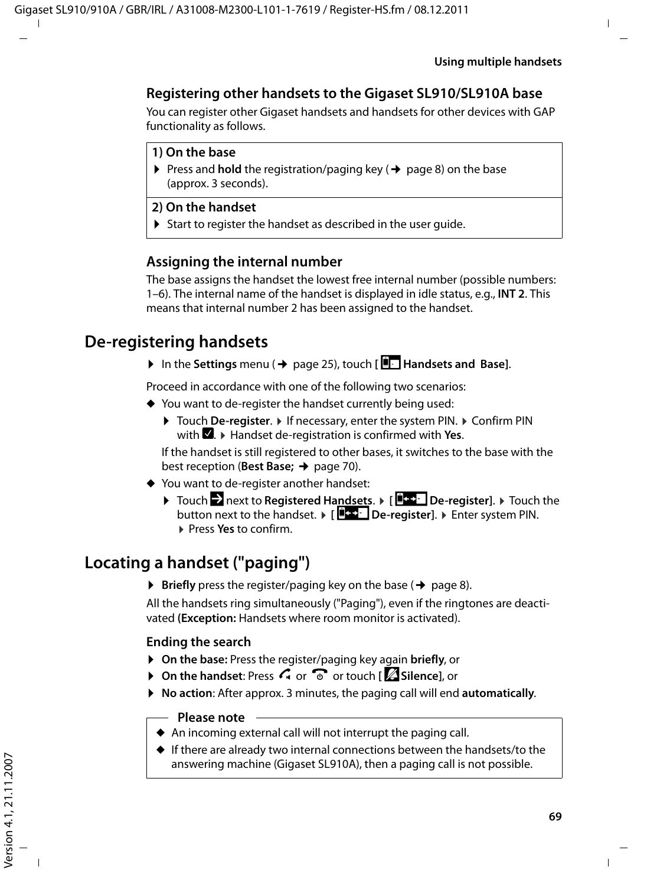### **Registering other handsets to the Gigaset SL910/SL910A base**

You can register other Gigaset handsets and handsets for other devices with GAP functionality as follows.

#### **1) On the base**

Press and **hold** the registration/paging key ( $\rightarrow$  page 8) on the base (approx. 3 seconds).

#### **2) On the handset**

 $\triangleright$  Start to register the handset as described in the user guide.

#### **Assigning the internal number**

The base assigns the handset the lowest free internal number (possible numbers: 1–6). The internal name of the handset is displayed in idle status, e.g., **INT 2**. This means that internal number 2 has been assigned to the handset.

## **De-registering handsets**

▶ In the Settings menu (→ page 25), touch [**E** Handsets and Base].

Proceed in accordance with one of the following two scenarios:

- $\blacklozenge$  You want to de-register the handset currently being used:
	- **▶ Touch De-register. ▶ If necessary, enter the system PIN. ▶ Confirm PIN.** with **Z**.  $\triangleright$  Handset de-registration is confirmed with Yes.

If the handset is still registered to other bases, it switches to the base with the best reception (**Best Base;**  $\rightarrow$  page 70).

- $\blacklozenge$  You want to de-register another handset:
	- **▶** Touch **Z** next to Registered Handsets. ▶ [ $\frac{1}{2}$  De-register]. ▶ Touch the button next to the handset. ¤ **[** ø **De-register]**. ¤ Enter system PIN. ¤ Press **Yes** to confirm.

# **Locating a handset ("paging")**

 $\triangleright$  **Briefly** press the register/paging key on the base ( $\rightarrow$  page 8).

All the handsets ring simultaneously ("Paging"), even if the ringtones are deactivated **(Exception:** Handsets where room monitor is activated).

#### **Ending the search**

- ¤ **On the base:** Press the register/paging key again **briefly**, or
- **▶** On the handset: Press  $\subseteq$  or  $\circledcirc$  or touch **[**  $\cong$  Silence], or
- ¤ **No action**: After approx. 3 minutes, the paging call will end **automatically**.

#### **Please note**

- $\blacklozenge$  An incoming external call will not interrupt the paging call.
- $\triangleq$  If there are already two internal connections between the handsets/to the answering machine (Gigaset SL910A), then a paging call is not possible.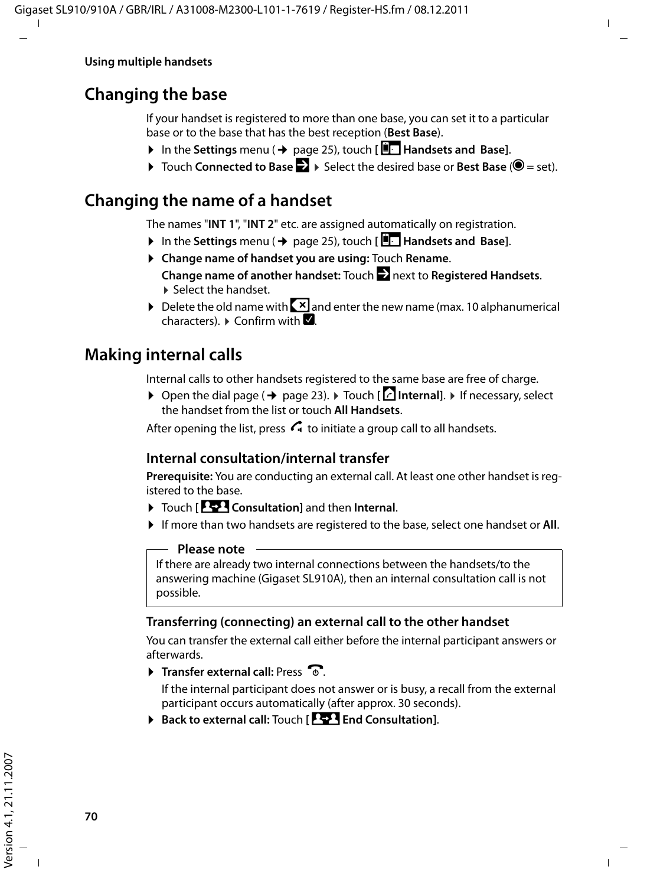# **Changing the base**

If your handset is registered to more than one base, you can set it to a particular base or to the base that has the best reception (**Best Base**).

- **▶** In the Settings menu (→ page 25), touch  $\left[\begin{array}{c} \blacksquare \end{array}\right]$  Handsets and Base].
- **▶** Touch **Connected to Base 2** ▶ Select the desired base or **Best Base** (**◎** = set).

# **Changing the name of a handset**

The names "**INT 1**", "**INT 2**" etc. are assigned automatically on registration.

- **▶** In the Settings menu (→ page 25), touch [ $\boxed{ }$  Handsets and Base].
- ¤ **Change name of handset you are using:** Touch **Rename**. **Change name of another handset:** Touch  $\sum$  next to **Registered Handsets**. ▶ Select the handset.
- $\triangleright$  Delete the old name with  $\triangleright$  and enter the new name (max. 10 alphanumerical characters).  $\triangleright$  Confirm with  $\blacksquare$ .

# **Making internal calls**

Internal calls to other handsets registered to the same base are free of charge.

**▶ Open the dial page (→ page 23). ▶ Touch [**  $\uparrow$  **<b>Internal**]. ▶ If necessary, select the handset from the list or touch **All Handsets**.

After opening the list, press  $\mathcal{L}_1$  to initiate a group call to all handsets.

### **Internal consultation/internal transfer**

**Prerequisite:** You are conducting an external call. At least one other handset is registered to the base.

- ▶ Touch **[PEPI Consultation**] and then Internal.
- ▶ If more than two handsets are registered to the base, select one handset or **All**.

#### **Please note**

If there are already two internal connections between the handsets/to the answering machine (Gigaset SL910A), then an internal consultation call is not possible.

### **Transferring (connecting) an external call to the other handset**

You can transfer the external call either before the internal participant answers or afterwards.

 $\triangleright$  **Transfer external call:** Press  $\widehat{\mathcal{O}}$ .

If the internal participant does not answer or is busy, a recall from the external participant occurs automatically (after approx. 30 seconds).

▶ Back to external call: Touch **[PP4** End Consultation].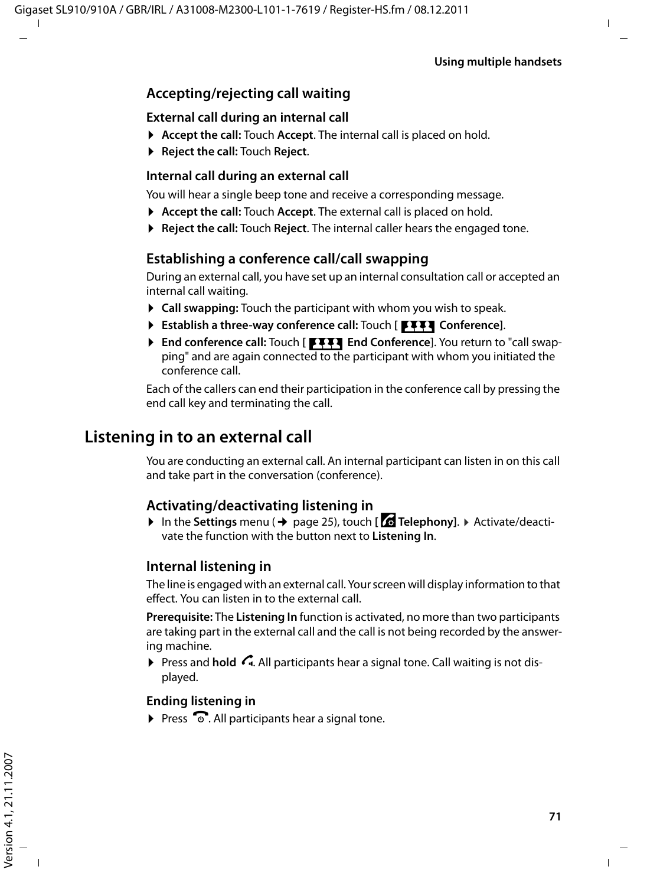### **Accepting/rejecting call waiting**

### **External call during an internal call**

- ▶ Accept the call: Touch Accept. The internal call is placed on hold.
- ¤ **Reject the call:** Touch **Reject**.

### **Internal call during an external call**

You will hear a single beep tone and receive a corresponding message.

- ▶ **Accept the call:** Touch **Accept**. The external call is placed on hold.
- ▶ **Reject the call:** Touch **Reject**. The internal caller hears the engaged tone.

### **Establishing a conference call/call swapping**

During an external call, you have set up an internal consultation call or accepted an internal call waiting.

- ▶ Call swapping: Touch the participant with whom you wish to speak.
- **Establish a three-way conference call:** Touch [**FIII** Conference].
- **End conference call:** Touch [TTT] End Conference]. You return to "call swapping" and are again connected to the participant with whom you initiated the conference call.

Each of the callers can end their participation in the conference call by pressing the end call key and terminating the call.

## **Listening in to an external call**

You are conducting an external call. An internal participant can listen in on this call and take part in the conversation (conference).

### **Activating/deactivating listening in**

▶ In the **Settings** menu (→ page 25), touch [ *C***:** Telephony]. ▶ Activate/deactivate the function with the button next to **Listening In**.

### **Internal listening in**

The line is engaged with an external call. Your screen will display information to that effect. You can listen in to the external call.

**Prerequisite:** The **Listening In** function is activated, no more than two participants are taking part in the external call and the call is not being recorded by the answering machine.

**Press and hold**  $\subseteq$ **.** All participants hear a signal tone. Call waiting is not displayed.

### **Ending listening in**

 $\triangleright$  Press  $\widehat{\mathbb{C}}$ . All participants hear a signal tone.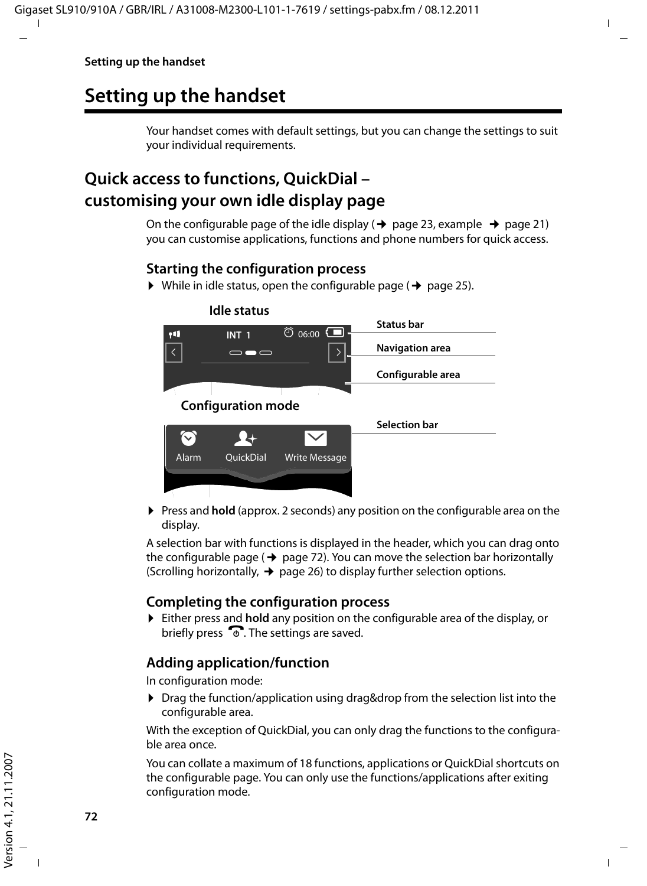# **Setting up the handset**

Your handset comes with default settings, but you can change the settings to suit your individual requirements.

## **Quick access to functions, QuickDial – customising your own idle display page**

On the configurable page of the idle display ( $\rightarrow$  page 23, example  $\rightarrow$  page 21) you can customise applications, functions and phone numbers for quick access.

### **Starting the configuration process**

 $\triangleright$  While in idle status, open the configurable page ( $\rightarrow$  page 25).



**• Press and hold** (approx. 2 seconds) any position on the configurable area on the display.

A selection bar with functions is displayed in the header, which you can drag onto the configurable page ( $\rightarrow$  page 72). You can move the selection bar horizontally (Scrolling horizontally,  $\rightarrow$  page 26) to display further selection options.

### **Completing the configuration process**

¤ Either press and **hold** any position on the configurable area of the display, or briefly press  $\overline{\bullet}$ . The settings are saved.

### **Adding application/function**

In configuration mode:

▶ Drag the function/application using drag&drop from the selection list into the configurable area.

With the exception of QuickDial, you can only drag the functions to the configurable area once.

You can collate a maximum of 18 functions, applications or QuickDial shortcuts on the configurable page. You can only use the functions/applications after exiting configuration mode.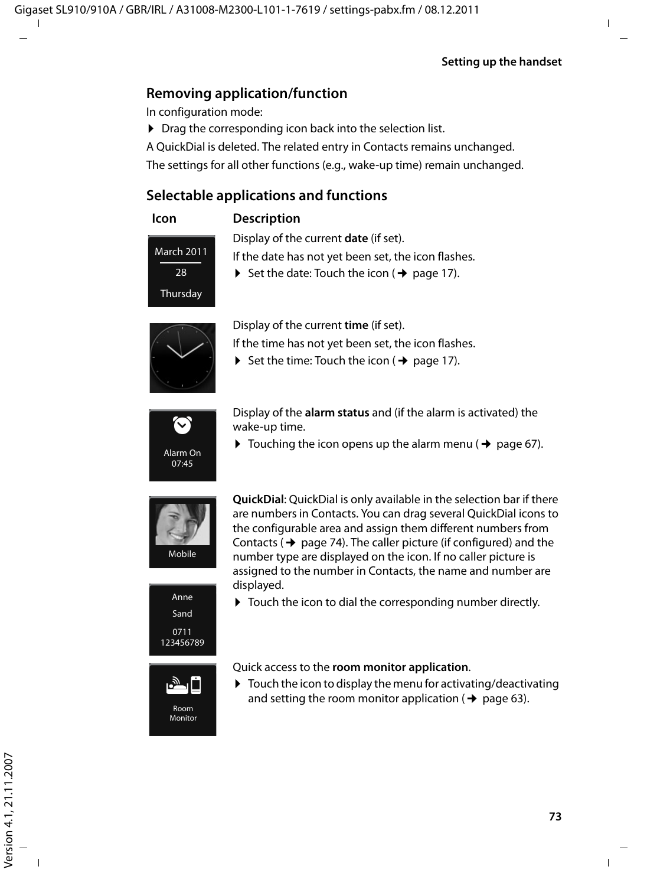### **Removing application/function**

In configuration mode:

- $\triangleright$  Drag the corresponding icon back into the selection list.
- A QuickDial is deleted. The related entry in Contacts remains unchanged.

The settings for all other functions (e.g., wake-up time) remain unchanged.

### **Selectable applications and functions**



#### **Icon Description**

Display of the current **date** (if set).

If the date has not yet been set, the icon flashes.

 $\triangleright$  Set the date: Touch the icon ( $\rightarrow$  page 17).





Display of the current **time** (if set).

If the time has not yet been set, the icon flashes.

 $\triangleright$  Set the time: Touch the icon ( $\rightarrow$  page 17).



Display of the **alarm status** and (if the alarm is activated) the wake-up time.

 $\triangleright$  Touching the icon opens up the alarm menu ( $\rightarrow$  page 67).



Anne Sand 0711 123456789

> بالغة Room Monitor

**QuickDial**: QuickDial is only available in the selection bar if there are numbers in Contacts. You can drag several QuickDial icons to the configurable area and assign them different numbers from Contacts ( $\rightarrow$  page 74). The caller picture (if configured) and the number type are displayed on the icon. If no caller picture is assigned to the number in Contacts, the name and number are displayed.

 $\triangleright$  Touch the icon to dial the corresponding number directly.



 $\triangleright$  Touch the icon to display the menu for activating/deactivating and setting the room monitor application ( $\rightarrow$  page 63).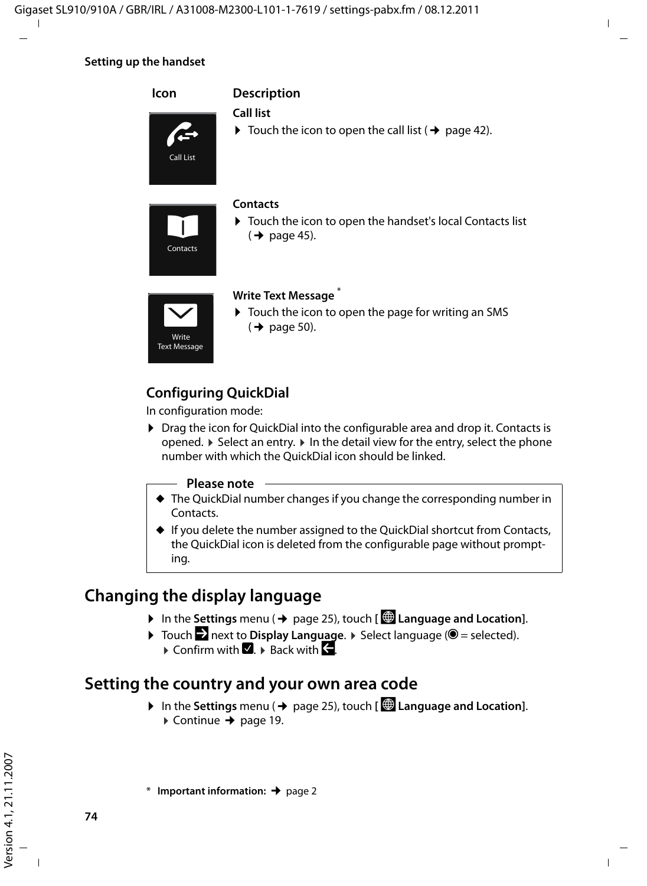#### **Setting up the handset**



### **Configuring QuickDial**

In configuration mode:

▶ Drag the icon for QuickDial into the configurable area and drop it. Contacts is opened.  $\blacktriangleright$  Select an entry.  $\blacktriangleright$  In the detail view for the entry, select the phone number with which the QuickDial icon should be linked.

#### **Please note**

- $\triangle$  The QuickDial number changes if you change the corresponding number in Contacts.
- $\blacklozenge$  If you delete the number assigned to the QuickDial shortcut from Contacts, the QuickDial icon is deleted from the configurable page without prompting.

## **Changing the display language**

- **▶** In the Settings menu (→ page 25), touch  $\left[\stackrel{\textcircled{\textcircled{\textcirc}}}{}$  Language and Location].
- $\triangleright$  Touch  $\triangleright$  next to **Display Language**.  $\triangleright$  Select language ( $\odot$  = selected).
	- $\triangleright$  Confirm with  $\blacksquare$ .  $\triangleright$  Back with  $\blacksquare$ .

## **Setting the country and your own area code**

**▶** In the Settings menu (→ page 25), touch **[**  $\bigcirc$  **Language and Location**].  $\triangleright$  Continue → page 19.

\* **Important information:**¢page 2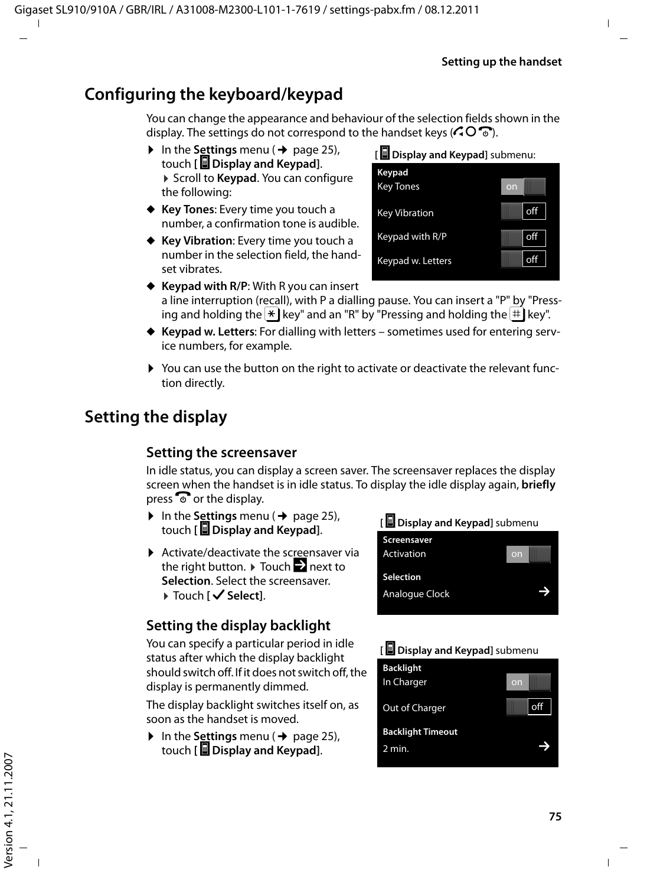## **Configuring the keyboard/keypad**

You can change the appearance and behaviour of the selection fields shown in the display. The settings do not correspond to the handset keys ( $\bigcirc$   $\bigcirc$   $\bigcirc$ ).

- $\triangleright$  In the **Settings** menu ( $\rightarrow$  page 25), touch **[** g **Display and Keypad]**. ▶ Scroll to **Keypad**. You can configure the following:
- ◆ Key Tones: Every time you touch a number, a confirmation tone is audible.
- ◆ Key Vibration: Every time you touch a number in the selection field, the handset vibrates.

**[** g **Display and Keypad]** submenu:

| Keypad<br><b>Key Tones</b> | on |     |
|----------------------------|----|-----|
| <b>Key Vibration</b>       |    | off |
| Keypad with R/P            |    | off |
| Keypad w. Letters          |    | off |

- ◆ **Keypad with R/P:** With R you can insert a line interruption (recall), with P a dialling pause. You can insert a "P" by "Pressing and holding the  $\mathbb{R}$  key" and an "R" by "Pressing and holding the  $\#$  key".
- ◆ Keypad w. Letters: For dialling with letters sometimes used for entering service numbers, for example.
- ▶ You can use the button on the right to activate or deactivate the relevant function directly.

# **Setting the display**

### **Setting the screensaver**

In idle status, you can display a screen saver. The screensaver replaces the display screen when the handset is in idle status. To display the idle display again, **briefly**  press  $\odot$  or the display.

- $\triangleright$  In the **Settings** menu ( $\rightarrow$  page 25), touch **[** g **Display and Keypad]**.
- $\blacktriangleright$  Activate/deactivate the screensaver via the right button.  $\blacktriangleright$  Touch  $\blacktriangleright$  next to **Selection**. Select the screensaver. ▶ Touch [  $\checkmark$  Select].

## **Setting the display backlight**

You can specify a particular period in idle status after which the display backlight should switch off. If it does not switch off, the display is permanently dimmed.

The display backlight switches itself on, as soon as the handset is moved.

 $\triangleright$  In the **Settings** menu ( $\rightarrow$  page 25), touch **[** g **Display and Keypad]**.



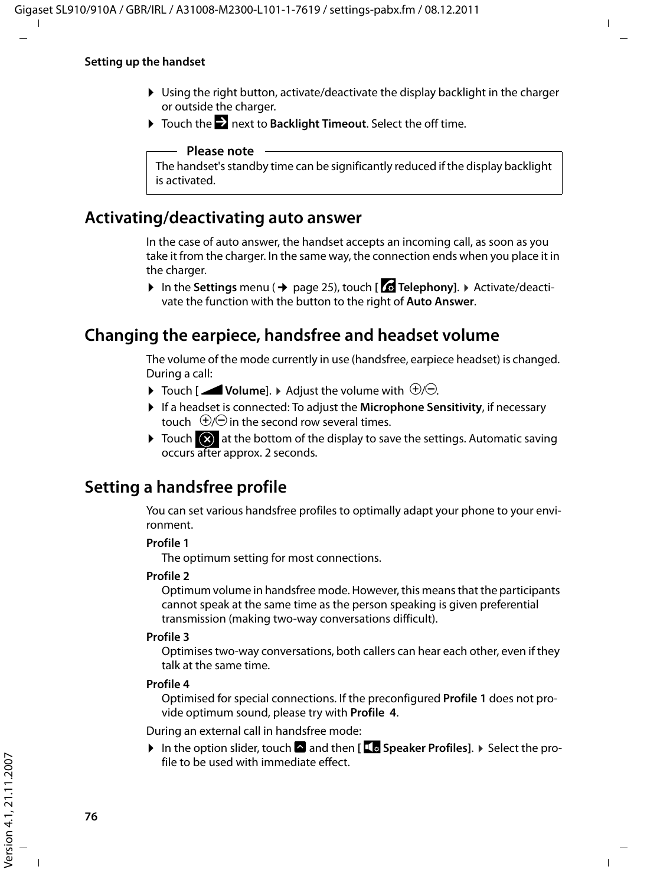#### **Setting up the handset**

- $\triangleright$  Using the right button, activate/deactivate the display backlight in the charger or outside the charger.
- ▶ Touch the **D** next to Backlight Timeout. Select the off time.

#### **Please note**

The handset's standby time can be significantly reduced if the display backlight is activated.

### **Activating/deactivating auto answer**

In the case of auto answer, the handset accepts an incoming call, as soon as you take it from the charger. In the same way, the connection ends when you place it in the charger.

**▶** In the Settings menu (→ page 25), touch [ **C Telephony**]. ▶ Activate/deactivate the function with the button to the right of **Auto Answer**.

### **Changing the earpiece, handsfree and headset volume**

The volume of the mode currently in use (handsfree, earpiece headset) is changed. During a call:

- $\blacktriangleright$  Touch [**ZVolume**].  $\blacktriangleright$  Adjust the volume with  $\theta$ */* $\Theta$ .
- ▶ If a headset is connected: To adjust the Microphone Sensitivity, if necessary touch  $\Theta$ / $\Theta$  in the second row several times.
- $\triangleright$  Touch  $\overline{\textcircled{x}}$  at the bottom of the display to save the settings. Automatic saving occurs after approx. 2 seconds.

## **Setting a handsfree profile**

You can set various handsfree profiles to optimally adapt your phone to your environment.

#### **Profile 1**

The optimum setting for most connections.

#### **Profile 2**

Optimum volume in handsfree mode. However, this means that the participants cannot speak at the same time as the person speaking is given preferential transmission (making two-way conversations difficult).

#### **Profile 3**

Optimises two-way conversations, both callers can hear each other, even if they talk at the same time.

#### **Profile 4**

Optimised for special connections. If the preconfigured **Profile 1** does not provide optimum sound, please try with **Profile 4**.

During an external call in handsfree mode:

▶ In the option slider, touch **A** and then [**LE** Speaker Profiles]. ▶ Select the profile to be used with immediate effect.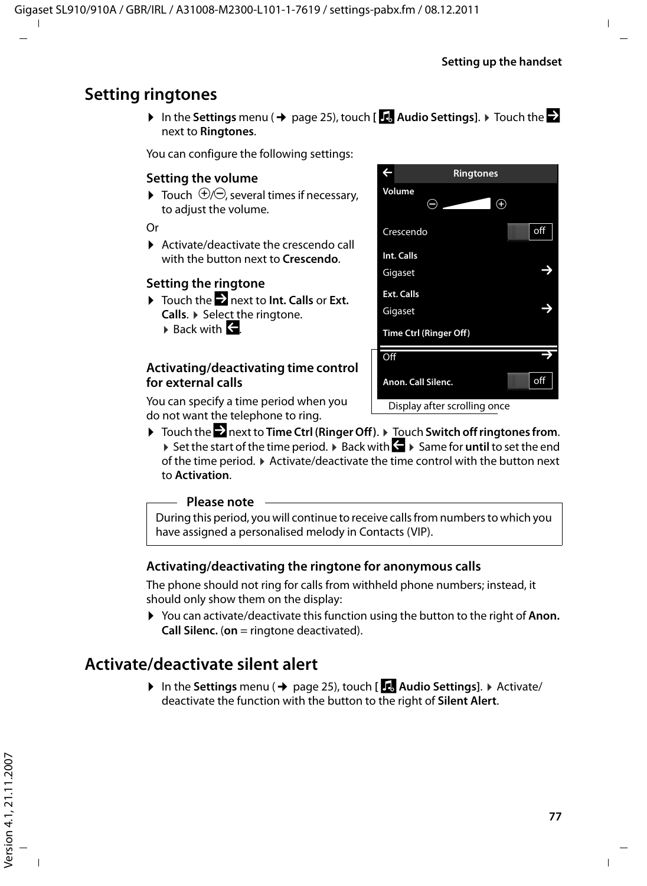## **Setting ringtones**

 $\triangleright$  In the Settings menu ( $\rightarrow$  page 25), touch [**iAudio Settings**].  $\triangleright$  Touch the  $\triangleright$ next to **Ringtones**.

You can configure the following settings:

### **Setting the volume**

 $\blacktriangleright$  Touch  $\bigoplus$   $\ominus$ , several times if necessary. to adjust the volume.

Or

 $\blacktriangleright$  Activate/deactivate the crescendo call with the button next to **Crescendo**.

### **Setting the ringtone**

- ▶ Touch the **D** next to **Int. Calls** or **Ext. Calls**. ¤ Select the ringtone.
	- $\triangleright$  Back with  $\blacktriangleright$

### **Activating/deactivating time control for external calls**

You can specify a time period when you do not want the telephone to ring.



▶ Touch the **D** next to **Time Ctrl (Ringer Off).** ▶ Touch Switch off ringtones from. **▶ Set the start of the time period. ▶ Back with**  $\leq$  **▶ Same for until to set the end** of the time period.  $\blacktriangleright$  Activate/deactivate the time control with the button next to **Activation**.

#### **Please note**

During this period, you will continue to receive calls from numbers to which you have assigned a personalised melody in Contacts (VIP).

### **Activating/deactivating the ringtone for anonymous calls**

The phone should not ring for calls from withheld phone numbers; instead, it should only show them on the display:

▶ You can activate/deactivate this function using the button to the right of **Anon. Call Silenc.** (**on** = ringtone deactivated).

## **Activate/deactivate silent alert**

**▶** In the Settings menu (→ page 25), touch [**iAudio Settings**]. ▶ Activate/ deactivate the function with the button to the right of **Silent Alert**.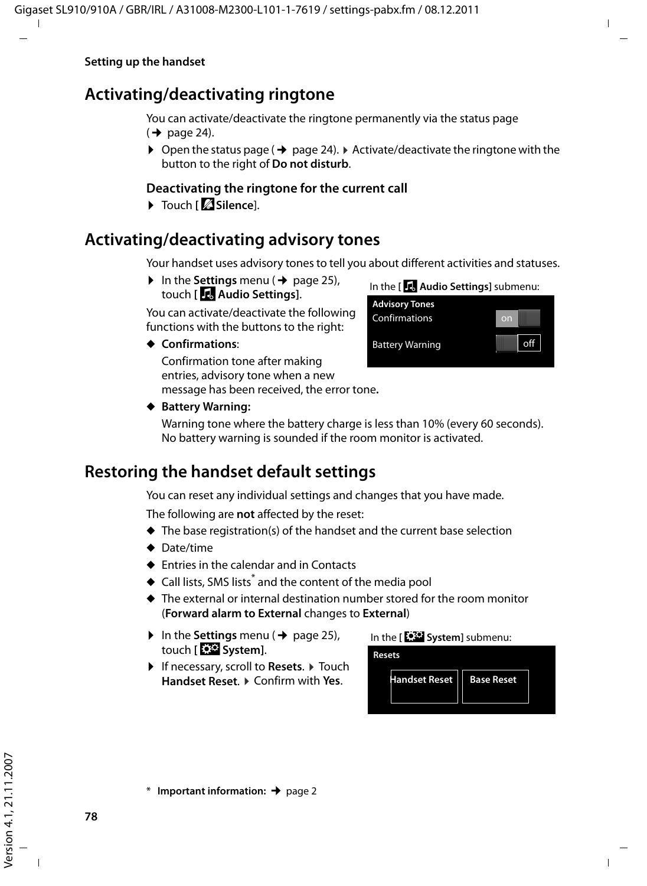## **Activating/deactivating ringtone**

You can activate/deactivate the ringtone permanently via the status page  $(\rightarrow$  page 24).

 $\triangleright$  Open the status page ( $\rightarrow$  page 24).  $\triangleright$  Activate/deactivate the ringtone with the button to the right of **Do not disturb**.

### **Deactivating the ringtone for the current call**

▶ Touch **[**  $\mathbb{Z}$  Silence].

## **Activating/deactivating advisory tones**

Your handset uses advisory tones to tell you about different activities and statuses.

 $\triangleright$  In the **Settings** menu ( $\rightarrow$  page 25), touch **[**ì**Audio Settings]**.

You can activate/deactivate the following functions with the buttons to the right:

**← Confirmations:** 

Confirmation tone after making entries, advisory tone when a new message has been received, the error tone**.**



#### ◆ Battery Warning:

Warning tone where the battery charge is less than 10% (every 60 seconds). No battery warning is sounded if the room monitor is activated.

## **Restoring the handset default settings**

You can reset any individual settings and changes that you have made.

The following are **not** affected by the reset:

- $\triangle$  The base registration(s) of the handset and the current base selection
- $\triangle$  Date/time
- $\triangle$  Entries in the calendar and in Contacts
- $\blacklozenge$  Call lists, SMS lists<sup>\*</sup> and the content of the media pool
- $\triangle$  The external or internal destination number stored for the room monitor (**Forward alarm to External** changes to **External**)
- $\triangleright$  In the **Settings** menu ( $\rightarrow$  page 25), touch **[**Ê**System]**.
- ▶ If necessary, scroll to **Resets**. ▶ Touch **Handset Reset**. ¤ Confirm with **Yes**.





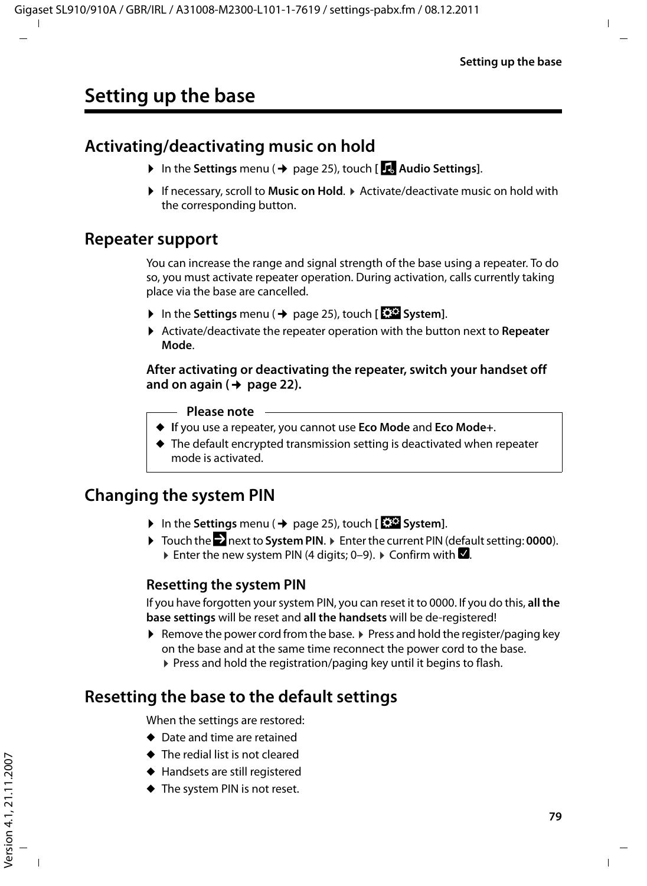## **Activating/deactivating music on hold**

- ▶ In the **Settings** menu (→ page 25), touch [**iAudio Settings**].
- ▶ If necessary, scroll to **Music on Hold**. ▶ Activate/deactivate music on hold with the corresponding button.

## **Repeater support**

You can increase the range and signal strength of the base using a repeater. To do so, you must activate repeater operation. During activation, calls currently taking place via the base are cancelled.

- **▶** In the Settings menu (→ page 25), touch **[E**SE System].
- ▶ Activate/deactivate the repeater operation with the button next to Repeater **Mode**.

#### **After activating or deactivating the repeater, switch your handset off and on again (**¢**page 22).**

#### **Please note**

- ◆ If you use a repeater, you cannot use **Eco Mode** and **Eco Mode**+.
- $\triangle$  The default encrypted transmission setting is deactivated when repeater mode is activated.

## **Changing the system PIN**

- ▶ In the Settings menu (→ page 25), touch [**E**<sup>S</sup>System].
- ▶ Touch the **D** next to System PIN. ▶ Enter the current PIN (default setting: 0000). Enter the new system PIN (4 digits; 0–9).  $\blacktriangleright$  Confirm with  $\blacktriangleright$ .

### **Resetting the system PIN**

If you have forgotten your system PIN, you can reset it to 0000. If you do this, **all the base settings** will be reset and **all the handsets** will be de-registered!

Exercise the power cord from the base.  $\triangleright$  Press and hold the register/paging key on the base and at the same time reconnect the power cord to the base. ▶ Press and hold the registration/paging key until it begins to flash.

## **Resetting the base to the default settings**

When the settings are restored:

- $\triangleleft$  Date and time are retained
- $\blacklozenge$  The redial list is not cleared
- $\blacklozenge$  Handsets are still registered
- $\blacklozenge$  The system PIN is not reset.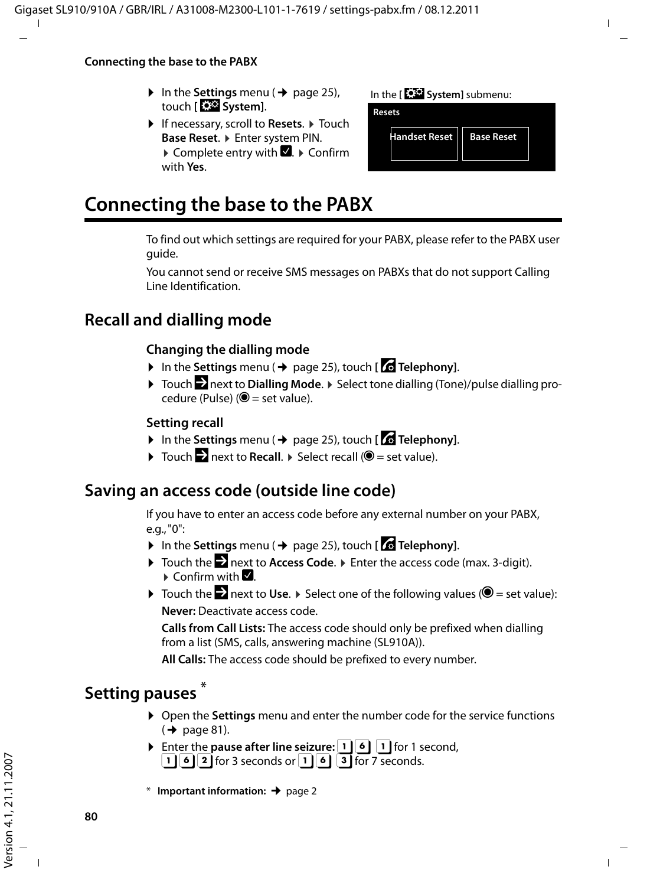#### **Connecting the base to the PABX**

- $\triangleright$  In the **Settings** menu ( $\rightarrow$  page 25), touch **[**Ê**System]**.
- ▶ If necessary, scroll to **Resets**. ▶ Touch Base Reset.  $\triangleright$  Enter system PIN.  $\triangleright$  Complete entry with  $\blacksquare$ .  $\triangleright$  Confirm with **Yes**.

| In the [ <b>332</b> System] submenu: |  |  |
|--------------------------------------|--|--|
|--------------------------------------|--|--|

**Resets**

| <b>Handset Reset   Base Reset</b> |
|-----------------------------------|
|                                   |

# **Connecting the base to the PABX**

To find out which settings are required for your PABX, please refer to the PABX user guide.

You cannot send or receive SMS messages on PABXs that do not support Calling Line Identification.

## **Recall and dialling mode**

### **Changing the dialling mode**

- ▶ In the Settings menu ( → page 25), touch [ **4 Telephony**].
- ▶ Touch **X** next to **Dialling Mode**. ▶ Select tone dialling (Tone)/pulse dialling procedure (Pulse) ( $\odot$  = set value).

### **Setting recall**

- $\triangleright$  In the **Settings** menu ( $\rightarrow$  page 25), touch [  $\cdot\cdot\cdot$  **Telephony**].
- $\triangleright$  Touch  $\triangleright$  next to **Recall**.  $\triangleright$  Select recall ( $\odot$  = set value).

## **Saving an access code (outside line code)**

If you have to enter an access code before any external number on your PABX, e.g., "0":

- $\triangleright$  In the **Settings** menu ( $\rightarrow$  page 25), touch [  $\cdot$  **Telephony**].
- **▶ Touch the Exect to Access Code. ▶ Enter the access code (max. 3-digit).**  $\triangleright$  Confirm with  $\blacksquare$ .
- $\triangleright$  Touch the  $\triangleright$  next to Use.  $\triangleright$  Select one of the following values ( $\bigcirc$  = set value): **Never:** Deactivate access code.

**Calls from Call Lists:** The access code should only be prefixed when dialling from a list (SMS, calls, answering machine (SL910A)).

**All Calls:** The access code should be prefixed to every number.

## **Setting pauses \***

- ▶ Open the **Settings** menu and enter the number code for the service functions  $(\rightarrow$  page 81).
- **Enter the pause after line seizure:** 1 6 1 for 1 second,  $\boxed{1}$  6  $\boxed{2}$  for 3 seconds or  $\boxed{1}$  6  $\boxed{3}$  for 7 seconds.

\* **Important information:**¢page 2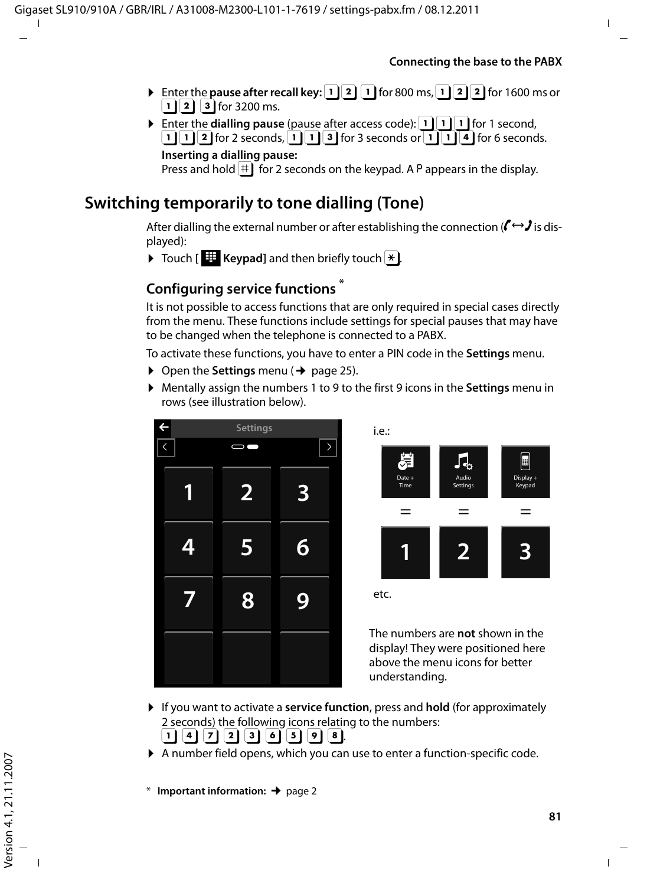- Enter the **pause after recall key:**  $\boxed{1}$   $\boxed{2}$   $\boxed{1}$  for 800 ms,  $\boxed{1}$   $\boxed{2}$   $\boxed{2}$  for 1600 ms or  $\lceil \cdot \rceil$  3  $\lceil 3 \rceil$  for 3200 ms.
- Enter the **dialling pause** (pause after access code):  $\boxed{1}$   $\boxed{1}$  for 1 second,  $\boxed{1}$   $\boxed{2}$  for 2 seconds,  $\boxed{1}$   $\boxed{3}$  for 3 seconds or  $\boxed{1}$   $\boxed{4}$  for 6 seconds. **Inserting a dialling pause:**  Press and hold  $|\ddot{=}|\ddot{=}$  for 2 seconds on the keypad. A P appears in the display.

## **Switching temporarily to tone dialling (Tone)**

After dialling the external number or after establishing the connection ( $\mathbf{f} \leftrightarrow \mathbf{J}$  is displayed):

 $\triangleright$  Touch [  $\pm$  Keypad] and then briefly touch  $\pm$ .

## **Configuring service functions \***

It is not possible to access functions that are only required in special cases directly from the menu. These functions include settings for special pauses that may have to be changed when the telephone is connected to a PABX.

To activate these functions, you have to enter a PIN code in the **Settings** menu.

- $\triangleright$  Open the **Settings** menu ( $\rightarrow$  page 25).
- ¤ Mentally assign the numbers 1 to 9 to the first 9 icons in the **Settings** menu in rows (see illustration below).





The numbers are **not** shown in the display! They were positioned here above the menu icons for better understanding.

- ▶ If you want to activate a **service function**, press and **hold** (for approximately 2 seconds) the following icons relating to the numbers:  $\begin{bmatrix} 1 \end{bmatrix} \begin{bmatrix} 4 \end{bmatrix} \begin{bmatrix} 7 \end{bmatrix} \begin{bmatrix} 2 \end{bmatrix} \begin{bmatrix} 3 \end{bmatrix} \begin{bmatrix} 6 \end{bmatrix} \begin{bmatrix} 5 \end{bmatrix} \begin{bmatrix} 9 \end{bmatrix} \begin{bmatrix} 8 \end{bmatrix}$
- $\blacktriangleright$  A number field opens, which you can use to enter a function-specific code.
- \* **Important information:**¢page 2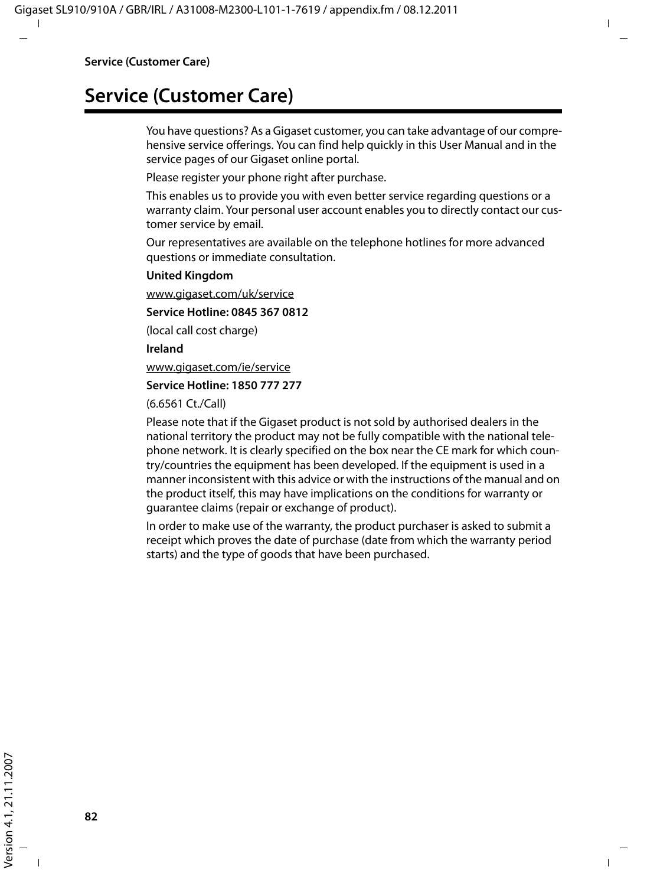# **Service (Customer Care)**

You have questions? As a Gigaset customer, you can take advantage of our comprehensive service offerings. You can find help quickly in this User Manual and in the service pages of our Gigaset online portal.

Please register your phone right after purchase.

This enables us to provide you with even better service regarding questions or a warranty claim. Your personal user account enables you to directly contact our customer service by email.

Our representatives are available on the telephone hotlines for more advanced questions or immediate consultation.

#### **United Kingdom**

www.gigaset.com/uk/service

#### **Service Hotline: 0845 367 0812**

(local call cost charge)

**Ireland**

www.gigaset.com/ie/service

#### **Service Hotline: 1850 777 277**

(6.6561 Ct./Call)

Please note that if the Gigaset product is not sold by authorised dealers in the national territory the product may not be fully compatible with the national telephone network. It is clearly specified on the box near the CE mark for which country/countries the equipment has been developed. If the equipment is used in a manner inconsistent with this advice or with the instructions of the manual and on the product itself, this may have implications on the conditions for warranty or guarantee claims (repair or exchange of product).

In order to make use of the warranty, the product purchaser is asked to submit a receipt which proves the date of purchase (date from which the warranty period starts) and the type of goods that have been purchased.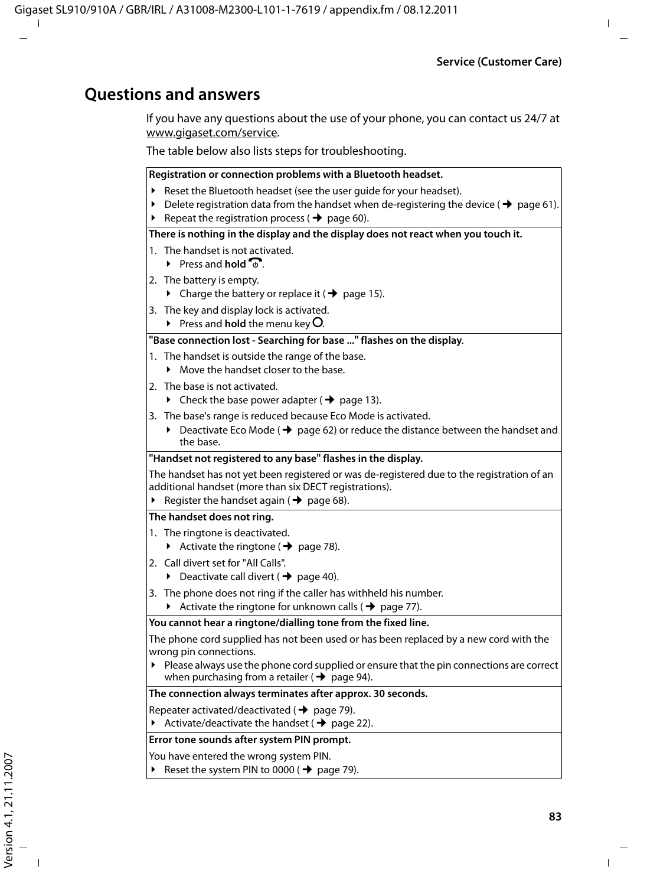### **Questions and answers**

If you have any questions about the use of your phone, you can contact us 24/7 at www.gigaset.com/service.

The table below also lists steps for troubleshooting.

#### **Registration or connection problems with a Bluetooth headset.**

- Reset the Bluetooth headset (see the user quide for your headset).
- Delete registration data from the handset when de-registering the device ( $\rightarrow$  page 61).
- ▶ Repeat the registration process ( $\rightarrow$  page 60).

#### **There is nothing in the display and the display does not react when you touch it.**

- 1. The handset is not activated.
	- $\blacktriangleright$  Press and **hold**  $\widehat{\mathbb{R}}$
- 2. The battery is empty.
	- $\triangleright$  Charge the battery or replace it ( $\rightarrow$  page 15).
- 3. The key and display lock is activated.
	- $\triangleright$  Press and **hold** the menu key **O**.

#### **"Base connection lost - Searching for base ..." flashes on the display**.

- 1. The handset is outside the range of the base.
	- $\blacktriangleright$  Move the handset closer to the base.
- 2. The base is not activated.
	- $\triangleright$  Check the base power adapter ( $\rightarrow$  page 13).
- 3. The base's range is reduced because Eco Mode is activated.
	- ▶ Deactivate Eco Mode ( $\rightarrow$  page 62) or reduce the distance between the handset and the base.

#### **"Handset not registered to any base" flashes in the display.**

The handset has not yet been registered or was de-registered due to the registration of an additional handset (more than six DECT registrations).

Register the handset again ( $\rightarrow$  page 68).

#### **The handset does not ring.**

- 1. The ringtone is deactivated.
	- $\blacktriangleright$  Activate the ringtone ( $\blacktriangleright$  page 78).
- 2. Call divert set for "All Calls".
	- $\triangleright$  Deactivate call divert ( $\rightarrow$  page 40).
- 3. The phone does not ring if the caller has withheld his number.
	- Activate the ringtone for unknown calls ( $\rightarrow$  page 77).

#### **You cannot hear a ringtone/dialling tone from the fixed line.**

The phone cord supplied has not been used or has been replaced by a new cord with the wrong pin connections.

 $\blacktriangleright$  Please always use the phone cord supplied or ensure that the pin connections are correct when purchasing from a retailer ( $\rightarrow$  page 94).

**The connection always terminates after approx. 30 seconds.** 

Repeater activated/deactivated ( $\rightarrow$  page 79).

Activate/deactivate the handset ( $\rightarrow$  page 22).

#### **Error tone sounds after system PIN prompt.**

You have entered the wrong system PIN.

Reset the system PIN to 0000 ( $\rightarrow$  page 79).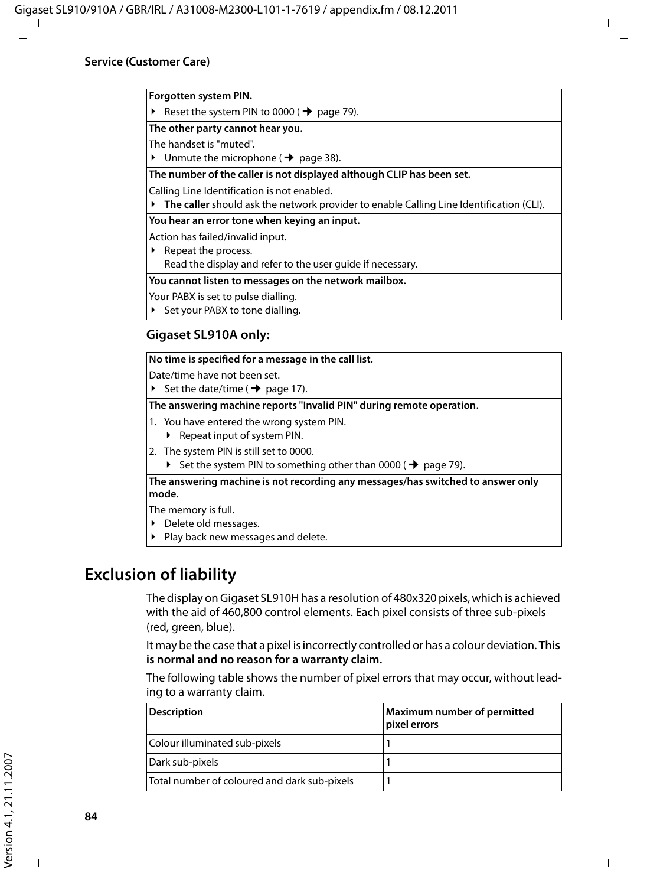#### **Forgotten system PIN.**

Reset the system PIN to 0000 ( $\rightarrow$  page 79).

**The other party cannot hear you.**

The handset is "muted".

 $\blacktriangleright$  Unmute the microphone ( $\blacktriangleright$  page 38).

**The number of the caller is not displayed although CLIP has been set.**

Calling Line Identification is not enabled.

¥ **The caller** should ask the network provider to enable Calling Line Identification (CLI).

**You hear an error tone when keying an input.**

Action has failed/invalid input.

 $\blacktriangleright$  Repeat the process.

Read the display and refer to the user guide if necessary.

**You cannot listen to messages on the network mailbox.**

Your PABX is set to pulse dialling.

Set your PABX to tone dialling.

#### **Gigaset SL910A only:**

**No time is specified for a message in the call list.**

Date/time have not been set.

▶ Set the date/time ( $\rightarrow$  page 17).

**The answering machine reports "Invalid PIN" during remote operation.**

1. You have entered the wrong system PIN.

- $\blacktriangleright$  Repeat input of system PIN.
- 2. The system PIN is still set to 0000.
	- $\triangleright$  Set the system PIN to something other than 0000 (  $\rightarrow$  page 79).

**The answering machine is not recording any messages/has switched to answer only mode.**

The memory is full.

- $\blacktriangleright$  Delete old messages.
- Play back new messages and delete.

## **Exclusion of liability**

The display on Gigaset SL910H has a resolution of 480x320 pixels, which is achieved with the aid of 460,800 control elements. Each pixel consists of three sub-pixels (red, green, blue).

It may be the case that a pixel is incorrectly controlled or has a colour deviation. **This is normal and no reason for a warranty claim.**

The following table shows the number of pixel errors that may occur, without leading to a warranty claim.

| <b>Description</b>                           | Maximum number of permitted<br>pixel errors |
|----------------------------------------------|---------------------------------------------|
| Colour illuminated sub-pixels                |                                             |
| Dark sub-pixels                              |                                             |
| Total number of coloured and dark sub-pixels |                                             |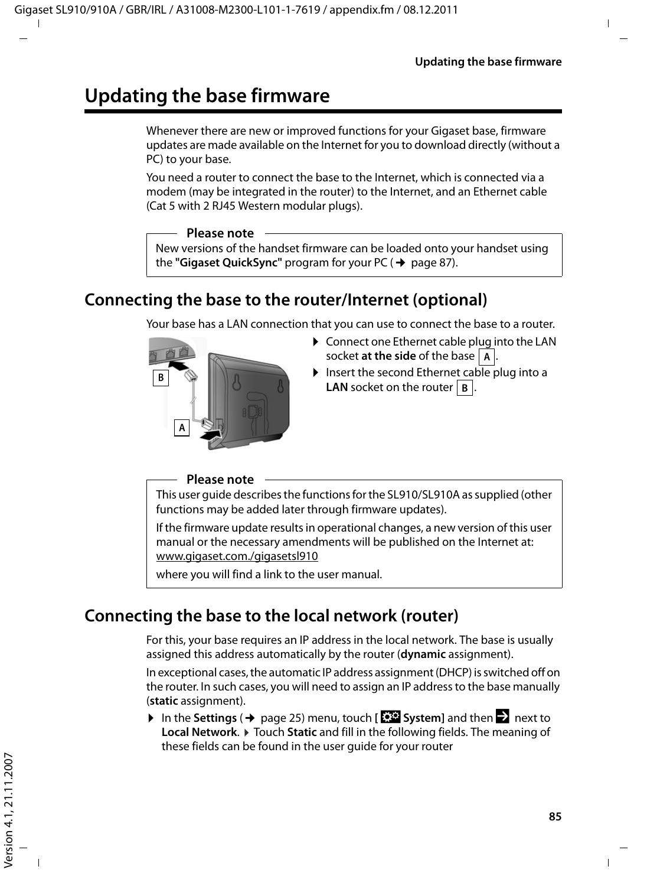# **Updating the base firmware**

Whenever there are new or improved functions for your Gigaset base, firmware updates are made available on the Internet for you to download directly (without a PC) to your base.

You need a router to connect the base to the Internet, which is connected via a modem (may be integrated in the router) to the Internet, and an Ethernet cable (Cat 5 with 2 RJ45 Western modular plugs).

#### **Please note**

New versions of the handset firmware can be loaded onto your handset using the "Gigaset QuickSync" program for your PC (→ page 87).

## **Connecting the base to the router/Internet (optional)**

Your base has a LAN connection that you can use to connect the base to a router.



- $\triangleright$  Connect one Ethernet cable plug into the LAN socket **at the side** of the base  $|A|$ .
- $\triangleright$  Insert the second Ethernet cable plug into a **LAN** socket on the router  $\vert$  **B**.

#### **Please note**

This user guide describes the functions for the SL910/SL910A as supplied (other functions may be added later through firmware updates).

If the firmware update results in operational changes, a new version of this user manual or the necessary amendments will be published on the Internet at: www.gigaset.com./gigasetsl910

where you will find a link to the user manual.

## **Connecting the base to the local network (router)**

For this, your base requires an IP address in the local network. The base is usually assigned this address automatically by the router (**dynamic** assignment).

In exceptional cases, the automatic IP address assignment (DHCP) is switched off on the router. In such cases, you will need to assign an IP address to the base manually (**static** assignment).

 $\triangleright$  In the **Settings** ( $\rightarrow$  page 25) menu, touch [**E**SE System] and then  $\triangleright$  next to **Local Network. ▶ Touch Static** and fill in the following fields. The meaning of these fields can be found in the user guide for your router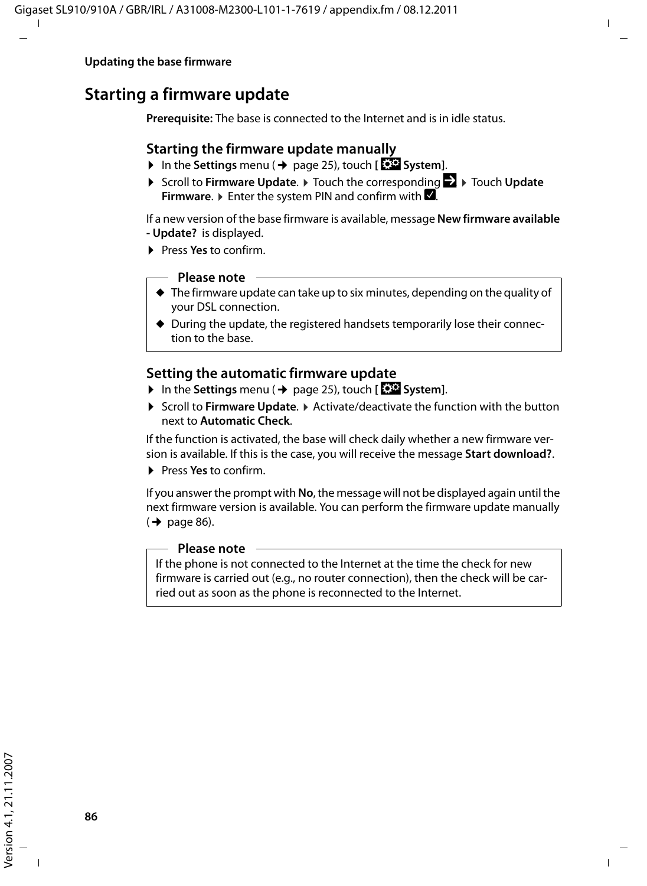## **Starting a firmware update**

**Prerequisite:** The base is connected to the Internet and is in idle status.

### **Starting the firmware update manually**

- ▶ In the Settings menu (→ page 25), touch [**E**<sup>S</sup>E System].
- **▶ Scroll to Firmware Update. ▶ Touch the corresponding**  $\geq$  **▶ Touch Update Firmware.**  $\triangleright$  Enter the system PIN and confirm with  $\blacksquare$ .

If a new version of the base firmware is available, message **New firmware available - Update?** is displayed.

¤ Press **Yes** to confirm.

#### **Please note**

- $\blacklozenge$  The firmware update can take up to six minutes, depending on the quality of your DSL connection.
- $\blacklozenge$  During the update, the registered handsets temporarily lose their connection to the base.

### **Setting the automatic firmware update**

- ▶ In the Settings menu (→ page 25), touch [**E**<sup>S</sup>System].
- **▶ Scroll to Firmware Update. ▶ Activate/deactivate the function with the button** next to **Automatic Check**.

If the function is activated, the base will check daily whether a new firmware version is available. If this is the case, you will receive the message **Start download?**.

¤ Press **Yes** to confirm.

If you answer the prompt with **No**, the message will not be displayed again until the next firmware version is available. You can perform the firmware update manually  $($   $\rightarrow$  page 86).

#### **Please note**

If the phone is not connected to the Internet at the time the check for new firmware is carried out (e.g., no router connection), then the check will be carried out as soon as the phone is reconnected to the Internet.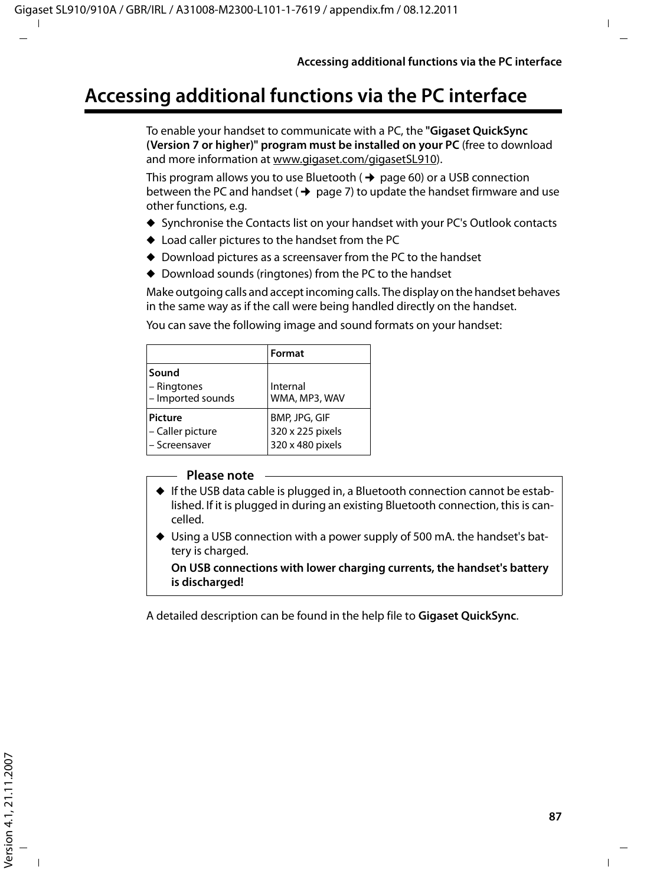# **Accessing additional functions via the PC interface**

To enable your handset to communicate with a PC, the **"Gigaset QuickSync (Version 7 or higher)" program must be installed on your PC** (free to download and more information at www.gigaset.com/gigasetSL910).

This program allows you to use Bluetooth ( $\rightarrow$  page 60) or a USB connection between the PC and handset ( $\rightarrow$  page 7) to update the handset firmware and use other functions, e.g.

- ◆ Synchronise the Contacts list on your handset with your PC's Outlook contacts
- $\triangle$  Load caller pictures to the handset from the PC
- $\blacklozenge$  Download pictures as a screensaver from the PC to the handset
- $\blacklozenge$  Download sounds (ringtones) from the PC to the handset

Make outgoing calls and accept incoming calls. The display on the handset behaves in the same way as if the call were being handled directly on the handset.

**Format Sound** – Ringtones – Imported sounds Internal WMA, MP3, WAV **Picture** – Caller picture – Screensaver BMP, JPG, GIF 320 x 225 pixels 320 x 480 pixels

You can save the following image and sound formats on your handset:

#### **Please note**

- $\triangleq$  If the USB data cable is plugged in, a Bluetooth connection cannot be established. If it is plugged in during an existing Bluetooth connection, this is cancelled.
- $\blacklozenge$  Using a USB connection with a power supply of 500 mA, the handset's battery is charged.

**On USB connections with lower charging currents, the handset's battery is discharged!**

A detailed description can be found in the help file to **Gigaset QuickSync**.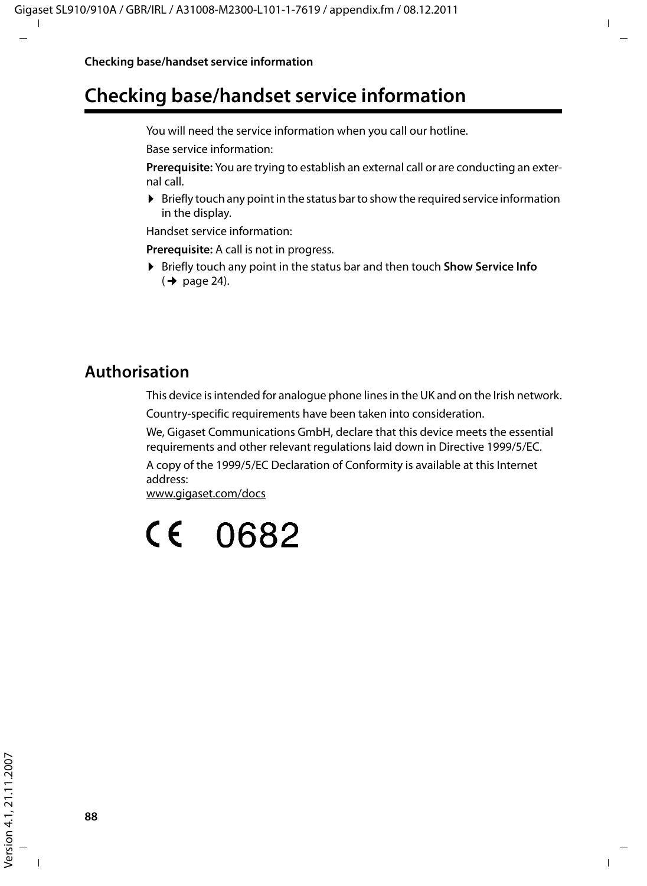# **Checking base/handset service information**

You will need the service information when you call our hotline.

Base service information:

**Prerequisite:** You are trying to establish an external call or are conducting an external call.

 $\triangleright$  Briefly touch any point in the status bar to show the required service information in the display.

Handset service information:

**Prerequisite:** A call is not in progress.

▶ Briefly touch any point in the status bar and then touch **Show Service Info**  $(\rightarrow$  page 24).

## **Authorisation**

This device is intended for analogue phone lines in the UK and on the Irish network. Country-specific requirements have been taken into consideration.

We, Gigaset Communications GmbH, declare that this device meets the essential requirements and other relevant regulations laid down in Directive 1999/5/EC.

A copy of the 1999/5/EC Declaration of Conformity is available at this Internet address:

www.gigaset.com/docs

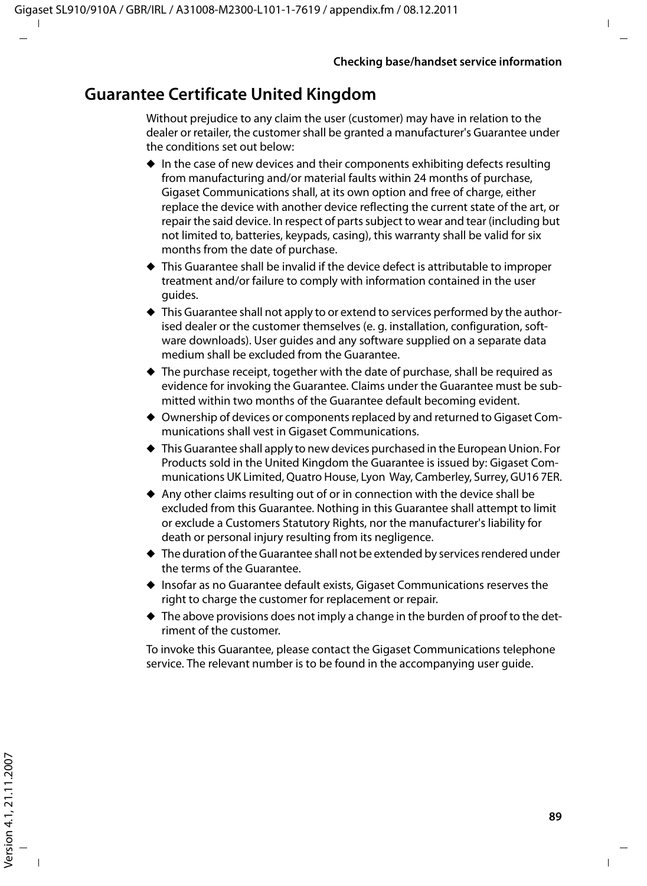## **Guarantee Certificate United Kingdom**

Without prejudice to any claim the user (customer) may have in relation to the dealer or retailer, the customer shall be granted a manufacturer's Guarantee under the conditions set out below:

- $\bullet$  In the case of new devices and their components exhibiting defects resulting from manufacturing and/or material faults within 24 months of purchase, Gigaset Communications shall, at its own option and free of charge, either replace the device with another device reflecting the current state of the art, or repair the said device. In respect of parts subject to wear and tear (including but not limited to, batteries, keypads, casing), this warranty shall be valid for six months from the date of purchase.
- $\blacklozenge$  This Guarantee shall be invalid if the device defect is attributable to improper treatment and/or failure to comply with information contained in the user guides.
- $\blacklozenge$  This Guarantee shall not apply to or extend to services performed by the authorised dealer or the customer themselves (e. g. installation, configuration, software downloads). User guides and any software supplied on a separate data medium shall be excluded from the Guarantee.
- $\triangle$  The purchase receipt, together with the date of purchase, shall be required as evidence for invoking the Guarantee. Claims under the Guarantee must be submitted within two months of the Guarantee default becoming evident.
- $\triangleq$  Ownership of devices or components replaced by and returned to Gigaset Communications shall vest in Gigaset Communications.
- $\blacklozenge$  This Guarantee shall apply to new devices purchased in the European Union. For Products sold in the United Kingdom the Guarantee is issued by: Gigaset Communications UK Limited, Quatro House, Lyon Way, Camberley, Surrey, GU16 7ER.
- $\triangle$  Any other claims resulting out of or in connection with the device shall be excluded from this Guarantee. Nothing in this Guarantee shall attempt to limit or exclude a Customers Statutory Rights, nor the manufacturer's liability for death or personal injury resulting from its negligence.
- $\triangle$  The duration of the Guarantee shall not be extended by services rendered under the terms of the Guarantee.
- ◆ Insofar as no Guarantee default exists, Gigaset Communications reserves the right to charge the customer for replacement or repair.
- $\blacklozenge$  The above provisions does not imply a change in the burden of proof to the detriment of the customer.

To invoke this Guarantee, please contact the Gigaset Communications telephone service. The relevant number is to be found in the accompanying user guide.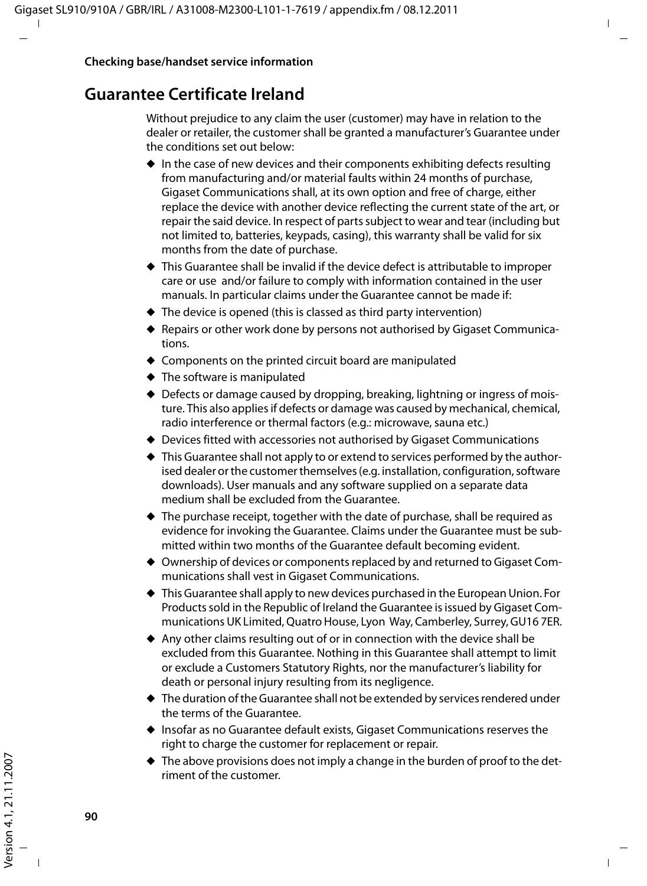## **Guarantee Certificate Ireland**

Without prejudice to any claim the user (customer) may have in relation to the dealer or retailer, the customer shall be granted a manufacturer's Guarantee under the conditions set out below:

- $\bullet$  In the case of new devices and their components exhibiting defects resulting from manufacturing and/or material faults within 24 months of purchase, Gigaset Communications shall, at its own option and free of charge, either replace the device with another device reflecting the current state of the art, or repair the said device. In respect of parts subject to wear and tear (including but not limited to, batteries, keypads, casing), this warranty shall be valid for six months from the date of purchase.
- $\blacklozenge$  This Guarantee shall be invalid if the device defect is attributable to improper care or use and/or failure to comply with information contained in the user manuals. In particular claims under the Guarantee cannot be made if:
- $\blacklozenge$  The device is opened (this is classed as third party intervention)
- ◆ Repairs or other work done by persons not authorised by Gigaset Communications.
- $\triangle$  Components on the printed circuit board are manipulated
- $\blacklozenge$  The software is manipulated
- $\triangle$  Defects or damage caused by dropping, breaking, lightning or ingress of moisture. This also applies if defects or damage was caused by mechanical, chemical, radio interference or thermal factors (e.g.: microwave, sauna etc.)
- ♦ Devices fitted with accessories not authorised by Gigaset Communications
- $\blacklozenge$  This Guarantee shall not apply to or extend to services performed by the authorised dealer or the customer themselves (e.g. installation, configuration, software downloads). User manuals and any software supplied on a separate data medium shall be excluded from the Guarantee.
- $\triangle$  The purchase receipt, together with the date of purchase, shall be required as evidence for invoking the Guarantee. Claims under the Guarantee must be submitted within two months of the Guarantee default becoming evident.
- $\blacklozenge$  Ownership of devices or components replaced by and returned to Gigaset Communications shall vest in Gigaset Communications.
- $\blacklozenge$  This Guarantee shall apply to new devices purchased in the European Union. For Products sold in the Republic of Ireland the Guarantee is issued by Gigaset Communications UK Limited, Quatro House, Lyon Way, Camberley, Surrey, GU16 7ER.
- $\triangle$  Any other claims resulting out of or in connection with the device shall be excluded from this Guarantee. Nothing in this Guarantee shall attempt to limit or exclude a Customers Statutory Rights, nor the manufacturer's liability for death or personal injury resulting from its negligence.
- $\blacklozenge$  The duration of the Guarantee shall not be extended by services rendered under the terms of the Guarantee.
- $\blacklozenge$  Insofar as no Guarantee default exists, Gigaset Communications reserves the right to charge the customer for replacement or repair.
- $\blacklozenge$  The above provisions does not imply a change in the burden of proof to the detriment of the customer.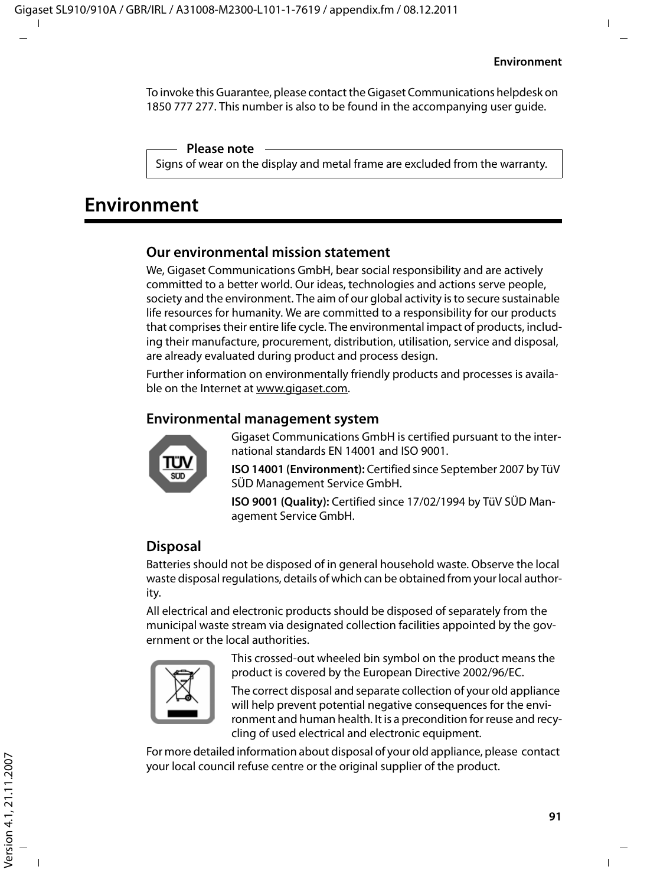To invoke this Guarantee, please contact the Gigaset Communications helpdesk on 1850 777 277. This number is also to be found in the accompanying user guide.

#### **Please note**

Signs of wear on the display and metal frame are excluded from the warranty.

# **Environment**

### **Our environmental mission statement**

We, Gigaset Communications GmbH, bear social responsibility and are actively committed to a better world. Our ideas, technologies and actions serve people, society and the environment. The aim of our global activity is to secure sustainable life resources for humanity. We are committed to a responsibility for our products that comprises their entire life cycle. The environmental impact of products, including their manufacture, procurement, distribution, utilisation, service and disposal, are already evaluated during product and process design.

Further information on environmentally friendly products and processes is available on the Internet at www.gigaset.com.

### **Environmental management system**



Gigaset Communications GmbH is certified pursuant to the international standards EN 14001 and ISO 9001.

**ISO 14001 (Environment):** Certified since September 2007 by TüV SÜD Management Service GmbH.

**ISO 9001 (Quality):** Certified since 17/02/1994 by TüV SÜD Management Service GmbH.

### **Disposal**

Batteries should not be disposed of in general household waste. Observe the local waste disposal regulations, details of which can be obtained from your local authority.

All electrical and electronic products should be disposed of separately from the municipal waste stream via designated collection facilities appointed by the government or the local authorities.



This crossed-out wheeled bin symbol on the product means the product is covered by the European Directive 2002/96/EC.

The correct disposal and separate collection of your old appliance will help prevent potential negative consequences for the environment and human health. It is a precondition for reuse and recycling of used electrical and electronic equipment.

For more detailed information about disposal of your old appliance, please contact your local council refuse centre or the original supplier of the product.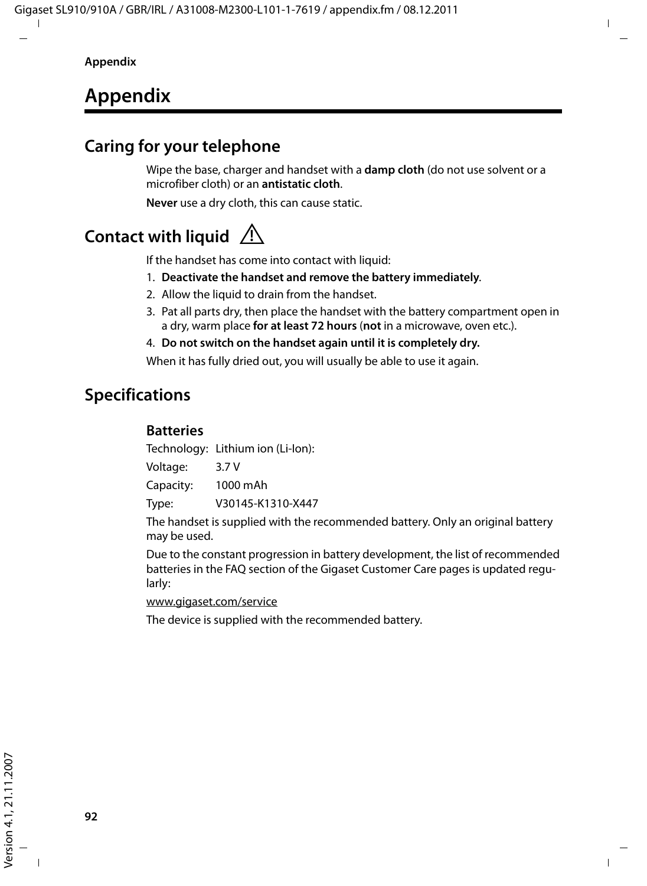# **Appendix**

## **Caring for your telephone**

Wipe the base, charger and handset with a **damp cloth** (do not use solvent or a microfiber cloth) or an **antistatic cloth**.

**Never** use a dry cloth, this can cause static.

# **Contact with liquid !**

If the handset has come into contact with liquid:

- 1. **Deactivate the handset and remove the battery immediately**.
- 2. Allow the liquid to drain from the handset.
- 3. Pat all parts dry, then place the handset with the battery compartment open in a dry, warm place **for at least 72 hours** (**not** in a microwave, oven etc.).
- 4. **Do not switch on the handset again until it is completely dry.**

When it has fully dried out, you will usually be able to use it again.

## **Specifications**

### **Batteries**

Technology: Lithium ion (Li-Ion):

Voltage: 3.7 V

Capacity: 1000 mAh

Type: V30145-K1310-X447

The handset is supplied with the recommended battery. Only an original battery may be used.

Due to the constant progression in battery development, the list of recommended batteries in the FAQ section of the Gigaset Customer Care pages is updated regularly:

www.gigaset.com/service

The device is supplied with the recommended battery.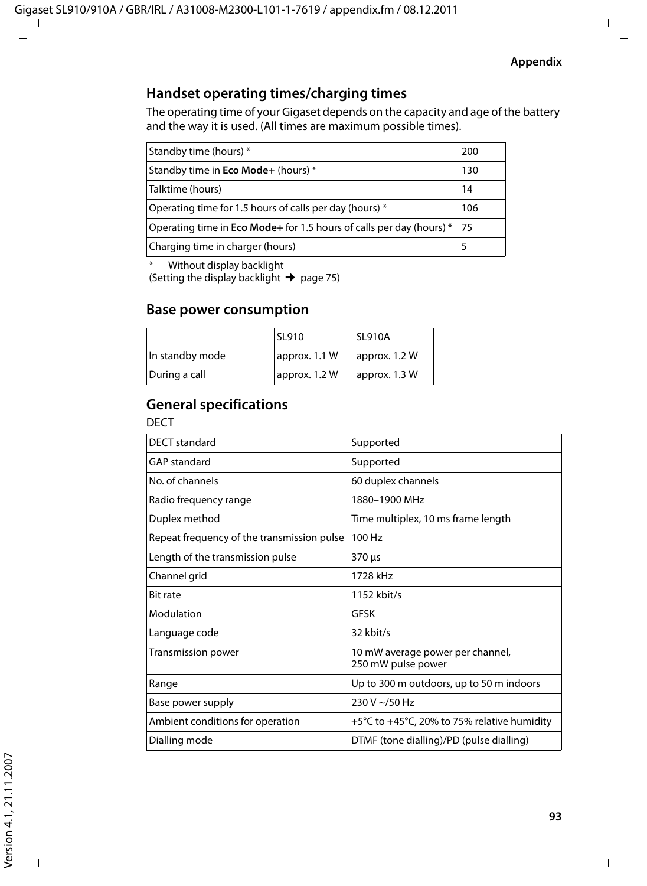### **Handset operating times/charging times**

The operating time of your Gigaset depends on the capacity and age of the battery and the way it is used. (All times are maximum possible times).

| Standby time (hours) *                                                       | 200 |
|------------------------------------------------------------------------------|-----|
| Standby time in Eco Mode+ (hours) *                                          | 130 |
| Talktime (hours)                                                             | 14  |
| Operating time for 1.5 hours of calls per day (hours) *                      | 106 |
| Operating time in <b>Eco Mode</b> + for 1.5 hours of calls per day (hours) * | 175 |
| Charging time in charger (hours)                                             | 5   |

\* Without display backlight

(Setting the display backlight  $\rightarrow$  page 75)

### **Base power consumption**

|                 | SL910         | <b>SL910A</b> |
|-----------------|---------------|---------------|
| In standby mode | approx. 1.1 W | approx. 1.2 W |
| During a call   | approx. 1.2 W | approx. 1.3 W |

### **General specifications**

DECT

| <b>DECT</b> standard                       | Supported                                                       |
|--------------------------------------------|-----------------------------------------------------------------|
| <b>GAP</b> standard                        | Supported                                                       |
| No. of channels                            | 60 duplex channels                                              |
| Radio frequency range                      | 1880-1900 MHz                                                   |
| Duplex method                              | Time multiplex, 10 ms frame length                              |
| Repeat frequency of the transmission pulse | 100 Hz                                                          |
| Length of the transmission pulse           | 370 µs                                                          |
| Channel grid                               | 1728 kHz                                                        |
| <b>Bit rate</b>                            | 1152 kbit/s                                                     |
| Modulation                                 | GFSK                                                            |
| Language code                              | 32 kbit/s                                                       |
| Transmission power                         | 10 mW average power per channel,<br>250 mW pulse power          |
| Range                                      | Up to 300 m outdoors, up to 50 m indoors                        |
| Base power supply                          | 230 V ~/50 Hz                                                   |
| Ambient conditions for operation           | $+5^{\circ}$ C to $+45^{\circ}$ C, 20% to 75% relative humidity |
| Dialling mode                              | DTMF (tone dialling)/PD (pulse dialling)                        |
|                                            |                                                                 |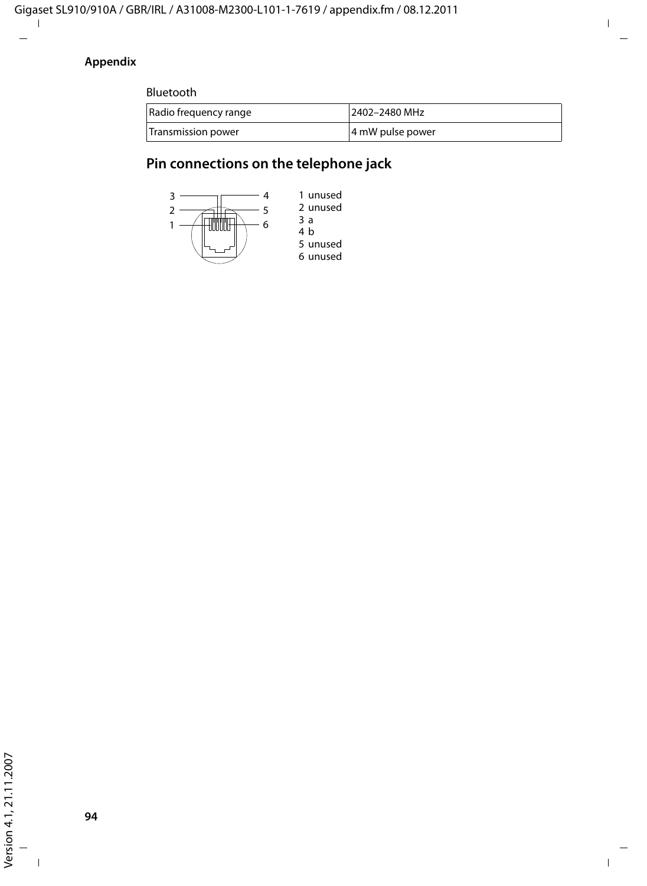### **Appendix**

Bluetooth

| Radio frequency range | 2402-2480 MHz    |
|-----------------------|------------------|
| Transmission power    | 4 mW pulse power |

## **Pin connections on the telephone jack**

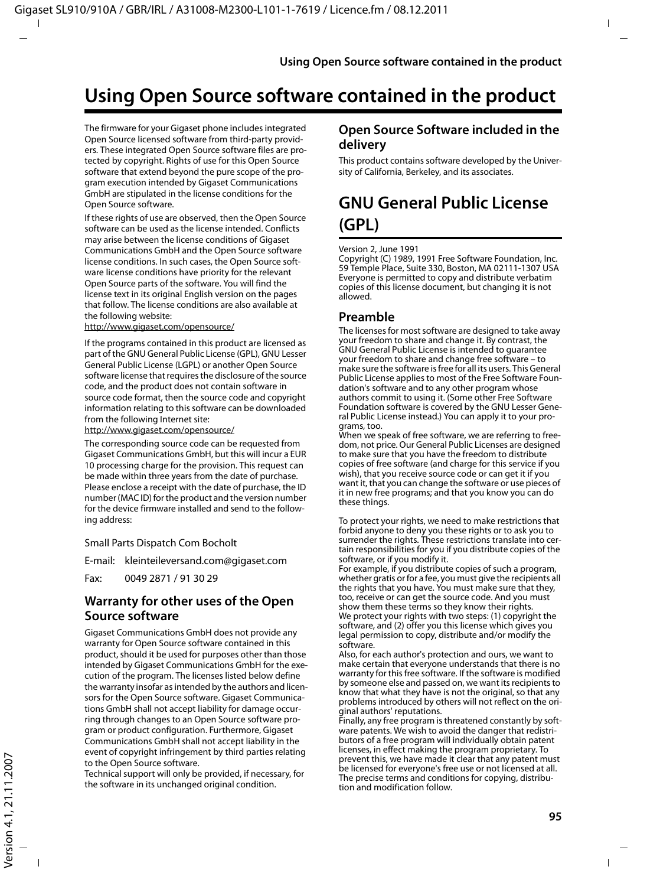# **Using Open Source software contained in the product**

The firmware for your Gigaset phone includes integrated Open Source licensed software from third-party providers. These integrated Open Source software files are protected by copyright. Rights of use for this Open Source software that extend beyond the pure scope of the program execution intended by Gigaset Communications GmbH are stipulated in the license conditions for the Open Source software.

If these rights of use are observed, then the Open Source software can be used as the license intended. Conflicts may arise between the license conditions of Gigaset Communications GmbH and the Open Source software license conditions. In such cases, the Open Source software license conditions have priority for the relevant Open Source parts of the software. You will find the license text in its original English version on the pages that follow. The license conditions are also available at the following website:

http://www.gigaset.com/opensource/

If the programs contained in this product are licensed as part of the GNU General Public License (GPL), GNU Lesser General Public License (LGPL) or another Open Source software license that requires the disclosure of the source code, and the product does not contain software in source code format, then the source code and copyright information relating to this software can be downloaded from the following Internet site:

http://www.gigaset.com/opensource/

The corresponding source code can be requested from Gigaset Communications GmbH, but this will incur a EUR 10 processing charge for the provision. This request can be made within three years from the date of purchase. Please enclose a receipt with the date of purchase, the ID number (MAC ID) for the product and the version number for the device firmware installed and send to the following address:

Small Parts Dispatch Com Bocholt

E-mail: kleinteileversand.com@gigaset.com

Fax: 0049 2871 / 91 30 29

#### **Warranty for other uses of the Open Source software**

Gigaset Communications GmbH does not provide any warranty for Open Source software contained in this product, should it be used for purposes other than those intended by Gigaset Communications GmbH for the execution of the program. The licenses listed below define the warranty insofar as intended by the authors and licensors for the Open Source software. Gigaset Communications GmbH shall not accept liability for damage occurring through changes to an Open Source software program or product configuration. Furthermore, Gigaset Communications GmbH shall not accept liability in the event of copyright infringement by third parties relating to the Open Source software.

Technical support will only be provided, if necessary, for the software in its unchanged original condition.

### **Open Source Software included in the delivery**

This product contains software developed by the University of California, Berkeley, and its associates.

# **GNU General Public License (GPL)**

#### Version 2, June 1991

Copyright (C) 1989, 1991 Free Software Foundation, Inc. 59 Temple Place, Suite 330, Boston, MA 02111-1307 USA Everyone is permitted to copy and distribute verbatim copies of this license document, but changing it is not allowed.

#### **Preamble**

The licenses for most software are designed to take away your freedom to share and change it. By contrast, the GNU General Public License is intended to guarantee your freedom to share and change free software – to make sure the software is free for all its users. This General Public License applies to most of the Free Software Foundation's software and to any other program whose authors commit to using it. (Some other Free Software Foundation software is covered by the GNU Lesser General Public License instead.) You can apply it to your programs, too.

When we speak of free software, we are referring to freedom, not price. Our General Public Licenses are designed to make sure that you have the freedom to distribute copies of free software (and charge for this service if you wish), that you receive source code or can get it if you want it, that you can change the software or use pieces of it in new free programs; and that you know you can do these things.

To protect your rights, we need to make restrictions that forbid anyone to deny you these rights or to ask you to surrender the rights. These restrictions translate into certain responsibilities for you if you distribute copies of the software, or if you modify it.

For example, if you distribute copies of such a program, whether gratis or for a fee, you must give the recipients all the rights that you have. You must make sure that they, too, receive or can get the source code. And you must show them these terms so they know their rights. We protect your rights with two steps: (1) copyright the software, and (2) offer you this license which gives you legal permission to copy, distribute and/or modify the software.

Also, for each author's protection and ours, we want to make certain that everyone understands that there is no warranty for this free software. If the software is modified by someone else and passed on, we want its recipients to know that what they have is not the original, so that any problems introduced by others will not reflect on the original authors' reputations.

Finally, any free program is threatened constantly by software patents. We wish to avoid the danger that redistributors of a free program will individually obtain patent licenses, in effect making the program proprietary. To prevent this, we have made it clear that any patent must be licensed for everyone's free use or not licensed at all. The precise terms and conditions for copying, distribution and modification follow.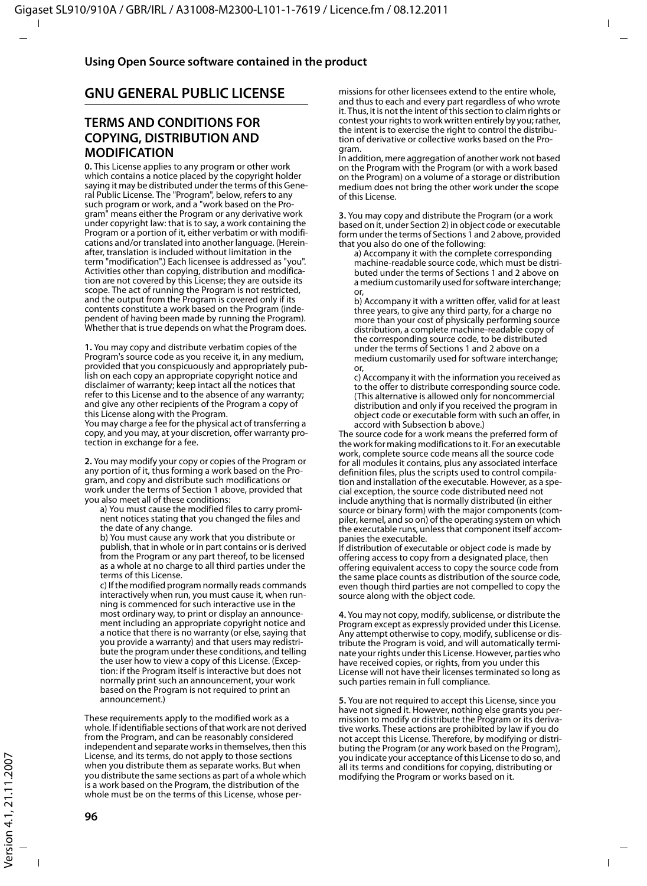### **GNU GENERAL PUBLIC LICENSE**

#### **TERMS AND CONDITIONS FOR COPYING, DISTRIBUTION AND MODIFICATION**

**0.** This License applies to any program or other work which contains a notice placed by the copyright holder saying it may be distributed under the terms of this General Public License. The "Program", below, refers to any such program or work, and a "work based on the Program" means either the Program or any derivative work under copyright law: that is to say, a work containing the Program or a portion of it, either verbatim or with modifications and/or translated into another language. (Hereinafter, translation is included without limitation in the term "modification".) Each licensee is addressed as "you". Activities other than copying, distribution and modification are not covered by this License; they are outside its scope. The act of running the Program is not restricted, and the output from the Program is covered only if its contents constitute a work based on the Program (independent of having been made by running the Program). Whether that is true depends on what the Program does.

**1.** You may copy and distribute verbatim copies of the Program's source code as you receive it, in any medium, provided that you conspicuously and appropriately publish on each copy an appropriate copyright notice and disclaimer of warranty; keep intact all the notices that refer to this License and to the absence of any warranty; and give any other recipients of the Program a copy of this License along with the Program.

You may charge a fee for the physical act of transferring a copy, and you may, at your discretion, offer warranty protection in exchange for a fee.

**2.** You may modify your copy or copies of the Program or any portion of it, thus forming a work based on the Program, and copy and distribute such modifications or work under the terms of Section 1 above, provided that you also meet all of these conditions:

a) You must cause the modified files to carry prominent notices stating that you changed the files and the date of any change.

b) You must cause any work that you distribute or publish, that in whole or in part contains or is derived from the Program or any part thereof, to be licensed as a whole at no charge to all third parties under the terms of this License.

c) If the modified program normally reads commands interactively when run, you must cause it, when running is commenced for such interactive use in the most ordinary way, to print or display an announcement including an appropriate copyright notice and a notice that there is no warranty (or else, saying that you provide a warranty) and that users may redistribute the program under these conditions, and telling the user how to view a copy of this License. (Exception: if the Program itself is interactive but does not normally print such an announcement, your work based on the Program is not required to print an announcement.)

These requirements apply to the modified work as a whole. If identifiable sections of that work are not derived from the Program, and can be reasonably considered independent and separate works in themselves, then this License, and its terms, do not apply to those sections when you distribute them as separate works. But when you distribute the same sections as part of a whole which is a work based on the Program, the distribution of the whole must be on the terms of this License, whose permissions for other licensees extend to the entire whole, and thus to each and every part regardless of who wrote it. Thus, it is not the intent of this section to claim rights or contest your rights to work written entirely by you; rather, the intent is to exercise the right to control the distribution of derivative or collective works based on the Program.

In addition, mere aggregation of another work not based on the Program with the Program (or with a work based on the Program) on a volume of a storage or distribution medium does not bring the other work under the scope of this License.

**3.** You may copy and distribute the Program (or a work based on it, under Section 2) in object code or executable form under the terms of Sections 1 and 2 above, provided that you also do one of the following:

a) Accompany it with the complete corresponding machine-readable source code, which must be distributed under the terms of Sections 1 and 2 above on a medium customarily used for software interchange; or,

b) Accompany it with a written offer, valid for at least three years, to give any third party, for a charge no more than your cost of physically performing source distribution, a complete machine-readable copy of the corresponding source code, to be distributed under the terms of Sections 1 and 2 above on a medium customarily used for software interchange;  $\alpha$ r

c) Accompany it with the information you received as to the offer to distribute corresponding source code. (This alternative is allowed only for noncommercial distribution and only if you received the program in object code or executable form with such an offer, in accord with Subsection b above.)

The source code for a work means the preferred form of the work for making modifications to it. For an executable work, complete source code means all the source code for all modules it contains, plus any associated interface definition files, plus the scripts used to control compilation and installation of the executable. However, as a special exception, the source code distributed need not include anything that is normally distributed (in either source or binary form) with the major components (compiler, kernel, and so on) of the operating system on which the executable runs, unless that component itself accompanies the executable.

If distribution of executable or object code is made by offering access to copy from a designated place, then offering equivalent access to copy the source code from the same place counts as distribution of the source code, even though third parties are not compelled to copy the source along with the object code.

**4.** You may not copy, modify, sublicense, or distribute the Program except as expressly provided under this License. Any attempt otherwise to copy, modify, sublicense or distribute the Program is void, and will automatically terminate your rights under this License. However, parties who have received copies, or rights, from you under this License will not have their licenses terminated so long as such parties remain in full compliance.

**5.** You are not required to accept this License, since you have not signed it. However, nothing else grants you permission to modify or distribute the Program or its derivative works. These actions are prohibited by law if you do not accept this License. Therefore, by modifying or distributing the Program (or any work based on the Program), you indicate your acceptance of this License to do so, and all its terms and conditions for copying, distributing or modifying the Program or works based on it.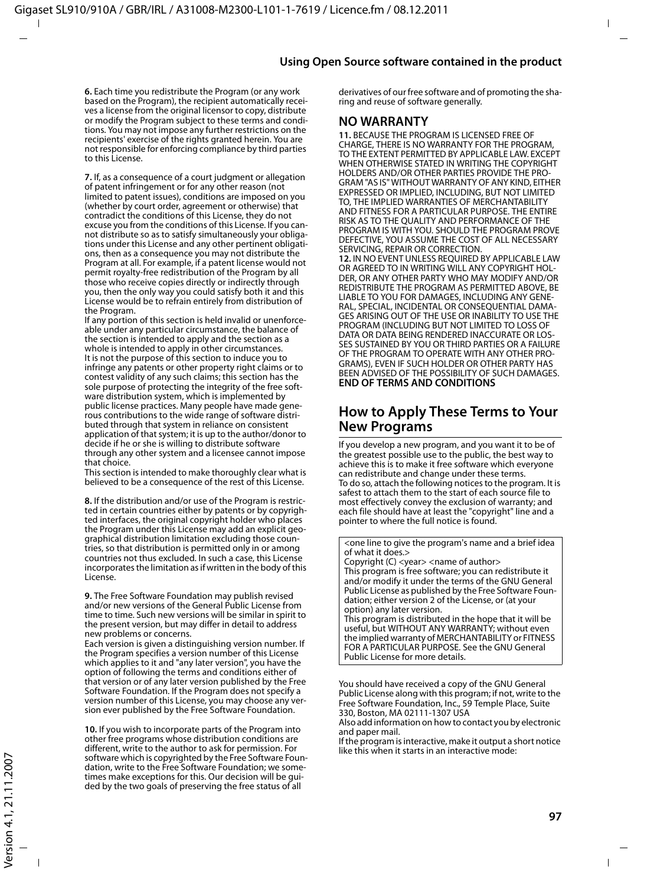**6.** Each time you redistribute the Program (or any work based on the Program), the recipient automatically receives a license from the original licensor to copy, distribute or modify the Program subject to these terms and conditions. You may not impose any further restrictions on the recipients' exercise of the rights granted herein. You are not responsible for enforcing compliance by third parties to this License.

**7.** If, as a consequence of a court judgment or allegation of patent infringement or for any other reason (not limited to patent issues), conditions are imposed on you (whether by court order, agreement or otherwise) that contradict the conditions of this License, they do not excuse you from the conditions of this License. If you cannot distribute so as to satisfy simultaneously your obligations under this License and any other pertinent obligations, then as a consequence you may not distribute the Program at all. For example, if a patent license would not permit royalty-free redistribution of the Program by all those who receive copies directly or indirectly through you, then the only way you could satisfy both it and this License would be to refrain entirely from distribution of the Program.

If any portion of this section is held invalid or unenforceable under any particular circumstance, the balance of the section is intended to apply and the section as a whole is intended to apply in other circumstances. It is not the purpose of this section to induce you to infringe any patents or other property right claims or to contest validity of any such claims; this section has the sole purpose of protecting the integrity of the free software distribution system, which is implemented by public license practices. Many people have made generous contributions to the wide range of software distributed through that system in reliance on consistent application of that system; it is up to the author/donor to decide if he or she is willing to distribute software through any other system and a licensee cannot impose that choice.

This section is intended to make thoroughly clear what is believed to be a consequence of the rest of this License.

**8.** If the distribution and/or use of the Program is restricted in certain countries either by patents or by copyrighted interfaces, the original copyright holder who places the Program under this License may add an explicit geographical distribution limitation excluding those countries, so that distribution is permitted only in or among countries not thus excluded. In such a case, this License incorporates the limitation as if written in the body of this License.

**9.** The Free Software Foundation may publish revised and/or new versions of the General Public License from time to time. Such new versions will be similar in spirit to the present version, but may differ in detail to address new problems or concerns.

Each version is given a distinguishing version number. If the Program specifies a version number of this License which applies to it and "any later version", you have the option of following the terms and conditions either of that version or of any later version published by the Free Software Foundation. If the Program does not specify a version number of this License, you may choose any version ever published by the Free Software Foundation.

**10.** If you wish to incorporate parts of the Program into other free programs whose distribution conditions are different, write to the author to ask for permission. For software which is copyrighted by the Free Software Foundation, write to the Free Software Foundation; we sometimes make exceptions for this. Our decision will be guided by the two goals of preserving the free status of all

derivatives of our free software and of promoting the sharing and reuse of software generally.

#### **NO WARRANTY**

**11.** BECAUSE THE PROGRAM IS LICENSED FREE OF CHARGE, THERE IS NO WARRANTY FOR THE PROGRAM, TO THE EXTENT PERMITTED BY APPLICABLE LAW. EXCEPT WHEN OTHERWISE STATED IN WRITING THE COPYRIGHT HOLDERS AND/OR OTHER PARTIES PROVIDE THE PRO-GRAM "AS IS" WITHOUT WARRANTY OF ANY KIND, EITHER EXPRESSED OR IMPLIED, INCLUDING, BUT NOT LIMITED TO, THE IMPLIED WARRANTIES OF MERCHANTABILITY AND FITNESS FOR A PARTICULAR PURPOSE. THE ENTIRE RISK AS TO THE QUALITY AND PERFORMANCE OF THE PROGRAM IS WITH YOU. SHOULD THE PROGRAM PROVE DEFECTIVE, YOU ASSUME THE COST OF ALL NECESSARY SERVICING, REPAIR OR CORRECTION. **12.** IN NO EVENT UNLESS REQUIRED BY APPLICABLE LAW OR AGREED TO IN WRITING WILL ANY COPYRIGHT HOL-DER, OR ANY OTHER PARTY WHO MAY MODIFY AND/OR REDISTRIBUTE THE PROGRAM AS PERMITTED ABOVE, BE LIABLE TO YOU FOR DAMAGES, INCLUDING ANY GENE-RAL, SPECIAL, INCIDENTAL OR CONSEQUENTIAL DAMA-GES ARISING OUT OF THE USE OR INABILITY TO USE THE PROGRAM (INCLUDING BUT NOT LIMITED TO LOSS OF DATA OR DATA BEING RENDERED INACCURATE OR LOS-SES SUSTAINED BY YOU OR THIRD PARTIES OR A FAILURE OF THE PROGRAM TO OPERATE WITH ANY OTHER PRO-GRAMS), EVEN IF SUCH HOLDER OR OTHER PARTY HAS BEEN ADVISED OF THE POSSIBILITY OF SUCH DAMAGES. **END OF TERMS AND CONDITIONS**

### **How to Apply These Terms to Your New Programs**

If you develop a new program, and you want it to be of the greatest possible use to the public, the best way to achieve this is to make it free software which everyone can redistribute and change under these terms. To do so, attach the following notices to the program. It is safest to attach them to the start of each source file to most effectively convey the exclusion of warranty; and each file should have at least the "copyright" line and a pointer to where the full notice is found.

<one line to give the program's name and a brief idea of what it does.> Copyright (C) <year> <name of author> This program is free software; you can redistribute it and/or modify it under the terms of the GNU General Public License as published by the Free Software Foundation; either version 2 of the License, or (at your option) any later version. This program is distributed in the hope that it will be

useful, but WITHOUT ANY WARRANTY; without even the implied warranty of MERCHANTABILITY or FITNESS FOR A PARTICULAR PURPOSE. See the GNU General Public License for more details.

You should have received a copy of the GNU General Public License along with this program; if not, write to the Free Software Foundation, Inc., 59 Temple Place, Suite 330, Boston, MA 02111-1307 USA

Also add information on how to contact you by electronic and paper mail.

If the program is interactive, make it output a short notice like this when it starts in an interactive mode: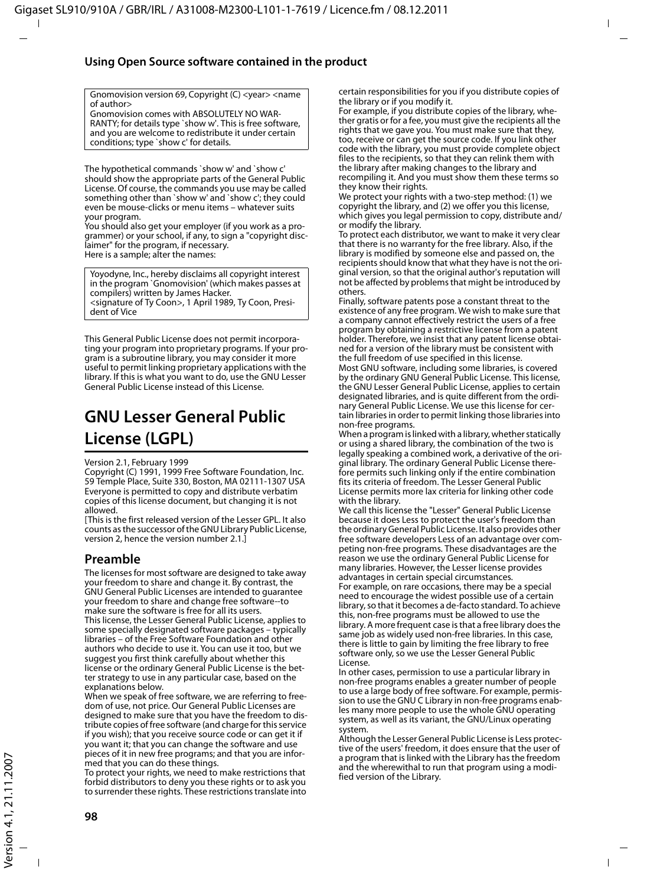#### **Using Open Source software contained in the product**

Gnomovision version 69, Copyright (C) <year> <name of author>

Gnomovision comes with ABSOLUTELY NO WAR-RANTY; for details type `show w'. This is free software, and you are welcome to redistribute it under certain conditions; type `show c' for details.

The hypothetical commands `show w' and `show c' should show the appropriate parts of the General Public License. Of course, the commands you use may be called something other than `show w' and `show c'; they could even be mouse-clicks or menu items – whatever suits your program.

You should also get your employer (if you work as a programmer) or your school, if any, to sign a "copyright disclaimer" for the program, if necessary. Here is a sample; alter the names:

Yoyodyne, Inc., hereby disclaims all copyright interest in the program `Gnomovision' (which makes passes at compilers) written by James Hacker. <signature of Ty Coon>, 1 April 1989, Ty Coon, President of Vice

This General Public License does not permit incorporating your program into proprietary programs. If your program is a subroutine library, you may consider it more useful to permit linking proprietary applications with the library. If this is what you want to do, use the GNU Lesser General Public License instead of this License.

## **GNU Lesser General Public License (LGPL)**

Version 2.1, February 1999

Copyright (C) 1991, 1999 Free Software Foundation, Inc. 59 Temple Place, Suite 330, Boston, MA 02111-1307 USA Everyone is permitted to copy and distribute verbatim copies of this license document, but changing it is not allowed.

[This is the first released version of the Lesser GPL. It also counts as the successor of the GNU Library Public License, version 2, hence the version number 2.1.]

#### **Preamble**

The licenses for most software are designed to take away your freedom to share and change it. By contrast, the GNU General Public Licenses are intended to guarantee your freedom to share and change free software--to make sure the software is free for all its users. This license, the Lesser General Public License, applies to some specially designated software packages – typically libraries – of the Free Software Foundation and other authors who decide to use it. You can use it too, but we suggest you first think carefully about whether this license or the ordinary General Public License is the better strategy to use in any particular case, based on the explanations below.

When we speak of free software, we are referring to freedom of use, not price. Our General Public Licenses are designed to make sure that you have the freedom to distribute copies of free software (and charge for this service if you wish); that you receive source code or can get it if you want it; that you can change the software and use pieces of it in new free programs; and that you are informed that you can do these things.

To protect your rights, we need to make restrictions that forbid distributors to deny you these rights or to ask you to surrender these rights. These restrictions translate into certain responsibilities for you if you distribute copies of the library or if you modify it.

For example, if you distribute copies of the library, whether gratis or for a fee, you must give the recipients all the rights that we gave you. You must make sure that they, too, receive or can get the source code. If you link other code with the library, you must provide complete object files to the recipients, so that they can relink them with the library after making changes to the library and recompiling it. And you must show them these terms so they know their rights.

We protect your rights with a two-step method: (1) we copyright the library, and (2) we offer you this license, which gives you legal permission to copy, distribute and/ or modify the library.

To protect each distributor, we want to make it very clear that there is no warranty for the free library. Also, if the library is modified by someone else and passed on, the recipients should know that what they have is not the original version, so that the original author's reputation will not be affected by problems that might be introduced by others.

Finally, software patents pose a constant threat to the existence of any free program. We wish to make sure that a company cannot effectively restrict the users of a free program by obtaining a restrictive license from a patent holder. Therefore, we insist that any patent license obtained for a version of the library must be consistent with the full freedom of use specified in this license. Most GNU software, including some libraries, is covered by the ordinary GNU General Public License. This license, the GNU Lesser General Public License, applies to certain designated libraries, and is quite different from the ordinary General Public License. We use this license for certain libraries in order to permit linking those libraries into non-free programs.

When a program is linked with a library, whether statically or using a shared library, the combination of the two is legally speaking a combined work, a derivative of the original library. The ordinary General Public License therefore permits such linking only if the entire combination fits its criteria of freedom. The Lesser General Public License permits more lax criteria for linking other code with the library.

We call this license the "Lesser" General Public License because it does Less to protect the user's freedom than the ordinary General Public License. It also provides other free software developers Less of an advantage over competing non-free programs. These disadvantages are the reason we use the ordinary General Public License for many libraries. However, the Lesser license provides advantages in certain special circumstances. For example, on rare occasions, there may be a special need to encourage the widest possible use of a certain library, so that it becomes a de-facto standard. To achieve this, non-free programs must be allowed to use the library. A more frequent case is that a free library does the same job as widely used non-free libraries. In this case, there is little to gain by limiting the free library to free software only, so we use the Lesser General Public License.

In other cases, permission to use a particular library in non-free programs enables a greater number of people to use a large body of free software. For example, permission to use the GNU C Library in non-free programs enables many more people to use the whole GNU operating system, as well as its variant, the GNU/Linux operating system.

Although the Lesser General Public License is Less protective of the users' freedom, it does ensure that the user of a program that is linked with the Library has the freedom and the wherewithal to run that program using a modified version of the Library.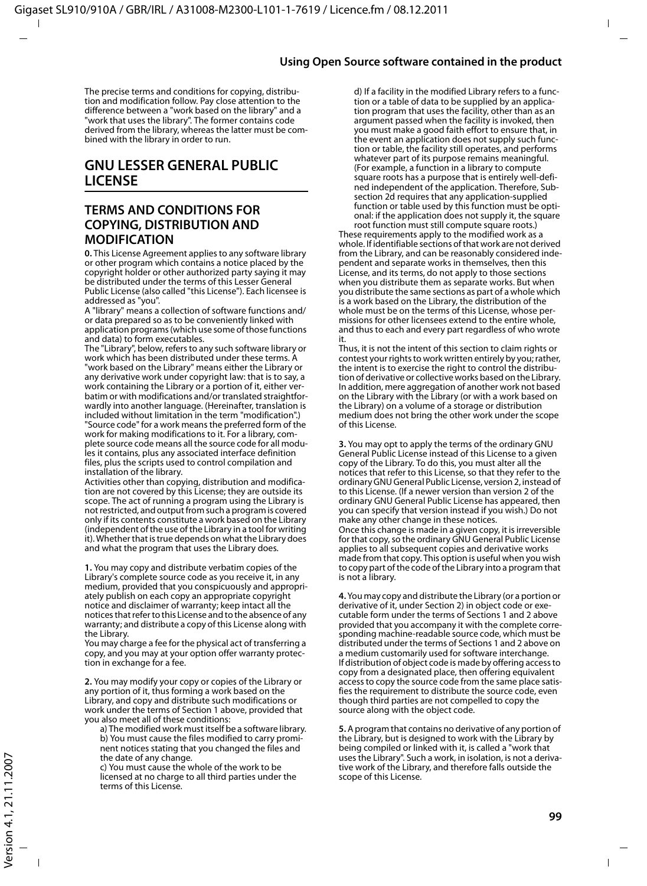The precise terms and conditions for copying, distribution and modification follow. Pay close attention to the difference between a "work based on the library" and a 'work that uses the library". The former contains code derived from the library, whereas the latter must be combined with the library in order to run.

#### **GNU LESSER GENERAL PUBLIC LICENSE**

#### **TERMS AND CONDITIONS FOR COPYING, DISTRIBUTION AND MODIFICATION**

**0.** This License Agreement applies to any software library or other program which contains a notice placed by the copyright holder or other authorized party saying it may be distributed under the terms of this Lesser General Public License (also called "this License"). Each licensee is addressed as "you".

A "library" means a collection of software functions and/ or data prepared so as to be conveniently linked with application programs (which use some of those functions and data) to form executables.

The "Library", below, refers to any such software library or work which has been distributed under these terms. A "work based on the Library" means either the Library or any derivative work under copyright law: that is to say, a work containing the Library or a portion of it, either verbatim or with modifications and/or translated straightforwardly into another language. (Hereinafter, translation is included without limitation in the term "modification".) "Source code" for a work means the preferred form of the work for making modifications to it. For a library, complete source code means all the source code for all modules it contains, plus any associated interface definition files, plus the scripts used to control compilation and installation of the library.

Activities other than copying, distribution and modification are not covered by this License; they are outside its scope. The act of running a program using the Library is not restricted, and output from such a program is covered only if its contents constitute a work based on the Library (independent of the use of the Library in a tool for writing it). Whether that is true depends on what the Library does and what the program that uses the Library does.

**1.** You may copy and distribute verbatim copies of the Library's complete source code as you receive it, in any medium, provided that you conspicuously and appropriately publish on each copy an appropriate copyright notice and disclaimer of warranty; keep intact all the notices that refer to this License and to the absence of any warranty; and distribute a copy of this License along with the Library.

You may charge a fee for the physical act of transferring a copy, and you may at your option offer warranty protection in exchange for a fee.

**2.** You may modify your copy or copies of the Library or any portion of it, thus forming a work based on the Library, and copy and distribute such modifications or work under the terms of Section 1 above, provided that you also meet all of these conditions:

a) The modified work must itself be a software library. b) You must cause the files modified to carry prominent notices stating that you changed the files and the date of any change.

c) You must cause the whole of the work to be licensed at no charge to all third parties under the terms of this License.

d) If a facility in the modified Library refers to a function or a table of data to be supplied by an application program that uses the facility, other than as an argument passed when the facility is invoked, then you must make a good faith effort to ensure that, in the event an application does not supply such function or table, the facility still operates, and performs whatever part of its purpose remains meaningful. (For example, a function in a library to compute square roots has a purpose that is entirely well-defined independent of the application. Therefore, Subsection 2d requires that any application-supplied function or table used by this function must be optional: if the application does not supply it, the square root function must still compute square roots.)

These requirements apply to the modified work as a whole. If identifiable sections of that work are not derived from the Library, and can be reasonably considered independent and separate works in themselves, then this License, and its terms, do not apply to those sections when you distribute them as separate works. But when you distribute the same sections as part of a whole which is a work based on the Library, the distribution of the whole must be on the terms of this License, whose permissions for other licensees extend to the entire whole, and thus to each and every part regardless of who wrote it.

Thus, it is not the intent of this section to claim rights or contest your rights to work written entirely by you; rather, the intent is to exercise the right to control the distribution of derivative or collective works based on the Library. In addition, mere aggregation of another work not based on the Library with the Library (or with a work based on the Library) on a volume of a storage or distribution medium does not bring the other work under the scope of this License.

**3.** You may opt to apply the terms of the ordinary GNU General Public License instead of this License to a given copy of the Library. To do this, you must alter all the notices that refer to this License, so that they refer to the ordinary GNU General Public License, version 2, instead of to this License. (If a newer version than version 2 of the ordinary GNU General Public License has appeared, then you can specify that version instead if you wish.) Do not make any other change in these notices. Once this change is made in a given copy, it is irreversible for that copy, so the ordinary GNU General Public License applies to all subsequent copies and derivative works made from that copy. This option is useful when you wish to copy part of the code of the Library into a program that is not a library.

**4.** You may copy and distribute the Library (or a portion or derivative of it, under Section 2) in object code or executable form under the terms of Sections 1 and 2 above provided that you accompany it with the complete corresponding machine-readable source code, which must be distributed under the terms of Sections 1 and 2 above on a medium customarily used for software interchange. If distribution of object code is made by offering access to copy from a designated place, then offering equivalent access to copy the source code from the same place satisfies the requirement to distribute the source code, even though third parties are not compelled to copy the source along with the object code.

**5.** A program that contains no derivative of any portion of the Library, but is designed to work with the Library by being compiled or linked with it, is called a "work that uses the Library". Such a work, in isolation, is not a derivative work of the Library, and therefore falls outside the scope of this License.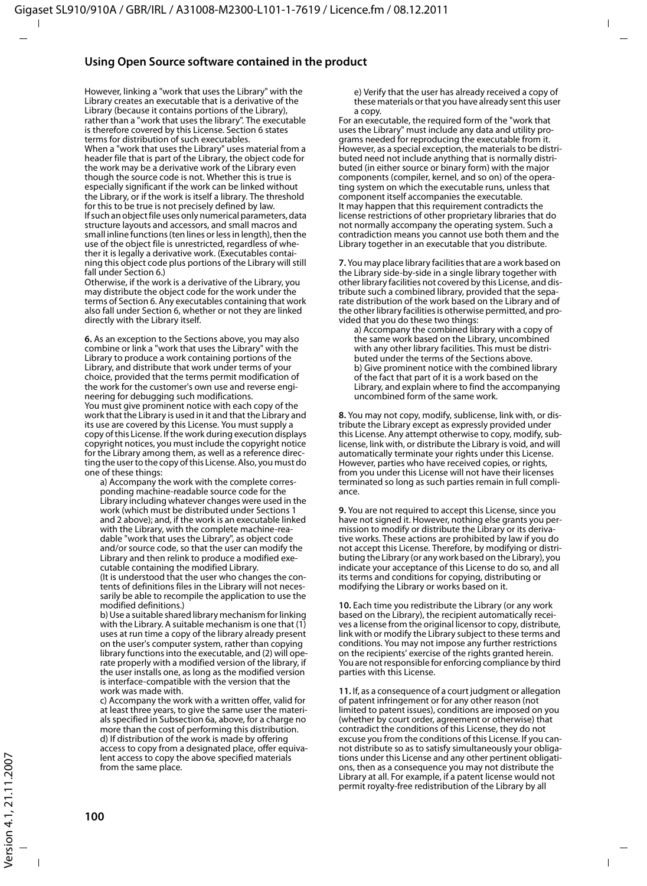#### **Using Open Source software contained in the product**

However, linking a "work that uses the Library" with the Library creates an executable that is a derivative of the Library (because it contains portions of the Library), rather than a "work that uses the library". The executable is therefore covered by this License. Section 6 states terms for distribution of such executables. When a "work that uses the Library" uses material from a header file that is part of the Library, the object code for the work may be a derivative work of the Library even though the source code is not. Whether this is true is especially significant if the work can be linked without the Library, or if the work is itself a library. The threshold for this to be true is not precisely defined by law. If such an object file uses only numerical parameters, data structure layouts and accessors, and small macros and small inline functions (ten lines or less in length), then the use of the object file is unrestricted, regardless of whether it is legally a derivative work. (Executables containing this object code plus portions of the Library will still fall under Section 6.)

Otherwise, if the work is a derivative of the Library, you may distribute the object code for the work under the terms of Section 6. Any executables containing that work also fall under Section 6, whether or not they are linked directly with the Library itself.

**6.** As an exception to the Sections above, you may also combine or link a "work that uses the Library" with the Library to produce a work containing portions of the Library, and distribute that work under terms of your choice, provided that the terms permit modification of the work for the customer's own use and reverse engineering for debugging such modifications.

You must give prominent notice with each copy of the work that the Library is used in it and that the Library and its use are covered by this License. You must supply a copy of this License. If the work during execution displays copyright notices, you must include the copyright notice for the Library among them, as well as a reference directing the user to the copy of this License. Also, you must do one of these things:

a) Accompany the work with the complete corresponding machine-readable source code for the Library including whatever changes were used in the work (which must be distributed under Sections 1 and 2 above); and, if the work is an executable linked with the Library, with the complete machine-readable "work that uses the Library", as object code and/or source code, so that the user can modify the Library and then relink to produce a modified executable containing the modified Library. (It is understood that the user who changes the contents of definitions files in the Library will not necessarily be able to recompile the application to use the modified definitions.)

b) Use a suitable shared library mechanism for linking with the Library. A suitable mechanism is one that (1) uses at run time a copy of the library already present on the user's computer system, rather than copying library functions into the executable, and (2) will operate properly with a modified version of the library, if the user installs one, as long as the modified version is interface-compatible with the version that the work was made with.

c) Accompany the work with a written offer, valid for at least three years, to give the same user the materials specified in Subsection 6a, above, for a charge no more than the cost of performing this distribution. d) If distribution of the work is made by offering access to copy from a designated place, offer equivalent access to copy the above specified materials from the same place.

e) Verify that the user has already received a copy of these materials or that you have already sent this user a copy.

For an executable, the required form of the "work that uses the Library" must include any data and utility programs needed for reproducing the executable from it. However, as a special exception, the materials to be distributed need not include anything that is normally distributed (in either source or binary form) with the major components (compiler, kernel, and so on) of the operating system on which the executable runs, unless that component itself accompanies the executable. It may happen that this requirement contradicts the license restrictions of other proprietary libraries that do not normally accompany the operating system. Such a contradiction means you cannot use both them and the Library together in an executable that you distribute.

**7.** You may place library facilities that are a work based on the Library side-by-side in a single library together with other library facilities not covered by this License, and distribute such a combined library, provided that the separate distribution of the work based on the Library and of the other library facilities is otherwise permitted, and provided that you do these two things:

a) Accompany the combined library with a copy of the same work based on the Library, uncombined with any other library facilities. This must be distributed under the terms of the Sections above. b) Give prominent notice with the combined library of the fact that part of it is a work based on the Library, and explain where to find the accompanying uncombined form of the same work.

**8.** You may not copy, modify, sublicense, link with, or distribute the Library except as expressly provided under this License. Any attempt otherwise to copy, modify, sublicense, link with, or distribute the Library is void, and will automatically terminate your rights under this License. However, parties who have received copies, or rights, from you under this License will not have their licenses terminated so long as such parties remain in full compliance.

**9.** You are not required to accept this License, since you have not signed it. However, nothing else grants you permission to modify or distribute the Library or its derivative works. These actions are prohibited by law if you do not accept this License. Therefore, by modifying or distributing the Library (or any work based on the Library), you indicate your acceptance of this License to do so, and all its terms and conditions for copying, distributing or modifying the Library or works based on it.

**10.** Each time you redistribute the Library (or any work based on the Library), the recipient automatically receives a license from the original licensor to copy, distribute, link with or modify the Library subject to these terms and conditions. You may not impose any further restrictions on the recipients' exercise of the rights granted herein. You are not responsible for enforcing compliance by third parties with this License.

**11.** If, as a consequence of a court judgment or allegation of patent infringement or for any other reason (not limited to patent issues), conditions are imposed on you (whether by court order, agreement or otherwise) that contradict the conditions of this License, they do not excuse you from the conditions of this License. If you cannot distribute so as to satisfy simultaneously your obligations under this License and any other pertinent obligations, then as a consequence you may not distribute the Library at all. For example, if a patent license would not permit royalty-free redistribution of the Library by all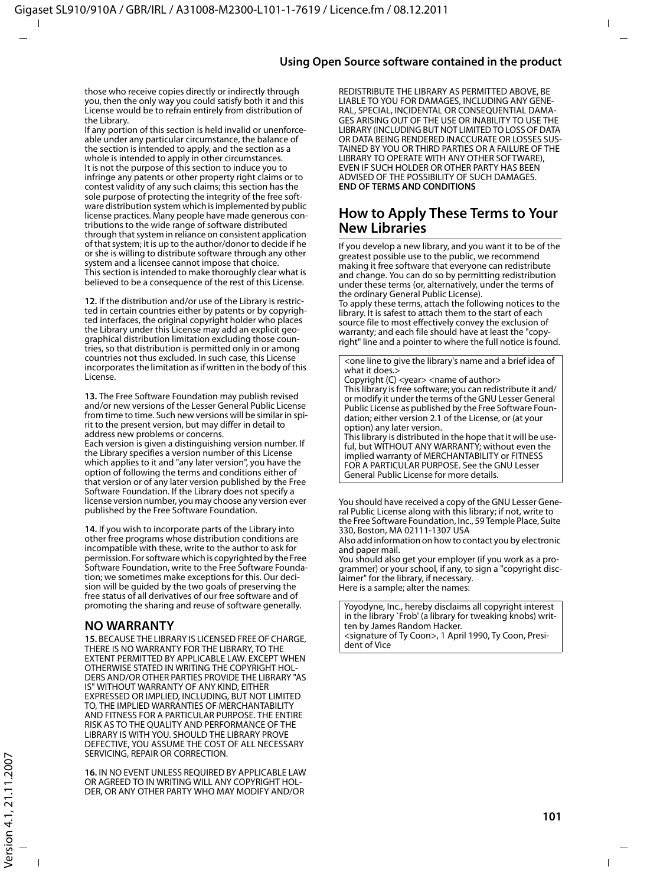those who receive copies directly or indirectly through you, then the only way you could satisfy both it and this License would be to refrain entirely from distribution of the Library.

If any portion of this section is held invalid or unenforceable under any particular circumstance, the balance of the section is intended to apply, and the section as a whole is intended to apply in other circumstances. It is not the purpose of this section to induce you to infringe any patents or other property right claims or to contest validity of any such claims; this section has the sole purpose of protecting the integrity of the free software distribution system which is implemented by public license practices. Many people have made generous contributions to the wide range of software distributed through that system in reliance on consistent application of that system; it is up to the author/donor to decide if he or she is willing to distribute software through any other system and a licensee cannot impose that choice. This section is intended to make thoroughly clear what is believed to be a consequence of the rest of this License.

**12.** If the distribution and/or use of the Library is restricted in certain countries either by patents or by copyrighted interfaces, the original copyright holder who places the Library under this License may add an explicit geographical distribution limitation excluding those countries, so that distribution is permitted only in or among countries not thus excluded. In such case, this License incorporates the limitation as if written in the body of this License.

**13.** The Free Software Foundation may publish revised and/or new versions of the Lesser General Public License from time to time. Such new versions will be similar in spirit to the present version, but may differ in detail to address new problems or concerns.

Each version is given a distinguishing version number. If the Library specifies a version number of this License which applies to it and "any later version", you have the option of following the terms and conditions either of that version or of any later version published by the Free Software Foundation. If the Library does not specify a license version number, you may choose any version ever published by the Free Software Foundation.

**14.** If you wish to incorporate parts of the Library into other free programs whose distribution conditions are incompatible with these, write to the author to ask for permission. For software which is copyrighted by the Free Software Foundation, write to the Free Software Foundation; we sometimes make exceptions for this. Our decision will be guided by the two goals of preserving the free status of all derivatives of our free software and of promoting the sharing and reuse of software generally.

#### **NO WARRANTY**

**15.** BECAUSE THE LIBRARY IS LICENSED FREE OF CHARGE, THERE IS NO WARRANTY FOR THE LIBRARY, TO THE EXTENT PERMITTED BY APPLICABLE LAW. EXCEPT WHEN OTHERWISE STATED IN WRITING THE COPYRIGHT HOL-DERS AND/OR OTHER PARTIES PROVIDE THE LIBRARY "AS IS" WITHOUT WARRANTY OF ANY KIND, EITHER EXPRESSED OR IMPLIED, INCLUDING, BUT NOT LIMITED TO, THE IMPLIED WARRANTIES OF MERCHANTABILITY AND FITNESS FOR A PARTICULAR PURPOSE. THE ENTIRE RISK AS TO THE QUALITY AND PERFORMANCE OF THE LIBRARY IS WITH YOU. SHOULD THE LIBRARY PROVE DEFECTIVE, YOU ASSUME THE COST OF ALL NECESSARY SERVICING, REPAIR OR CORRECTION.

**16.** IN NO EVENT UNLESS REQUIRED BY APPLICABLE LAW OR AGREED TO IN WRITING WILL ANY COPYRIGHT HOL-DER, OR ANY OTHER PARTY WHO MAY MODIFY AND/OR

REDISTRIBUTE THE LIBRARY AS PERMITTED ABOVE, BE LIABLE TO YOU FOR DAMAGES, INCLUDING ANY GENE-RAL, SPECIAL, INCIDENTAL OR CONSEQUENTIAL DAMA-GES ARISING OUT OF THE USE OR INABILITY TO USE THE LIBRARY (INCLUDING BUT NOT LIMITED TO LOSS OF DATA OR DATA BEING RENDERED INACCURATE OR LOSSES SUS-TAINED BY YOU OR THIRD PARTIES OR A FAILURE OF THE LIBRARY TO OPERATE WITH ANY OTHER SOFTWARE), EVEN IF SUCH HOLDER OR OTHER PARTY HAS BEEN ADVISED OF THE POSSIBILITY OF SUCH DAMAGES. **END OF TERMS AND CONDITIONS**

#### **How to Apply These Terms to Your New Libraries**

If you develop a new library, and you want it to be of the greatest possible use to the public, we recommend making it free software that everyone can redistribute and change. You can do so by permitting redistribution under these terms (or, alternatively, under the terms of the ordinary General Public License).

To apply these terms, attach the following notices to the library. It is safest to attach them to the start of each source file to most effectively convey the exclusion of warranty; and each file should have at least the "copyright" line and a pointer to where the full notice is found.

<one line to give the library's name and a brief idea of what it does.>

Copyright (C) <year> <name of author> This library is free software; you can redistribute it and/ or modify it under the terms of the GNU Lesser General Public License as published by the Free Software Foundation; either version 2.1 of the License, or (at your option) any later version.

This library is distributed in the hope that it will be useful, but WITHOUT ANY WARRANTY; without even the implied warranty of MERCHANTABILITY or FITNESS FOR A PARTICULAR PURPOSE. See the GNU Lesser General Public License for more details.

You should have received a copy of the GNU Lesser General Public License along with this library; if not, write to the Free Software Foundation, Inc., 59 Temple Place, Suite 330, Boston, MA 02111-1307 USA

Also add information on how to contact you by electronic and paper mail.

You should also get your employer (if you work as a programmer) or your school, if any, to sign a "copyright disclaimer" for the library, if necessary. Here is a sample; alter the names:

Yoyodyne, Inc., hereby disclaims all copyright interest in the library `Frob' (a library for tweaking knobs) written by James Random Hacker. <signature of Ty Coon>, 1 April 1990, Ty Coon, President of Vice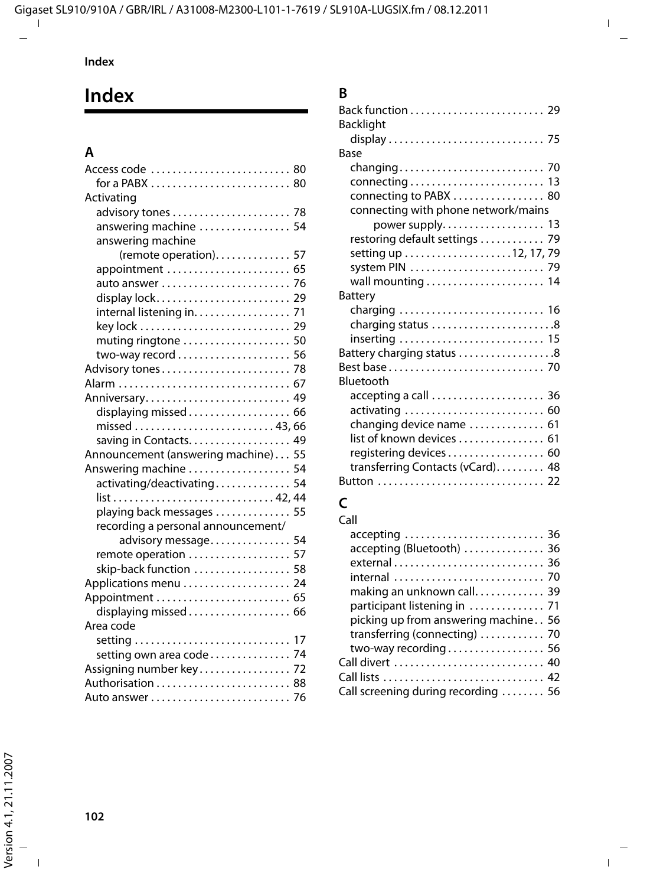# **Index**

## **A**

| Access code  80                     |  |
|-------------------------------------|--|
| for a PABX  80                      |  |
| Activating                          |  |
|                                     |  |
| answering machine  54               |  |
| answering machine                   |  |
| (remote operation). 57              |  |
| appointment  65                     |  |
| auto answer  76                     |  |
| display lock 29                     |  |
| internal listening in. 71           |  |
|                                     |  |
| muting ringtone  50                 |  |
|                                     |  |
|                                     |  |
| Alarm  67                           |  |
| Anniversary 49                      |  |
| displaying missed 66                |  |
| missed  43, 66                      |  |
| saving in Contacts. 49              |  |
| Announcement (answering machine) 55 |  |
| Answering machine  54               |  |
| activating/deactivating 54          |  |
|                                     |  |
| playing back messages  55           |  |
| recording a personal announcement/  |  |
| advisory message 54                 |  |
| remote operation  57                |  |
| skip-back function  58              |  |
| Applications menu 24                |  |
| Appointment  65                     |  |
| displaying missed 66                |  |
| Area code                           |  |
|                                     |  |
| setting own area code 74            |  |
| Assigning number key 72             |  |
|                                     |  |
|                                     |  |

## **B**

| <b>Backlight</b>                    |
|-------------------------------------|
|                                     |
| Base                                |
|                                     |
|                                     |
| connecting to PABX  80              |
| connecting with phone network/mains |
| power supply. 13                    |
| restoring default settings  79      |
|                                     |
|                                     |
| wall mounting  14                   |
| Battery                             |
|                                     |
| charging status 8                   |
| inserting  15                       |
| Battery charging status 8           |
|                                     |
| Bluetooth                           |
| accepting a call  36                |
| activating  60                      |
| changing device name  61            |
| list of known devices  61           |
| registering devices 60              |
| transferring Contacts (vCard) 48    |
|                                     |
|                                     |

## **C**

| Call                                                  |
|-------------------------------------------------------|
| accepting  36                                         |
| accepting (Bluetooth)  36                             |
|                                                       |
| internal  70                                          |
| making an unknown call 39                             |
| participant listening in  71                          |
| picking up from answering machine 56                  |
| transferring (connecting) $\ldots \ldots \ldots$ . 70 |
| two-way recording 56                                  |
| Call divert  40                                       |
|                                                       |
| Call screening during recording  56                   |
|                                                       |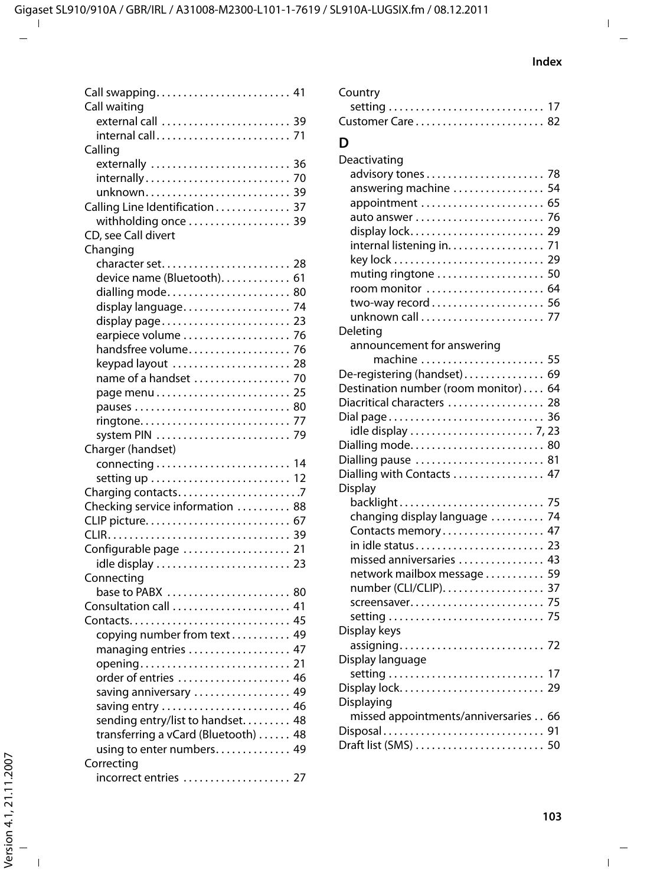| Call swapping 41                     |
|--------------------------------------|
| Call waiting                         |
| external call  39                    |
| internal call 71                     |
| Calling                              |
| externally  36                       |
| internally 70                        |
| unknown 39                           |
| Calling Line Identification 37       |
| withholding once  39                 |
| CD, see Call divert                  |
| Changing                             |
| character set<br>-28                 |
| device name (Bluetooth) 61           |
| dialling mode 80                     |
| display language<br>74               |
| display page 23                      |
| earpiece volume<br>76                |
| handsfree volume<br>76               |
| keypad layout<br>28                  |
| name of a handset<br>70              |
| 25                                   |
| pauses  80                           |
| 77                                   |
| system PIN<br>79                     |
| Charger (handset)                    |
|                                      |
|                                      |
| Charging contacts7                   |
| Checking service information  88     |
|                                      |
|                                      |
|                                      |
| Configurable page  21                |
| idle display  23                     |
| Connecting                           |
| base to PABX  80                     |
| Consultation call  41                |
|                                      |
| copying number from text 49          |
| managing entries  47                 |
|                                      |
| order of entries  46                 |
| saving anniversary  49               |
|                                      |
| sending entry/list to handset 48     |
| transferring a vCard (Bluetooth)  48 |
| using to enter numbers 49            |
| Correcting                           |
| incorrect entries  27                |

| Customer Care  82                    |
|--------------------------------------|
| D                                    |
| Deactivating                         |
| 78                                   |
| answering machine<br>54              |
| appointment  65                      |
| 76                                   |
| 29<br>display lock                   |
| internal listening in.<br>71         |
| 29                                   |
| muting ringtone<br>50                |
| 64<br>room monitor                   |
| 56                                   |
| unknown call<br>77                   |
| Deleting                             |
| announcement for answering           |
| 55<br>machine                        |
| De-registering (handset) 69          |
| Destination number (room monitor) 64 |
| Diacritical characters  28           |
| Dial page<br>36                      |
| 80                                   |
| Dialling mode<br>Dialling pause  81  |
| Dialling with Contacts  47           |
| Display                              |
| backlight<br>75                      |
| changing display language<br>74      |
| Contacts memory 47                   |
| 23                                   |
| missed anniversaries  43             |
| network mailbox message<br>59        |
| number (CLI/CLIP)<br>37              |
| 75<br>screensaver                    |
| 75                                   |
| Display keys                         |
|                                      |
| Display language                     |
|                                      |
|                                      |
| Displaying                           |
| missed appointments/anniversaries 66 |
| Disposal<br>91                       |
| Draft list (SMS)  50                 |

Country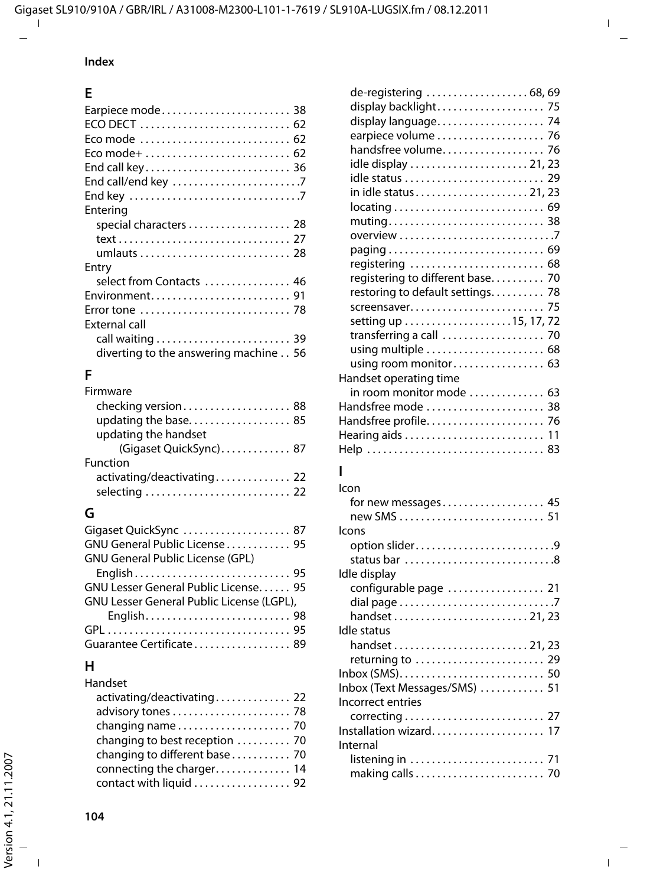### **Index**

## **E**

| Eco mode  62                          |
|---------------------------------------|
|                                       |
| End call key 36                       |
|                                       |
|                                       |
| Entering                              |
| special characters  28                |
|                                       |
|                                       |
| Entry                                 |
| select from Contacts  46              |
| Environment 91                        |
|                                       |
| External call                         |
|                                       |
| diverting to the answering machine 56 |
|                                       |

#### **F**  $\mathbf{r}$

| <b>Firmware</b>            |  |
|----------------------------|--|
| checking version 88        |  |
|                            |  |
| updating the handset       |  |
| (Gigaset QuickSync) 87     |  |
| Function                   |  |
| activating/deactivating 22 |  |
|                            |  |
|                            |  |

## **G**

| Gigaset QuickSync  87                     |  |
|-------------------------------------------|--|
| GNU General Public License  95            |  |
| <b>GNU General Public License (GPL)</b>   |  |
|                                           |  |
| GNU Lesser General Public License 95      |  |
| GNU Lesser General Public License (LGPL), |  |
|                                           |  |
|                                           |  |
| Guarantee Certificate 89                  |  |

## **H**

| Handset |  |  |  |
|---------|--|--|--|
|         |  |  |  |

| activating/deactivating 22     |  |
|--------------------------------|--|
| advisory tones  78             |  |
|                                |  |
| changing to best reception  70 |  |
| changing to different base  70 |  |
| connecting the charger 14      |  |
| contact with liquid  92        |  |
|                                |  |

| de-registering  68, 69           |
|----------------------------------|
| display backlight 75             |
| display language 74              |
| earpiece volume  76              |
| handsfree volume 76              |
|                                  |
|                                  |
|                                  |
|                                  |
| muting 38                        |
|                                  |
|                                  |
| registering  68                  |
| registering to different base 70 |
| restoring to default settings 78 |
|                                  |
|                                  |
| transferring a call  70          |
| using multiple  68               |
| using room monitor 63            |
| Handset operating time           |
| in room monitor mode  63         |
| Handsfree mode  38               |
|                                  |
|                                  |
|                                  |
|                                  |

### **I**

| Icon                          |
|-------------------------------|
| for new messages 45           |
|                               |
| Icons                         |
| option slider9                |
| status bar 8                  |
| Idle display                  |
| configurable page  21         |
|                               |
|                               |
| Idle status                   |
|                               |
| returning to  29              |
|                               |
| Inbox (Text Messages/SMS)  51 |
| Incorrect entries             |
|                               |
| Installation wizard 17        |
| Internal                      |
|                               |
|                               |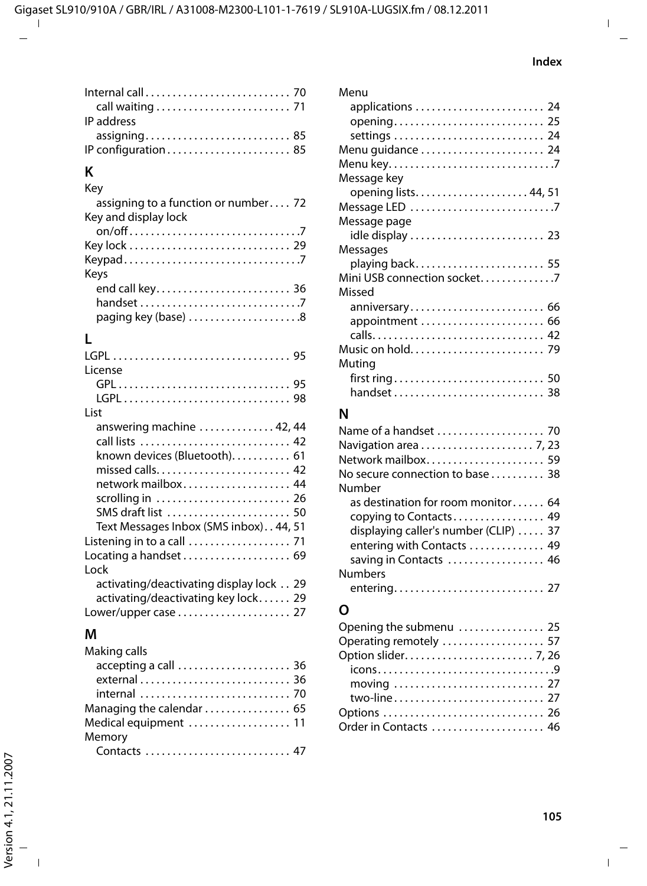| IP address |  |
|------------|--|
|            |  |
|            |  |

### **K**

| Key                                  |
|--------------------------------------|
| assigning to a function or number 72 |
| Key and display lock                 |
|                                      |
|                                      |
|                                      |
| Keys                                 |
|                                      |
|                                      |
| paging key (base) 8                  |

## **L**

| License                                                            |
|--------------------------------------------------------------------|
|                                                                    |
|                                                                    |
| l ist                                                              |
| answering machine  42, 44                                          |
| call lists  42                                                     |
| known devices (Bluetooth) 61                                       |
|                                                                    |
| network mailbox 44                                                 |
| scrolling in $\ldots \ldots \ldots \ldots \ldots \ldots \ldots$ 26 |
| SMS draft list  50                                                 |
| Text Messages Inbox (SMS inbox) 44, 51                             |
|                                                                    |
| Locating a handset $\ldots \ldots \ldots \ldots \ldots$ . 69       |
| Lock                                                               |
| activating/deactivating display lock 29                            |
| activating/deactivating key lock 29                                |
|                                                                    |

### **M**

| Making calls              |  |
|---------------------------|--|
| accepting a call  36      |  |
|                           |  |
|                           |  |
| Managing the calendar  65 |  |
| Medical equipment  11     |  |
| Memory                    |  |
| Contacts  47              |  |

| Menu                        |
|-----------------------------|
| applications  24            |
| opening 25                  |
|                             |
| Menu guidance  24           |
| Menu key7                   |
| Message key                 |
| opening lists 44, 51        |
| Message LED 7               |
| Message page                |
| idle display  23            |
| Messages                    |
|                             |
| Mini USB connection socket7 |
| Missed                      |
| anniversary 66              |
| appointment  66             |
|                             |
|                             |
| Muting                      |
|                             |
|                             |

## **N**

| Network mailbox 59                    |
|---------------------------------------|
| No secure connection to base 38       |
| Number                                |
| as destination for room monitor 64    |
|                                       |
| displaying caller's number (CLIP)  37 |
| entering with Contacts 49             |
| saving in Contacts  46                |
| <b>Numbers</b>                        |
|                                       |

## **O**

| Opening the submenu  25 |
|-------------------------|
| Operating remotely  57  |
|                         |
|                         |
|                         |
| two-line 27             |
|                         |
| Order in Contacts  46   |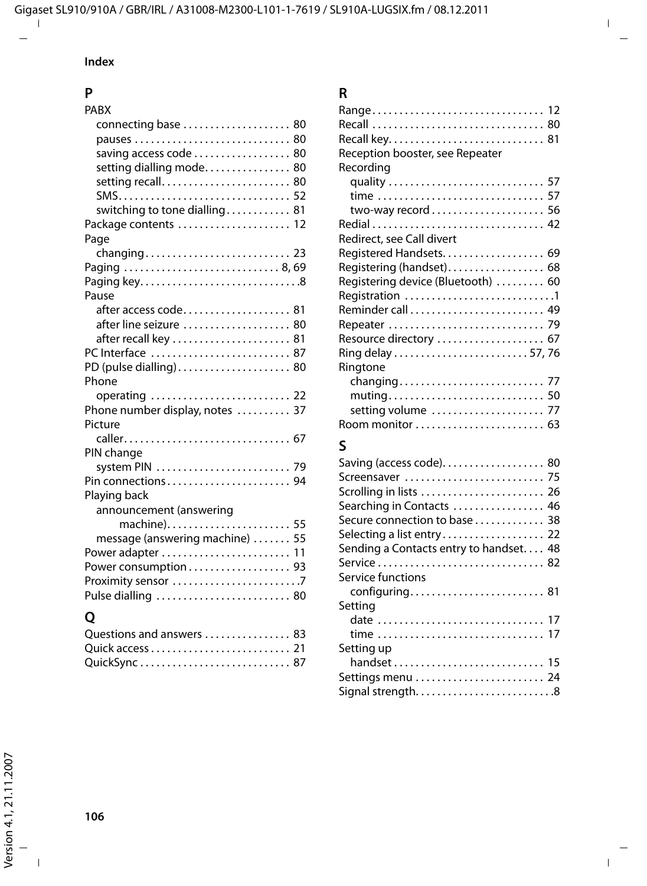### **Index**

## **P**

| PABX                            |
|---------------------------------|
| connecting base  80             |
|                                 |
| saving access code  80          |
| setting dialling mode 80        |
| setting recall 80               |
|                                 |
| switching to tone dialling 81   |
| Package contents  12            |
| Page                            |
|                                 |
|                                 |
|                                 |
| Paging key8                     |
| Pause                           |
|                                 |
| after line seizure 80           |
| after recall key  81            |
| PC Interface  87                |
| PD (pulse dialling) 80          |
| Phone                           |
|                                 |
| Phone number display, notes  37 |
| Picture                         |
| caller 67                       |
| PIN change                      |
| system PIN  79                  |
| Pin connections 94              |
| Playing back                    |
|                                 |
| announcement (answering         |
| machine) 55                     |
| message (answering machine)  55 |
| Power adapter  11               |
| Power consumption 93            |
|                                 |
| Pulse dialling  80              |
| O                               |

| Questions and answers  83 |  |
|---------------------------|--|
|                           |  |
|                           |  |

## **R**

| Range 12<br>Reception booster, see Repeater<br>Recording |  |
|----------------------------------------------------------|--|
| quality  57                                              |  |
|                                                          |  |
|                                                          |  |
|                                                          |  |
| Redirect, see Call divert                                |  |
| Registered Handsets. 69                                  |  |
| Registering (handset) 68                                 |  |
| Registering device (Bluetooth)  60                       |  |
| Registration 1                                           |  |
|                                                          |  |
|                                                          |  |
|                                                          |  |
|                                                          |  |
| Ringtone                                                 |  |
| setting volume  77                                       |  |
|                                                          |  |

## **S**

| Saving (access code). 80               |
|----------------------------------------|
|                                        |
| Scrolling in lists  26                 |
| Searching in Contacts  46              |
| Secure connection to base  38          |
|                                        |
| Sending a Contacts entry to handset 48 |
|                                        |
| Service functions                      |
| configuring 81                         |
| Setting                                |
| date  17                               |
|                                        |
| Setting up                             |
| handset  15                            |
| Settings menu  24                      |
| Signal strength8                       |
|                                        |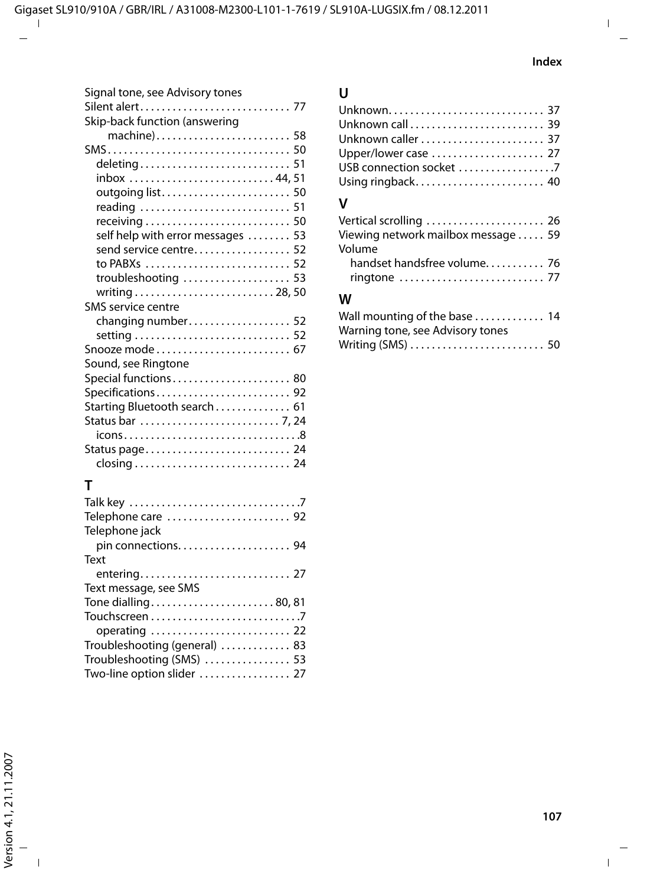| Signal tone, see Advisory tones   |
|-----------------------------------|
| Silent alert 77                   |
| Skip-back function (answering     |
| machine) 58                       |
|                                   |
|                                   |
| inbox 44,51                       |
| outgoing list 50                  |
|                                   |
|                                   |
|                                   |
| self help with error messages  53 |
| send service centre 52            |
| to PABXs  52                      |
| troubleshooting  53               |
|                                   |
| SMS service centre                |
| changing number 52                |
|                                   |
| Snooze mode 67                    |
| Sound, see Ringtone               |
| Special functions 80              |
| Specifications 92                 |
| Starting Bluetooth search 61      |
|                                   |
|                                   |
|                                   |
|                                   |
|                                   |
| т                                 |

## **T**

| Telephone care  92            |  |
|-------------------------------|--|
| Telephone jack                |  |
|                               |  |
| Text                          |  |
|                               |  |
| Text message, see SMS         |  |
| Tone dialling80, 81           |  |
|                               |  |
| operating  22                 |  |
| Troubleshooting (general)  83 |  |
| Troubleshooting (SMS)  53     |  |
| Two-line option slider  27    |  |
|                               |  |

## **U**

| Unknown caller  37 |  |
|--------------------|--|
|                    |  |
|                    |  |
|                    |  |
|                    |  |

## **V**

| Vertical scrolling  26             |  |
|------------------------------------|--|
| Viewing network mailbox message 59 |  |
| Volume                             |  |
| handset handsfree volume 76        |  |
|                                    |  |

## **W**

| Wall mounting of the base  14    |  |
|----------------------------------|--|
| Warning tone, see Advisory tones |  |
| Writing (SMS)  50                |  |